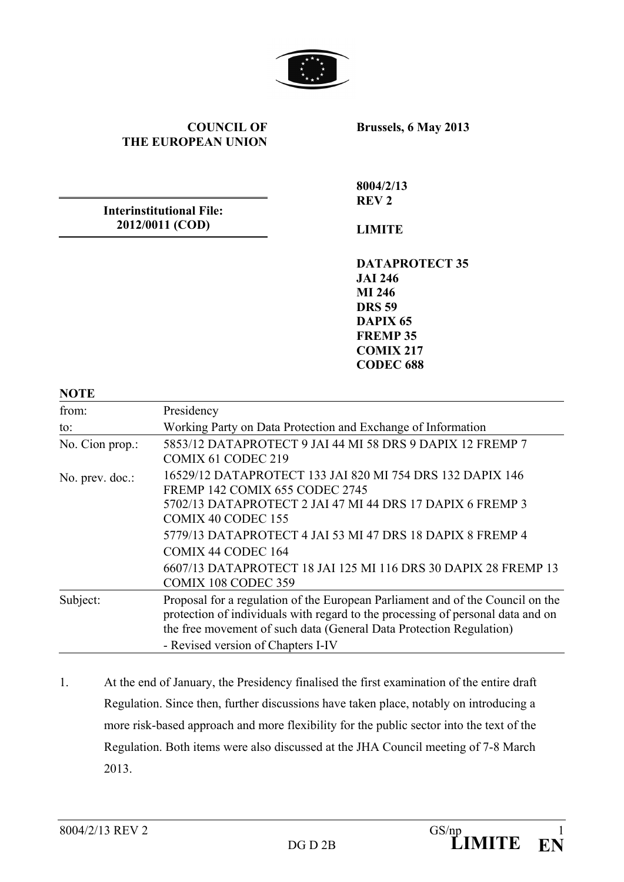

**COUNCIL OF THE EUROPEAN UNION** **Brussels, 6 May 2013** 

**Interinstitutional File: 2012/0011 (COD)** 

**8004/2/13 REV 2** 

**LIMITE** 

**DATAPROTECT 35 JAI 246 MI 246 DRS 59 DAPIX 65 FREMP 35 COMIX 217 CODEC 688** 

| <b>NOTE</b>     |                                                                                                                                                                                                                                                                                |
|-----------------|--------------------------------------------------------------------------------------------------------------------------------------------------------------------------------------------------------------------------------------------------------------------------------|
| from:           | Presidency                                                                                                                                                                                                                                                                     |
| to:             | Working Party on Data Protection and Exchange of Information                                                                                                                                                                                                                   |
| No. Cion prop.: | 5853/12 DATAPROTECT 9 JAI 44 MI 58 DRS 9 DAPIX 12 FREMP 7<br>COMIX 61 CODEC 219                                                                                                                                                                                                |
| No. prev. doc.: | 16529/12 DATAPROTECT 133 JAI 820 MI 754 DRS 132 DAPIX 146<br>FREMP 142 COMIX 655 CODEC 2745<br>5702/13 DATAPROTECT 2 JAI 47 MI 44 DRS 17 DAPIX 6 FREMP 3<br><b>COMIX 40 CODEC 155</b>                                                                                          |
|                 | 5779/13 DATAPROTECT 4 JAI 53 MI 47 DRS 18 DAPIX 8 FREMP 4<br><b>COMIX 44 CODEC 164</b><br>6607/13 DATAPROTECT 18 JAI 125 MI 116 DRS 30 DAPIX 28 FREMP 13<br><b>COMIX 108 CODEC 359</b>                                                                                         |
| Subject:        | Proposal for a regulation of the European Parliament and of the Council on the<br>protection of individuals with regard to the processing of personal data and on<br>the free movement of such data (General Data Protection Regulation)<br>- Revised version of Chapters I-IV |
|                 |                                                                                                                                                                                                                                                                                |

1. At the end of January, the Presidency finalised the first examination of the entire draft Regulation. Since then, further discussions have taken place, notably on introducing a more risk-based approach and more flexibility for the public sector into the text of the Regulation. Both items were also discussed at the JHA Council meeting of 7-8 March 2013.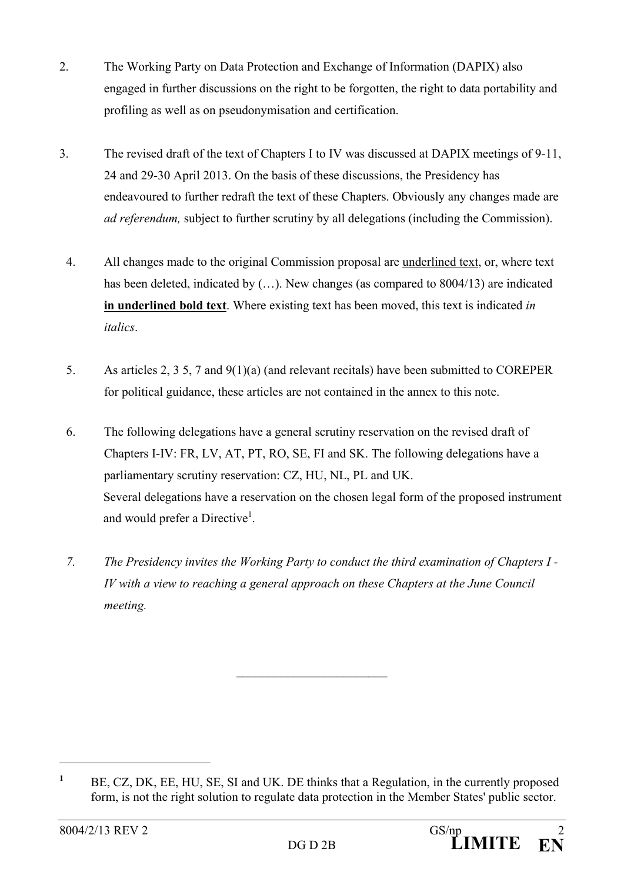- 2. The Working Party on Data Protection and Exchange of Information (DAPIX) also engaged in further discussions on the right to be forgotten, the right to data portability and profiling as well as on pseudonymisation and certification.
- 3. The revised draft of the text of Chapters I to IV was discussed at DAPIX meetings of 9-11, 24 and 29-30 April 2013. On the basis of these discussions, the Presidency has endeavoured to further redraft the text of these Chapters. Obviously any changes made are *ad referendum,* subject to further scrutiny by all delegations (including the Commission).
	- 4. All changes made to the original Commission proposal are underlined text, or, where text has been deleted, indicated by (...). New changes (as compared to 8004/13) are indicated **in underlined bold text**. Where existing text has been moved, this text is indicated *in italics*.
	- 5. As articles 2, 3 5, 7 and 9(1)(a) (and relevant recitals) have been submitted to COREPER for political guidance, these articles are not contained in the annex to this note.
	- 6. The following delegations have a general scrutiny reservation on the revised draft of Chapters I-IV: FR, LV, AT, PT, RO, SE, FI and SK. The following delegations have a parliamentary scrutiny reservation: CZ, HU, NL, PL and UK. Several delegations have a reservation on the chosen legal form of the proposed instrument and would prefer a Directive<sup>1</sup>.
	- *7. The Presidency invites the Working Party to conduct the third examination of Chapters I - IV with a view to reaching a general approach on these Chapters at the June Council meeting.*

\_\_\_\_\_\_\_\_\_\_\_\_\_\_\_\_\_\_\_\_\_\_\_\_

**<sup>1</sup>** BE, CZ, DK, EE, HU, SE, SI and UK. DE thinks that a Regulation, in the currently proposed form, is not the right solution to regulate data protection in the Member States' public sector.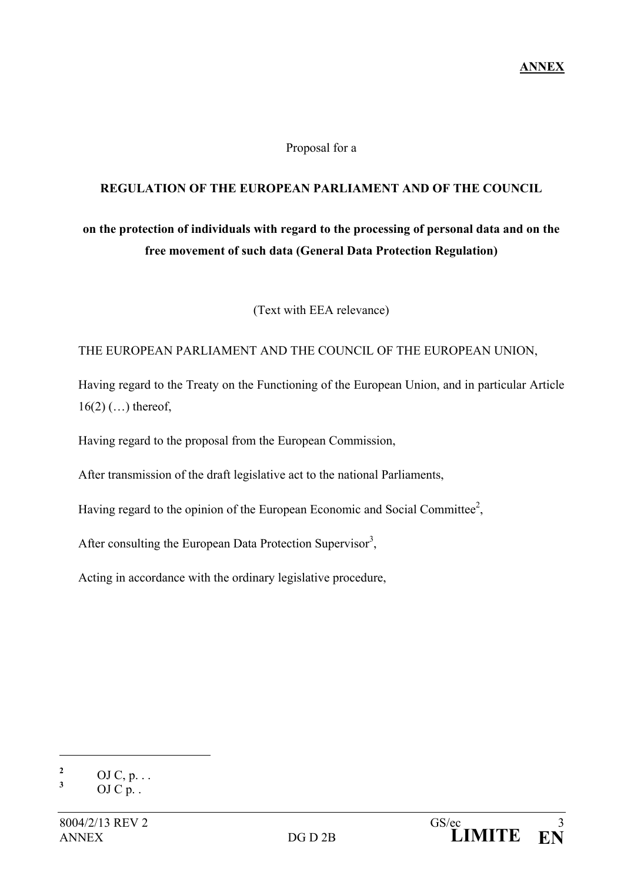#### Proposal for a

#### **REGULATION OF THE EUROPEAN PARLIAMENT AND OF THE COUNCIL**

## **on the protection of individuals with regard to the processing of personal data and on the free movement of such data (General Data Protection Regulation)**

(Text with EEA relevance)

THE EUROPEAN PARLIAMENT AND THE COUNCIL OF THE EUROPEAN UNION,

Having regard to the Treaty on the Functioning of the European Union, and in particular Article  $16(2)$  (...) thereof,

Having regard to the proposal from the European Commission,

After transmission of the draft legislative act to the national Parliaments,

Having regard to the opinion of the European Economic and Social Committee<sup>2</sup>,

After consulting the European Data Protection Supervisor<sup>3</sup>,

Acting in accordance with the ordinary legislative procedure,

**<sup>2</sup>** OJ C, p. . .

**<sup>3</sup>** OJ C p.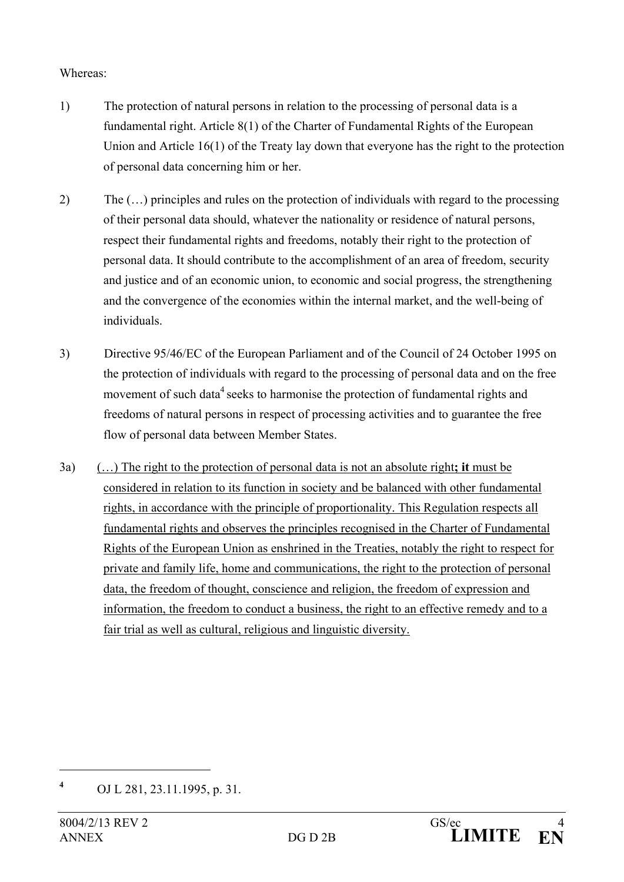#### Whereas:

- 1) The protection of natural persons in relation to the processing of personal data is a fundamental right. Article 8(1) of the Charter of Fundamental Rights of the European Union and Article 16(1) of the Treaty lay down that everyone has the right to the protection of personal data concerning him or her.
- 2) The (…) principles and rules on the protection of individuals with regard to the processing of their personal data should, whatever the nationality or residence of natural persons, respect their fundamental rights and freedoms, notably their right to the protection of personal data. It should contribute to the accomplishment of an area of freedom, security and justice and of an economic union, to economic and social progress, the strengthening and the convergence of the economies within the internal market, and the well-being of individuals.
- 3) Directive 95/46/EC of the European Parliament and of the Council of 24 October 1995 on the protection of individuals with regard to the processing of personal data and on the free movement of such data<sup>4</sup> seeks to harmonise the protection of fundamental rights and freedoms of natural persons in respect of processing activities and to guarantee the free flow of personal data between Member States.
- 3a) (…) The right to the protection of personal data is not an absolute right**; it** must be considered in relation to its function in society and be balanced with other fundamental rights, in accordance with the principle of proportionality. This Regulation respects all fundamental rights and observes the principles recognised in the Charter of Fundamental Rights of the European Union as enshrined in the Treaties, notably the right to respect for private and family life, home and communications, the right to the protection of personal data, the freedom of thought, conscience and religion, the freedom of expression and information, the freedom to conduct a business, the right to an effective remedy and to a fair trial as well as cultural, religious and linguistic diversity.

**<sup>4</sup>** OJ L 281, 23.11.1995, p. 31.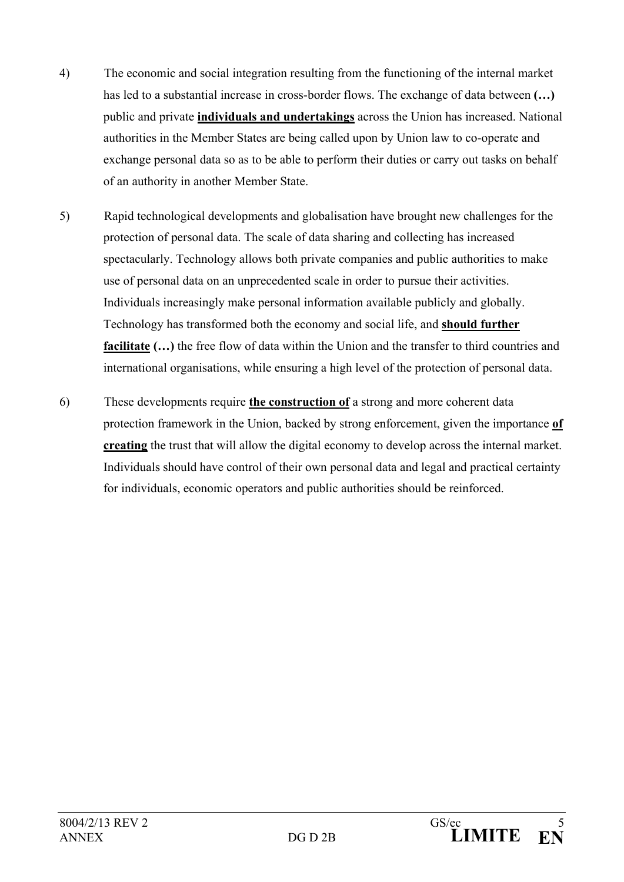- 4) The economic and social integration resulting from the functioning of the internal market has led to a substantial increase in cross-border flows. The exchange of data between **(…)** public and private **individuals and undertakings** across the Union has increased. National authorities in the Member States are being called upon by Union law to co-operate and exchange personal data so as to be able to perform their duties or carry out tasks on behalf of an authority in another Member State.
- 5) Rapid technological developments and globalisation have brought new challenges for the protection of personal data. The scale of data sharing and collecting has increased spectacularly. Technology allows both private companies and public authorities to make use of personal data on an unprecedented scale in order to pursue their activities. Individuals increasingly make personal information available publicly and globally. Technology has transformed both the economy and social life, and **should further facilitate (…)** the free flow of data within the Union and the transfer to third countries and international organisations, while ensuring a high level of the protection of personal data.
- 6) These developments require **the construction of** a strong and more coherent data protection framework in the Union, backed by strong enforcement, given the importance **of creating** the trust that will allow the digital economy to develop across the internal market. Individuals should have control of their own personal data and legal and practical certainty for individuals, economic operators and public authorities should be reinforced.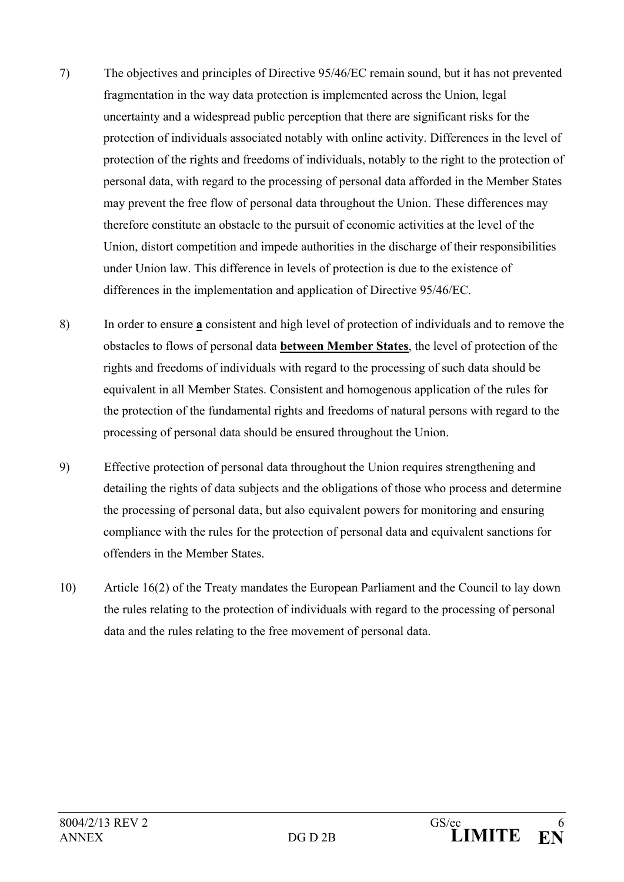- 7) The objectives and principles of Directive 95/46/EC remain sound, but it has not prevented fragmentation in the way data protection is implemented across the Union, legal uncertainty and a widespread public perception that there are significant risks for the protection of individuals associated notably with online activity. Differences in the level of protection of the rights and freedoms of individuals, notably to the right to the protection of personal data, with regard to the processing of personal data afforded in the Member States may prevent the free flow of personal data throughout the Union. These differences may therefore constitute an obstacle to the pursuit of economic activities at the level of the Union, distort competition and impede authorities in the discharge of their responsibilities under Union law. This difference in levels of protection is due to the existence of differences in the implementation and application of Directive 95/46/EC.
- 8) In order to ensure **a** consistent and high level of protection of individuals and to remove the obstacles to flows of personal data **between Member States**, the level of protection of the rights and freedoms of individuals with regard to the processing of such data should be equivalent in all Member States. Consistent and homogenous application of the rules for the protection of the fundamental rights and freedoms of natural persons with regard to the processing of personal data should be ensured throughout the Union.
- 9) Effective protection of personal data throughout the Union requires strengthening and detailing the rights of data subjects and the obligations of those who process and determine the processing of personal data, but also equivalent powers for monitoring and ensuring compliance with the rules for the protection of personal data and equivalent sanctions for offenders in the Member States.
- 10) Article 16(2) of the Treaty mandates the European Parliament and the Council to lay down the rules relating to the protection of individuals with regard to the processing of personal data and the rules relating to the free movement of personal data.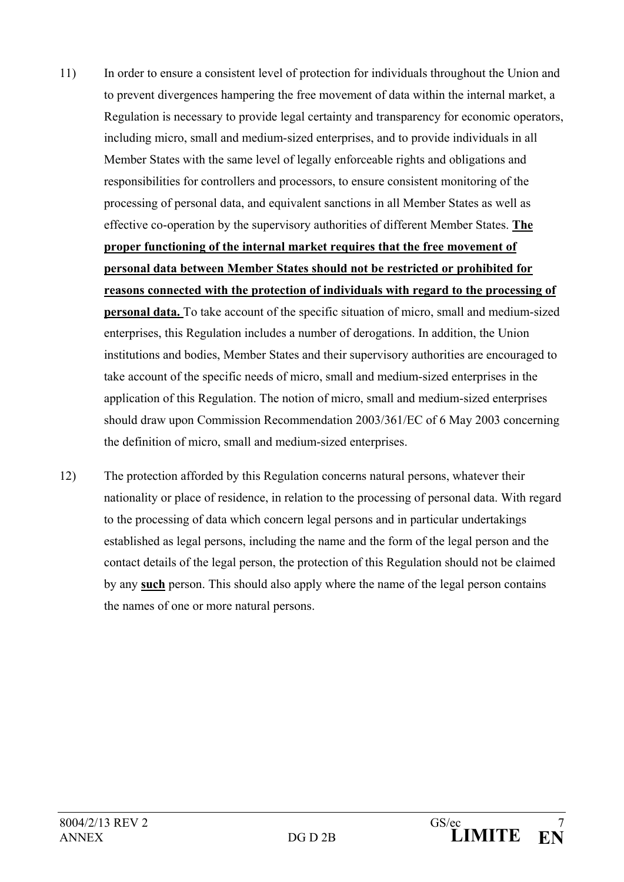- 11) In order to ensure a consistent level of protection for individuals throughout the Union and to prevent divergences hampering the free movement of data within the internal market, a Regulation is necessary to provide legal certainty and transparency for economic operators, including micro, small and medium-sized enterprises, and to provide individuals in all Member States with the same level of legally enforceable rights and obligations and responsibilities for controllers and processors, to ensure consistent monitoring of the processing of personal data, and equivalent sanctions in all Member States as well as effective co-operation by the supervisory authorities of different Member States. **The proper functioning of the internal market requires that the free movement of personal data between Member States should not be restricted or prohibited for reasons connected with the protection of individuals with regard to the processing of personal data.** To take account of the specific situation of micro, small and medium-sized enterprises, this Regulation includes a number of derogations. In addition, the Union institutions and bodies, Member States and their supervisory authorities are encouraged to take account of the specific needs of micro, small and medium-sized enterprises in the application of this Regulation. The notion of micro, small and medium-sized enterprises should draw upon Commission Recommendation 2003/361/EC of 6 May 2003 concerning the definition of micro, small and medium-sized enterprises.
- 12) The protection afforded by this Regulation concerns natural persons, whatever their nationality or place of residence, in relation to the processing of personal data. With regard to the processing of data which concern legal persons and in particular undertakings established as legal persons, including the name and the form of the legal person and the contact details of the legal person, the protection of this Regulation should not be claimed by any **such** person. This should also apply where the name of the legal person contains the names of one or more natural persons.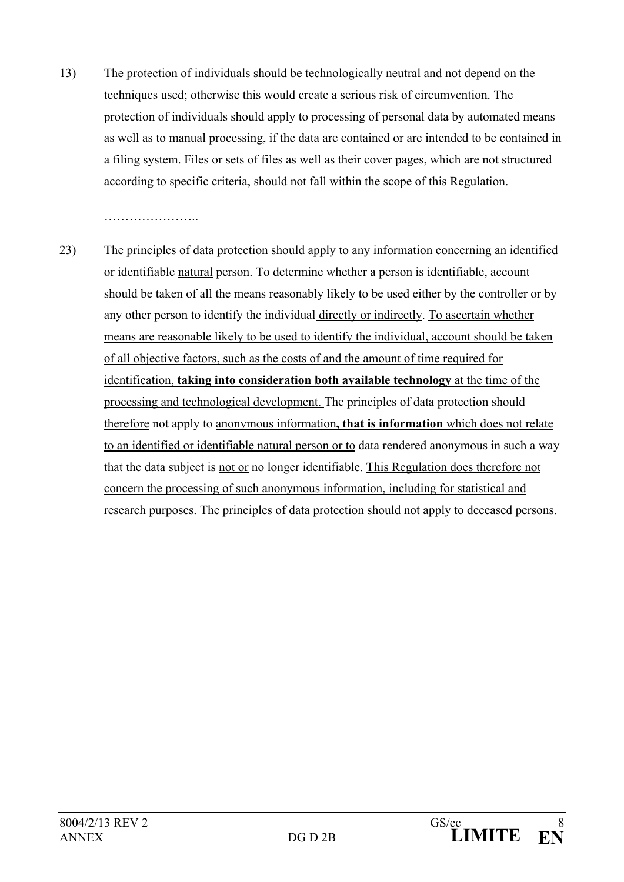13) The protection of individuals should be technologically neutral and not depend on the techniques used; otherwise this would create a serious risk of circumvention. The protection of individuals should apply to processing of personal data by automated means as well as to manual processing, if the data are contained or are intended to be contained in a filing system. Files or sets of files as well as their cover pages, which are not structured according to specific criteria, should not fall within the scope of this Regulation.

#### …………………..

23) The principles of data protection should apply to any information concerning an identified or identifiable natural person. To determine whether a person is identifiable, account should be taken of all the means reasonably likely to be used either by the controller or by any other person to identify the individual directly or indirectly. To ascertain whether means are reasonable likely to be used to identify the individual, account should be taken of all objective factors, such as the costs of and the amount of time required for identification, **taking into consideration both available technology** at the time of the processing and technological development. The principles of data protection should therefore not apply to anonymous information**, that is information** which does not relate to an identified or identifiable natural person or to data rendered anonymous in such a way that the data subject is not or no longer identifiable. This Regulation does therefore not concern the processing of such anonymous information, including for statistical and research purposes. The principles of data protection should not apply to deceased persons.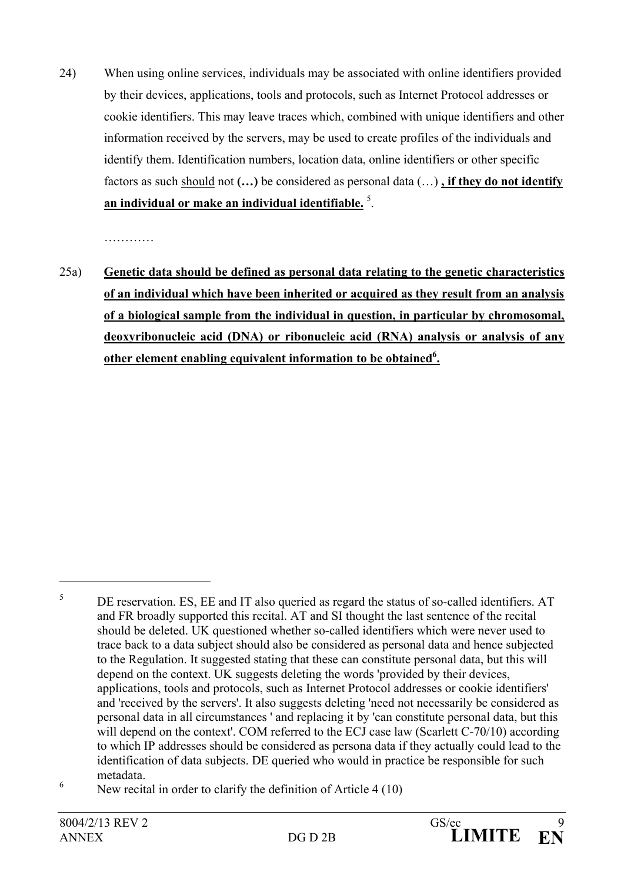24) When using online services, individuals may be associated with online identifiers provided by their devices, applications, tools and protocols, such as Internet Protocol addresses or cookie identifiers. This may leave traces which, combined with unique identifiers and other information received by the servers, may be used to create profiles of the individuals and identify them. Identification numbers, location data, online identifiers or other specific factors as such should not **(…)** be considered as personal data (…) **, if they do not identify an individual or make an individual identifiable.** <sup>5</sup> .

…………

25a) **Genetic data should be defined as personal data relating to the genetic characteristics of an individual which have been inherited or acquired as they result from an analysis of a biological sample from the individual in question, in particular by chromosomal, deoxyribonucleic acid (DNA) or ribonucleic acid (RNA) analysis or analysis of any other element enabling equivalent information to be obtained<sup>6</sup> .**

<sup>5</sup> DE reservation. ES, EE and IT also queried as regard the status of so-called identifiers. AT and FR broadly supported this recital. AT and SI thought the last sentence of the recital should be deleted. UK questioned whether so-called identifiers which were never used to trace back to a data subject should also be considered as personal data and hence subjected to the Regulation. It suggested stating that these can constitute personal data, but this will depend on the context. UK suggests deleting the words 'provided by their devices, applications, tools and protocols, such as Internet Protocol addresses or cookie identifiers' and 'received by the servers'. It also suggests deleting 'need not necessarily be considered as personal data in all circumstances ' and replacing it by 'can constitute personal data, but this will depend on the context'. COM referred to the ECJ case law (Scarlett C-70/10) according to which IP addresses should be considered as persona data if they actually could lead to the identification of data subjects. DE queried who would in practice be responsible for such metadata.

<sup>6</sup> New recital in order to clarify the definition of Article 4 (10)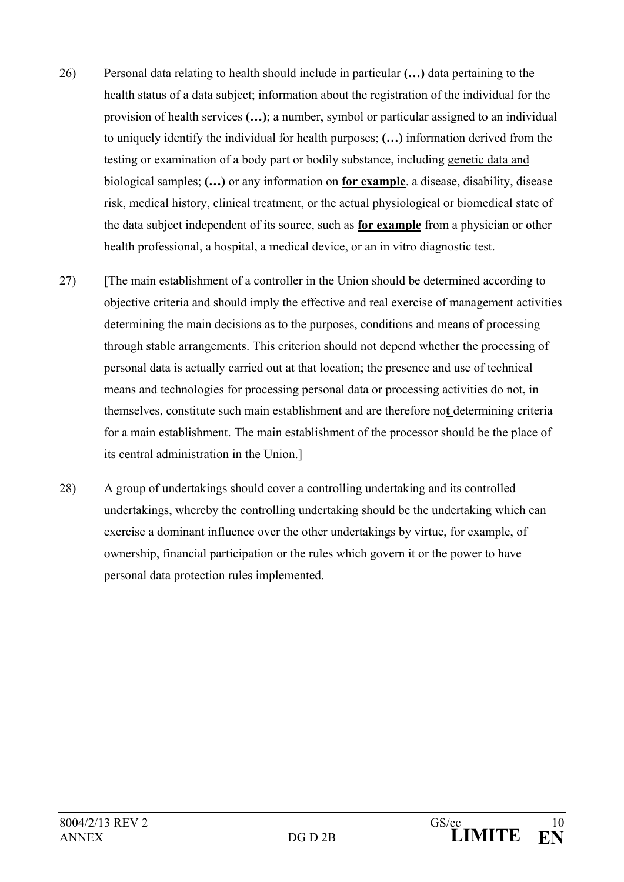- 26) Personal data relating to health should include in particular **(…)** data pertaining to the health status of a data subject; information about the registration of the individual for the provision of health services **(…)**; a number, symbol or particular assigned to an individual to uniquely identify the individual for health purposes; **(…)** information derived from the testing or examination of a body part or bodily substance, including genetic data and biological samples; **(…)** or any information on **for example**. a disease, disability, disease risk, medical history, clinical treatment, or the actual physiological or biomedical state of the data subject independent of its source, such as **for example** from a physician or other health professional, a hospital, a medical device, or an in vitro diagnostic test.
- 27) [The main establishment of a controller in the Union should be determined according to objective criteria and should imply the effective and real exercise of management activities determining the main decisions as to the purposes, conditions and means of processing through stable arrangements. This criterion should not depend whether the processing of personal data is actually carried out at that location; the presence and use of technical means and technologies for processing personal data or processing activities do not, in themselves, constitute such main establishment and are therefore no**t** determining criteria for a main establishment. The main establishment of the processor should be the place of its central administration in the Union.]
- 28) A group of undertakings should cover a controlling undertaking and its controlled undertakings, whereby the controlling undertaking should be the undertaking which can exercise a dominant influence over the other undertakings by virtue, for example, of ownership, financial participation or the rules which govern it or the power to have personal data protection rules implemented.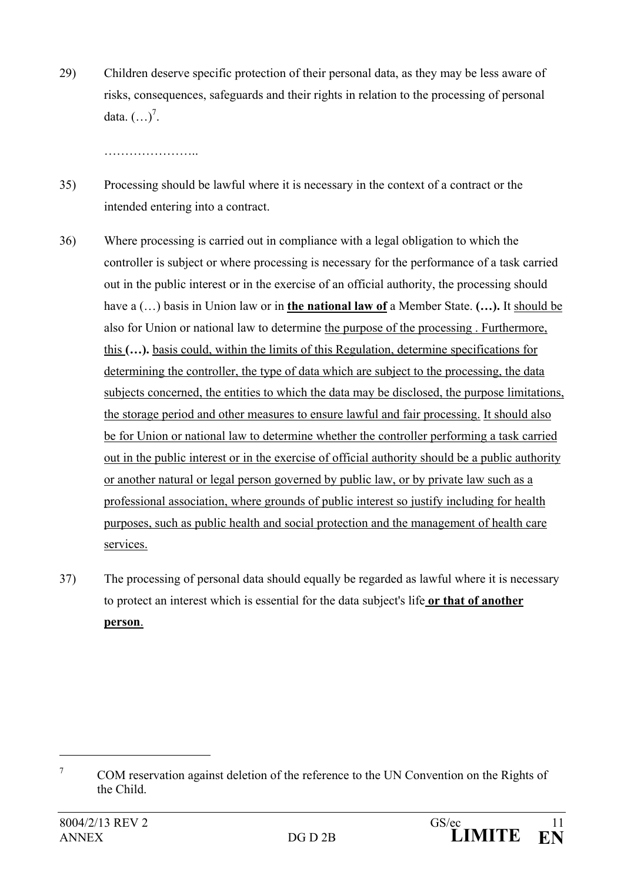29) Children deserve specific protection of their personal data, as they may be less aware of risks, consequences, safeguards and their rights in relation to the processing of personal data.  $(\ldots)^7$ .

………………………

- 35) Processing should be lawful where it is necessary in the context of a contract or the intended entering into a contract.
- 36) Where processing is carried out in compliance with a legal obligation to which the controller is subject or where processing is necessary for the performance of a task carried out in the public interest or in the exercise of an official authority, the processing should have a (…) basis in Union law or in **the national law of** a Member State. **(…).** It should be also for Union or national law to determine the purpose of the processing . Furthermore, this **(…).** basis could, within the limits of this Regulation, determine specifications for determining the controller, the type of data which are subject to the processing, the data subjects concerned, the entities to which the data may be disclosed, the purpose limitations, the storage period and other measures to ensure lawful and fair processing. It should also be for Union or national law to determine whether the controller performing a task carried out in the public interest or in the exercise of official authority should be a public authority or another natural or legal person governed by public law, or by private law such as a professional association, where grounds of public interest so justify including for health purposes, such as public health and social protection and the management of health care services.
- 37) The processing of personal data should equally be regarded as lawful where it is necessary to protect an interest which is essential for the data subject's life **or that of another person**.

<sup>7</sup> COM reservation against deletion of the reference to the UN Convention on the Rights of the Child.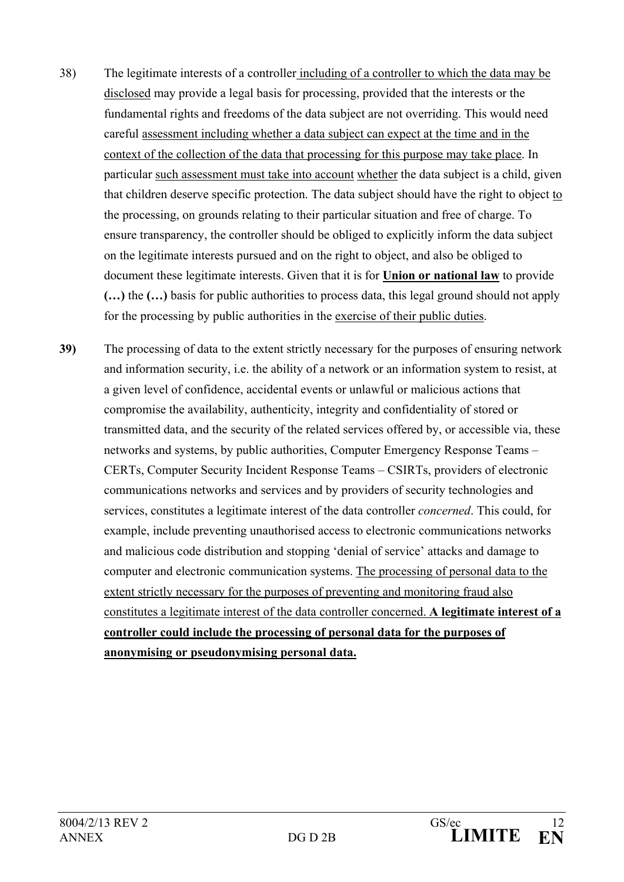- 38) The legitimate interests of a controller including of a controller to which the data may be disclosed may provide a legal basis for processing, provided that the interests or the fundamental rights and freedoms of the data subject are not overriding. This would need careful assessment including whether a data subject can expect at the time and in the context of the collection of the data that processing for this purpose may take place. In particular such assessment must take into account whether the data subject is a child, given that children deserve specific protection. The data subject should have the right to object to the processing, on grounds relating to their particular situation and free of charge. To ensure transparency, the controller should be obliged to explicitly inform the data subject on the legitimate interests pursued and on the right to object, and also be obliged to document these legitimate interests. Given that it is for **Union or national law** to provide **(…)** the **(…)** basis for public authorities to process data, this legal ground should not apply for the processing by public authorities in the exercise of their public duties.
- **39)** The processing of data to the extent strictly necessary for the purposes of ensuring network and information security, i.e. the ability of a network or an information system to resist, at a given level of confidence, accidental events or unlawful or malicious actions that compromise the availability, authenticity, integrity and confidentiality of stored or transmitted data, and the security of the related services offered by, or accessible via, these networks and systems, by public authorities, Computer Emergency Response Teams – CERTs, Computer Security Incident Response Teams – CSIRTs, providers of electronic communications networks and services and by providers of security technologies and services, constitutes a legitimate interest of the data controller *concerned*. This could, for example, include preventing unauthorised access to electronic communications networks and malicious code distribution and stopping 'denial of service' attacks and damage to computer and electronic communication systems. The processing of personal data to the extent strictly necessary for the purposes of preventing and monitoring fraud also constitutes a legitimate interest of the data controller concerned. **A legitimate interest of a controller could include the processing of personal data for the purposes of anonymising or pseudonymising personal data.**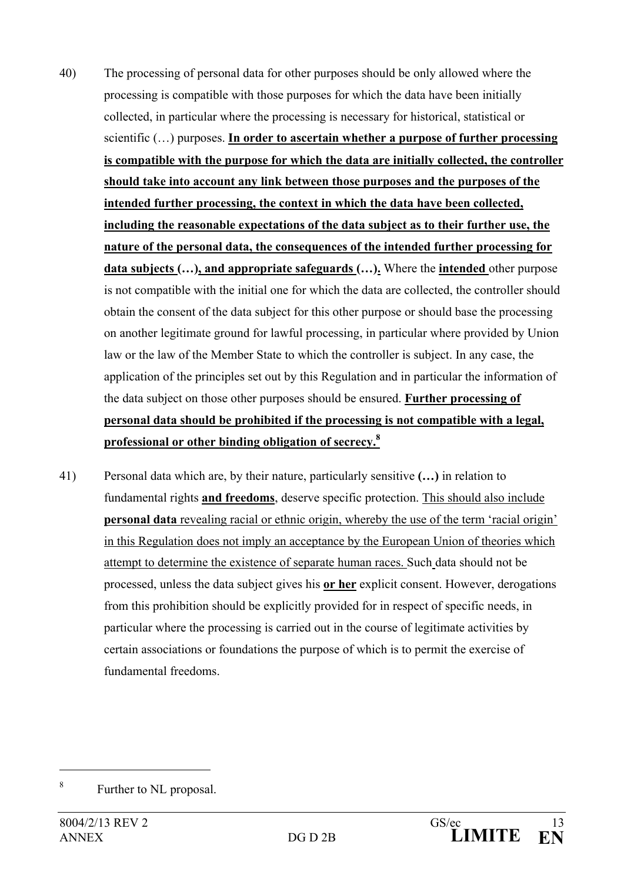- 40) The processing of personal data for other purposes should be only allowed where the processing is compatible with those purposes for which the data have been initially collected, in particular where the processing is necessary for historical, statistical or scientific (…) purposes. **In order to ascertain whether a purpose of further processing is compatible with the purpose for which the data are initially collected, the controller should take into account any link between those purposes and the purposes of the intended further processing, the context in which the data have been collected, including the reasonable expectations of the data subject as to their further use, the nature of the personal data, the consequences of the intended further processing for data subjects (…), and appropriate safeguards (…).** Where the **intended** other purpose is not compatible with the initial one for which the data are collected, the controller should obtain the consent of the data subject for this other purpose or should base the processing on another legitimate ground for lawful processing, in particular where provided by Union law or the law of the Member State to which the controller is subject. In any case, the application of the principles set out by this Regulation and in particular the information of the data subject on those other purposes should be ensured. **Further processing of personal data should be prohibited if the processing is not compatible with a legal, professional or other binding obligation of secrecy.<sup>8</sup>**
- 41) Personal data which are, by their nature, particularly sensitive **(…)** in relation to fundamental rights **and freedoms**, deserve specific protection. This should also include **personal data** revealing racial or ethnic origin, whereby the use of the term 'racial origin' in this Regulation does not imply an acceptance by the European Union of theories which attempt to determine the existence of separate human races. Such data should not be processed, unless the data subject gives his **or her** explicit consent. However, derogations from this prohibition should be explicitly provided for in respect of specific needs, in particular where the processing is carried out in the course of legitimate activities by certain associations or foundations the purpose of which is to permit the exercise of fundamental freedoms.

<sup>8</sup> Further to NL proposal.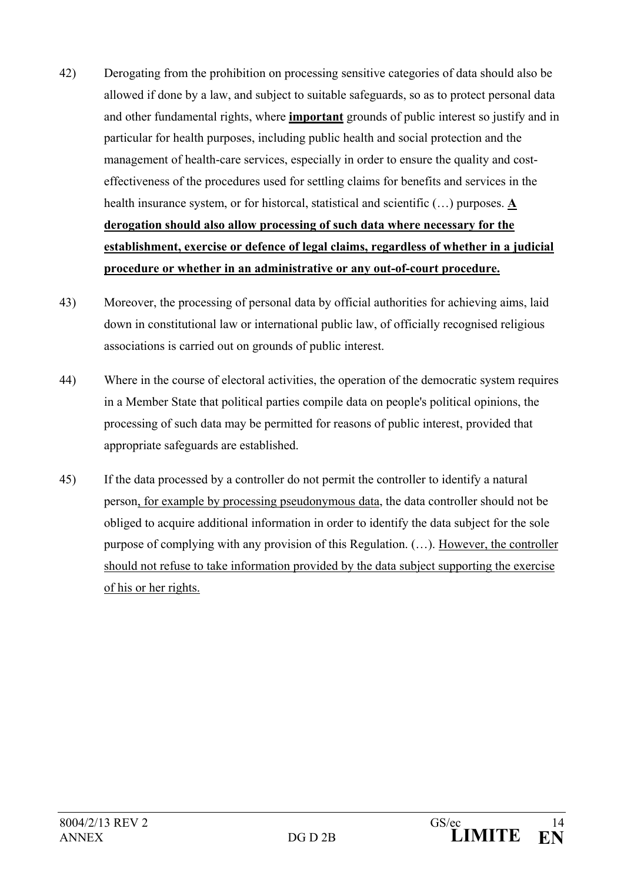- 42) Derogating from the prohibition on processing sensitive categories of data should also be allowed if done by a law, and subject to suitable safeguards, so as to protect personal data and other fundamental rights, where **important** grounds of public interest so justify and in particular for health purposes, including public health and social protection and the management of health-care services, especially in order to ensure the quality and costeffectiveness of the procedures used for settling claims for benefits and services in the health insurance system, or for historcal, statistical and scientific (…) purposes. **A derogation should also allow processing of such data where necessary for the establishment, exercise or defence of legal claims, regardless of whether in a judicial procedure or whether in an administrative or any out-of-court procedure.**
- 43) Moreover, the processing of personal data by official authorities for achieving aims, laid down in constitutional law or international public law, of officially recognised religious associations is carried out on grounds of public interest.
- 44) Where in the course of electoral activities, the operation of the democratic system requires in a Member State that political parties compile data on people's political opinions, the processing of such data may be permitted for reasons of public interest, provided that appropriate safeguards are established.
- 45) If the data processed by a controller do not permit the controller to identify a natural person, for example by processing pseudonymous data, the data controller should not be obliged to acquire additional information in order to identify the data subject for the sole purpose of complying with any provision of this Regulation. (…). However, the controller should not refuse to take information provided by the data subject supporting the exercise of his or her rights.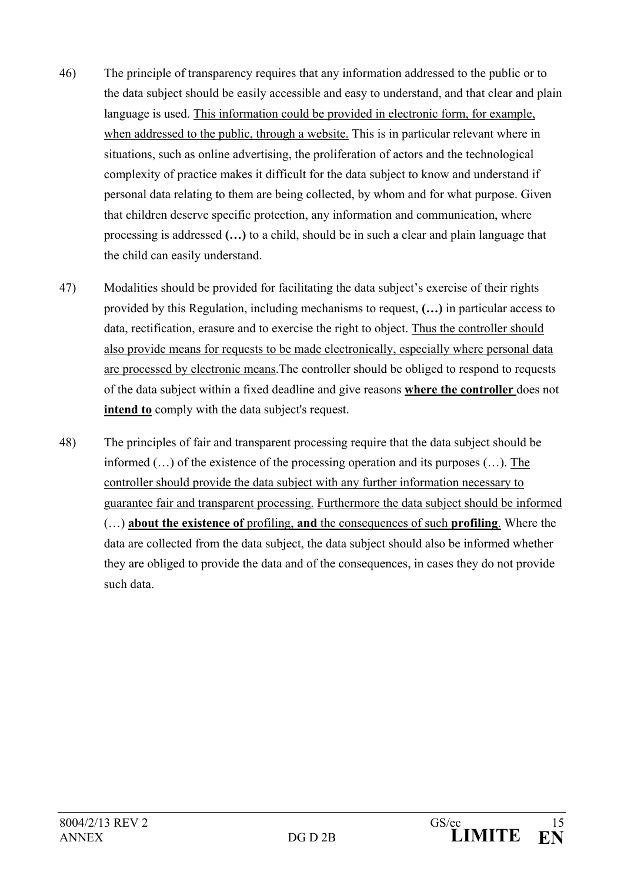- 46) The principle of transparency requires that any information addressed to the public or to the data subject should be easily accessible and easy to understand, and that clear and plain language is used. This information could be provided in electronic form, for example, when addressed to the public, through a website. This is in particular relevant where in situations, such as online advertising, the proliferation of actors and the technological complexity of practice makes it difficult for the data subject to know and understand if personal data relating to them are being collected, by whom and for what purpose. Given that children deserve specific protection, any information and communication, where processing is addressed **(…)** to a child, should be in such a clear and plain language that the child can easily understand.
- 47) Modalities should be provided for facilitating the data subject's exercise of their rights provided by this Regulation, including mechanisms to request, **(…)** in particular access to data, rectification, erasure and to exercise the right to object. Thus the controller should also provide means for requests to be made electronically, especially where personal data are processed by electronic means.The controller should be obliged to respond to requests of the data subject within a fixed deadline and give reasons **where the controller** does not **intend to** comply with the data subject's request.
- 48) The principles of fair and transparent processing require that the data subject should be informed (…) of the existence of the processing operation and its purposes (…). The controller should provide the data subject with any further information necessary to guarantee fair and transparent processing. Furthermore the data subject should be informed (…) **about the existence of** profiling, **and** the consequences of such **profiling**. Where the data are collected from the data subject, the data subject should also be informed whether they are obliged to provide the data and of the consequences, in cases they do not provide such data.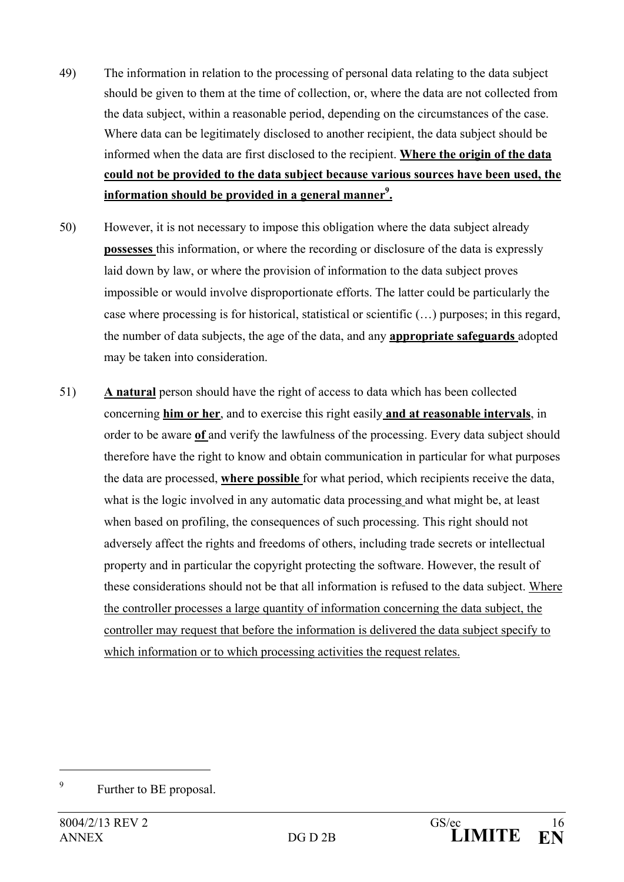- 49) The information in relation to the processing of personal data relating to the data subject should be given to them at the time of collection, or, where the data are not collected from the data subject, within a reasonable period, depending on the circumstances of the case. Where data can be legitimately disclosed to another recipient, the data subject should be informed when the data are first disclosed to the recipient. **Where the origin of the data could not be provided to the data subject because various sources have been used, the information should be provided in a general manner<sup>9</sup> .**
- 50) However, it is not necessary to impose this obligation where the data subject already **possesses** this information, or where the recording or disclosure of the data is expressly laid down by law, or where the provision of information to the data subject proves impossible or would involve disproportionate efforts. The latter could be particularly the case where processing is for historical, statistical or scientific (…) purposes; in this regard, the number of data subjects, the age of the data, and any **appropriate safeguards** adopted may be taken into consideration.
- 51) **A natural** person should have the right of access to data which has been collected concerning **him or her**, and to exercise this right easily **and at reasonable intervals**, in order to be aware **of** and verify the lawfulness of the processing. Every data subject should therefore have the right to know and obtain communication in particular for what purposes the data are processed, **where possible** for what period, which recipients receive the data, what is the logic involved in any automatic data processing and what might be, at least when based on profiling, the consequences of such processing. This right should not adversely affect the rights and freedoms of others, including trade secrets or intellectual property and in particular the copyright protecting the software. However, the result of these considerations should not be that all information is refused to the data subject. Where the controller processes a large quantity of information concerning the data subject, the controller may request that before the information is delivered the data subject specify to which information or to which processing activities the request relates.

<sup>9</sup> Further to BE proposal.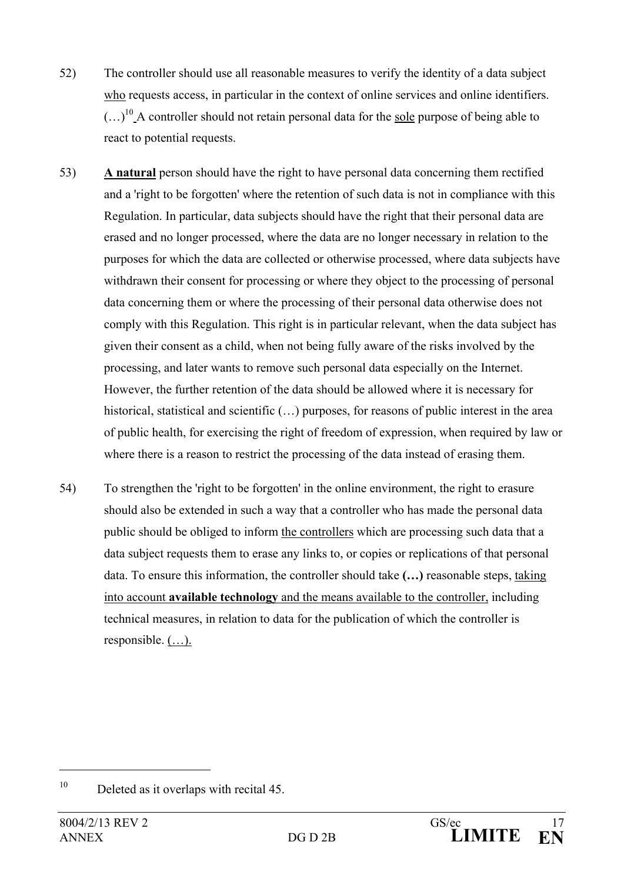- 52) The controller should use all reasonable measures to verify the identity of a data subject who requests access, in particular in the context of online services and online identifiers.  $(...)^{10}$  A controller should not retain personal data for the sole purpose of being able to react to potential requests.
- 53) **A natural** person should have the right to have personal data concerning them rectified and a 'right to be forgotten' where the retention of such data is not in compliance with this Regulation. In particular, data subjects should have the right that their personal data are erased and no longer processed, where the data are no longer necessary in relation to the purposes for which the data are collected or otherwise processed, where data subjects have withdrawn their consent for processing or where they object to the processing of personal data concerning them or where the processing of their personal data otherwise does not comply with this Regulation. This right is in particular relevant, when the data subject has given their consent as a child, when not being fully aware of the risks involved by the processing, and later wants to remove such personal data especially on the Internet. However, the further retention of the data should be allowed where it is necessary for historical, statistical and scientific (...) purposes, for reasons of public interest in the area of public health, for exercising the right of freedom of expression, when required by law or where there is a reason to restrict the processing of the data instead of erasing them.
- 54) To strengthen the 'right to be forgotten' in the online environment, the right to erasure should also be extended in such a way that a controller who has made the personal data public should be obliged to inform the controllers which are processing such data that a data subject requests them to erase any links to, or copies or replications of that personal data. To ensure this information, the controller should take **(…)** reasonable steps, taking into account **available technology** and the means available to the controller, including technical measures, in relation to data for the publication of which the controller is responsible. (…).

<sup>&</sup>lt;sup>10</sup> Deleted as it overlaps with recital 45.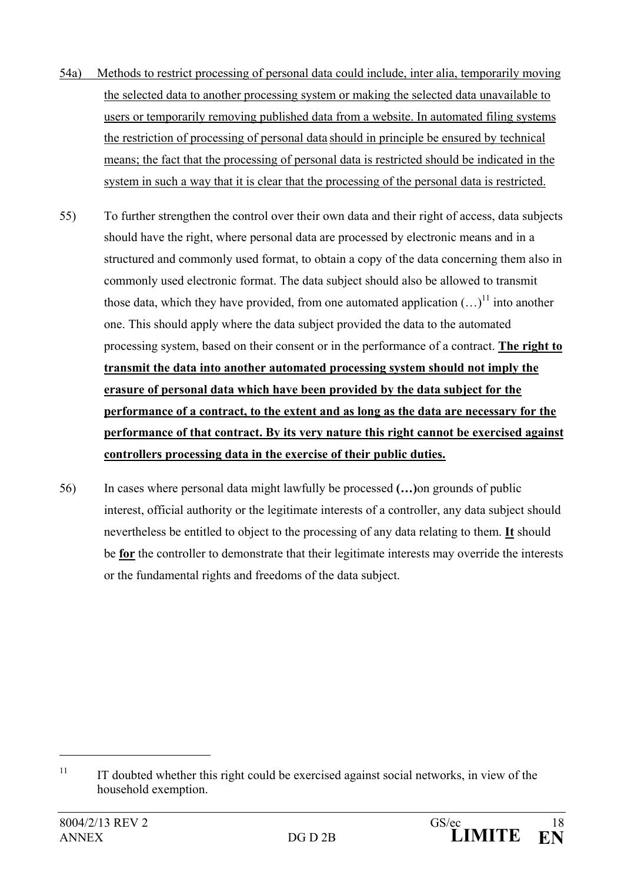- 54a) Methods to restrict processing of personal data could include, inter alia, temporarily moving the selected data to another processing system or making the selected data unavailable to users or temporarily removing published data from a website. In automated filing systems the restriction of processing of personal data should in principle be ensured by technical means; the fact that the processing of personal data is restricted should be indicated in the system in such a way that it is clear that the processing of the personal data is restricted.
- 55) To further strengthen the control over their own data and their right of access, data subjects should have the right, where personal data are processed by electronic means and in a structured and commonly used format, to obtain a copy of the data concerning them also in commonly used electronic format. The data subject should also be allowed to transmit those data, which they have provided, from one automated application  $(\ldots)^{11}$  into another one. This should apply where the data subject provided the data to the automated processing system, based on their consent or in the performance of a contract. **The right to transmit the data into another automated processing system should not imply the erasure of personal data which have been provided by the data subject for the performance of a contract, to the extent and as long as the data are necessary for the performance of that contract. By its very nature this right cannot be exercised against controllers processing data in the exercise of their public duties.**
- 56) In cases where personal data might lawfully be processed **(…)**on grounds of public interest, official authority or the legitimate interests of a controller, any data subject should nevertheless be entitled to object to the processing of any data relating to them. **It** should be **for** the controller to demonstrate that their legitimate interests may override the interests or the fundamental rights and freedoms of the data subject.

 $11$  IT doubted whether this right could be exercised against social networks, in view of the household exemption.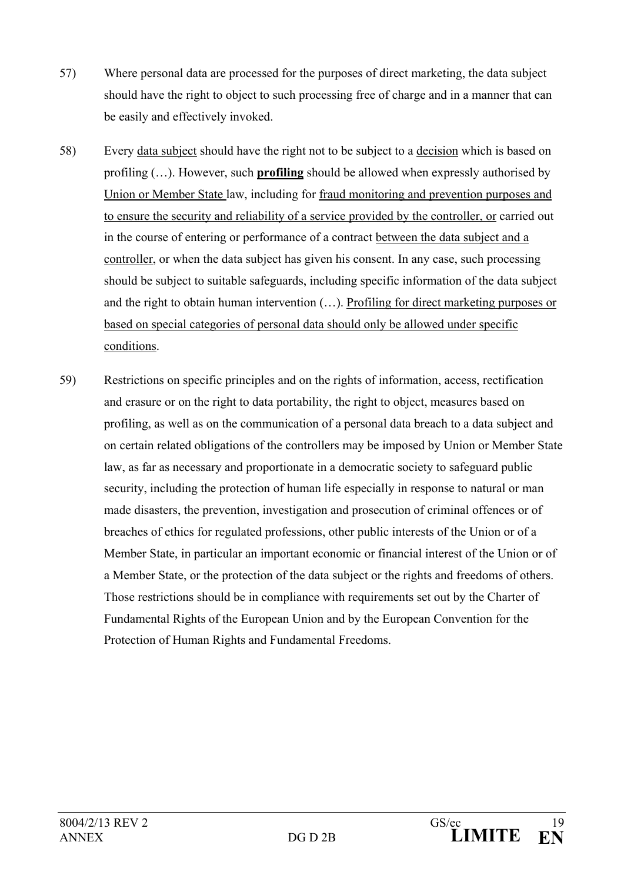- 57) Where personal data are processed for the purposes of direct marketing, the data subject should have the right to object to such processing free of charge and in a manner that can be easily and effectively invoked.
- 58) Every data subject should have the right not to be subject to a decision which is based on profiling (…). However, such **profiling** should be allowed when expressly authorised by Union or Member State law, including for fraud monitoring and prevention purposes and to ensure the security and reliability of a service provided by the controller, or carried out in the course of entering or performance of a contract between the data subject and a controller, or when the data subject has given his consent. In any case, such processing should be subject to suitable safeguards, including specific information of the data subject and the right to obtain human intervention (…). Profiling for direct marketing purposes or based on special categories of personal data should only be allowed under specific conditions.
- 59) Restrictions on specific principles and on the rights of information, access, rectification and erasure or on the right to data portability, the right to object, measures based on profiling, as well as on the communication of a personal data breach to a data subject and on certain related obligations of the controllers may be imposed by Union or Member State law, as far as necessary and proportionate in a democratic society to safeguard public security, including the protection of human life especially in response to natural or man made disasters, the prevention, investigation and prosecution of criminal offences or of breaches of ethics for regulated professions, other public interests of the Union or of a Member State, in particular an important economic or financial interest of the Union or of a Member State, or the protection of the data subject or the rights and freedoms of others. Those restrictions should be in compliance with requirements set out by the Charter of Fundamental Rights of the European Union and by the European Convention for the Protection of Human Rights and Fundamental Freedoms.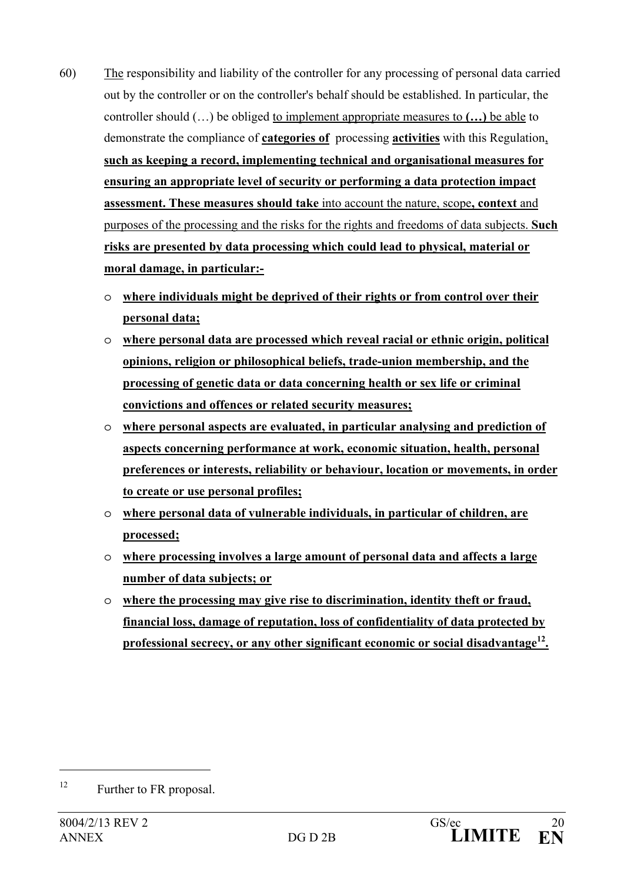- 60) The responsibility and liability of the controller for any processing of personal data carried out by the controller or on the controller's behalf should be established. In particular, the controller should (…) be obliged to implement appropriate measures to **(…)** be able to demonstrate the compliance of **categories of** processing **activities** with this Regulation, **such as keeping a record, implementing technical and organisational measures for ensuring an appropriate level of security or performing a data protection impact assessment. These measures should take** into account the nature, scope**, context** and purposes of the processing and the risks for the rights and freedoms of data subjects. **Such risks are presented by data processing which could lead to physical, material or moral damage, in particular:**
	- o **where individuals might be deprived of their rights or from control over their personal data;**
	- o **where personal data are processed which reveal racial or ethnic origin, political opinions, religion or philosophical beliefs, trade-union membership, and the processing of genetic data or data concerning health or sex life or criminal convictions and offences or related security measures;**
	- o **where personal aspects are evaluated, in particular analysing and prediction of aspects concerning performance at work, economic situation, health, personal preferences or interests, reliability or behaviour, location or movements, in order to create or use personal profiles;**
	- o **where personal data of vulnerable individuals, in particular of children, are processed;**
	- o **where processing involves a large amount of personal data and affects a large number of data subjects; or**
	- o **where the processing may give rise to discrimination, identity theft or fraud, financial loss, damage of reputation, loss of confidentiality of data protected by professional secrecy, or any other significant economic or social disadvantage<sup>12</sup> .**

<sup>&</sup>lt;sup>12</sup> Further to FR proposal.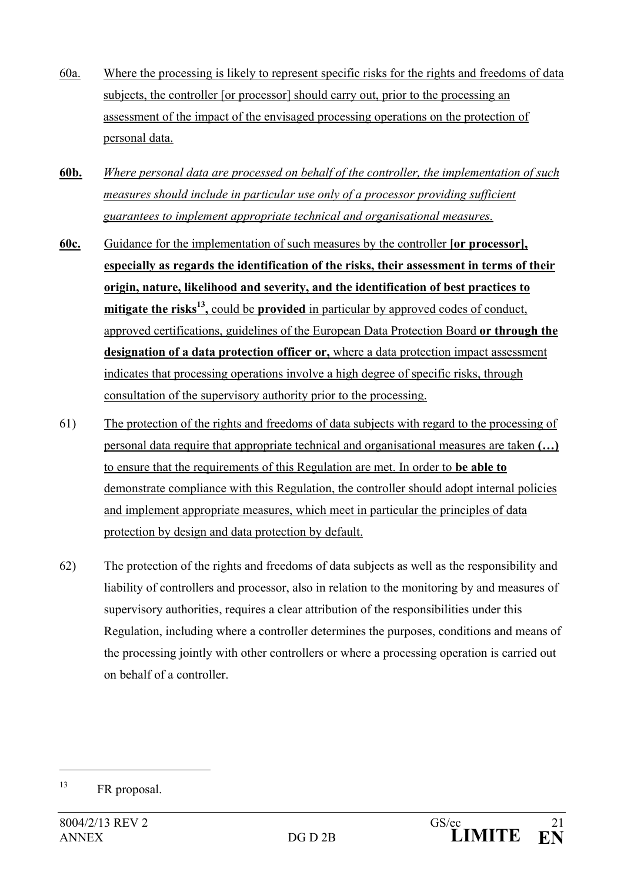- 60a. Where the processing is likely to represent specific risks for the rights and freedoms of data subjects, the controller [or processor] should carry out, prior to the processing an assessment of the impact of the envisaged processing operations on the protection of personal data.
- **60b.** *Where personal data are processed on behalf of the controller, the implementation of such measures should include in particular use only of a processor providing sufficient guarantees to implement appropriate technical and organisational measures.*
- **60c.** Guidance for the implementation of such measures by the controller **[or processor], especially as regards the identification of the risks, their assessment in terms of their origin, nature, likelihood and severity, and the identification of best practices to mitigate the risks<sup>13</sup> ,** could be **provided** in particular by approved codes of conduct, approved certifications, guidelines of the European Data Protection Board **or through the designation of a data protection officer or,** where a data protection impact assessment indicates that processing operations involve a high degree of specific risks, through consultation of the supervisory authority prior to the processing.
- 61) The protection of the rights and freedoms of data subjects with regard to the processing of personal data require that appropriate technical and organisational measures are taken **(…)**  to ensure that the requirements of this Regulation are met. In order to **be able to** demonstrate compliance with this Regulation, the controller should adopt internal policies and implement appropriate measures, which meet in particular the principles of data protection by design and data protection by default.
- 62) The protection of the rights and freedoms of data subjects as well as the responsibility and liability of controllers and processor, also in relation to the monitoring by and measures of supervisory authorities, requires a clear attribution of the responsibilities under this Regulation, including where a controller determines the purposes, conditions and means of the processing jointly with other controllers or where a processing operation is carried out on behalf of a controller.

<sup>&</sup>lt;sup>13</sup> FR proposal.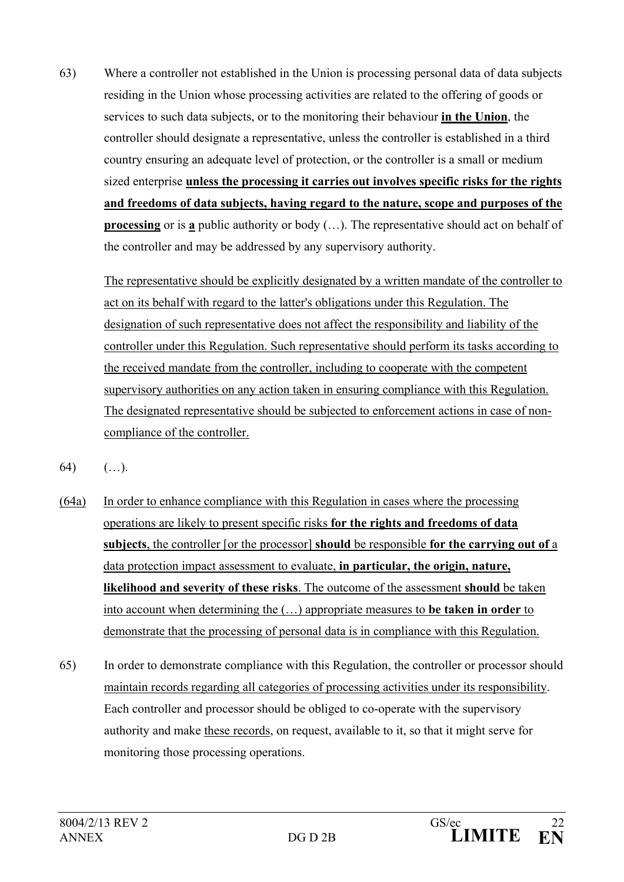63) Where a controller not established in the Union is processing personal data of data subjects residing in the Union whose processing activities are related to the offering of goods or services to such data subjects, or to the monitoring their behaviour **in the Union**, the controller should designate a representative, unless the controller is established in a third country ensuring an adequate level of protection, or the controller is a small or medium sized enterprise **unless the processing it carries out involves specific risks for the rights and freedoms of data subjects, having regard to the nature, scope and purposes of the processing** or is **a** public authority or body (...). The representative should act on behalf of the controller and may be addressed by any supervisory authority.

 The representative should be explicitly designated by a written mandate of the controller to act on its behalf with regard to the latter's obligations under this Regulation. The designation of such representative does not affect the responsibility and liability of the controller under this Regulation. Such representative should perform its tasks according to the received mandate from the controller, including to cooperate with the competent supervisory authorities on any action taken in ensuring compliance with this Regulation. The designated representative should be subjected to enforcement actions in case of noncompliance of the controller.

- $64)$   $($ ...).
- (64a) In order to enhance compliance with this Regulation in cases where the processing operations are likely to present specific risks **for the rights and freedoms of data subjects**, the controller [or the processor] **should** be responsible **for the carrying out of** a data protection impact assessment to evaluate, **in particular, the origin, nature, likelihood and severity of these risks**. The outcome of the assessment **should** be taken into account when determining the (…) appropriate measures to **be taken in order** to demonstrate that the processing of personal data is in compliance with this Regulation.
- 65) In order to demonstrate compliance with this Regulation, the controller or processor should maintain records regarding all categories of processing activities under its responsibility. Each controller and processor should be obliged to co-operate with the supervisory authority and make these records, on request, available to it, so that it might serve for monitoring those processing operations.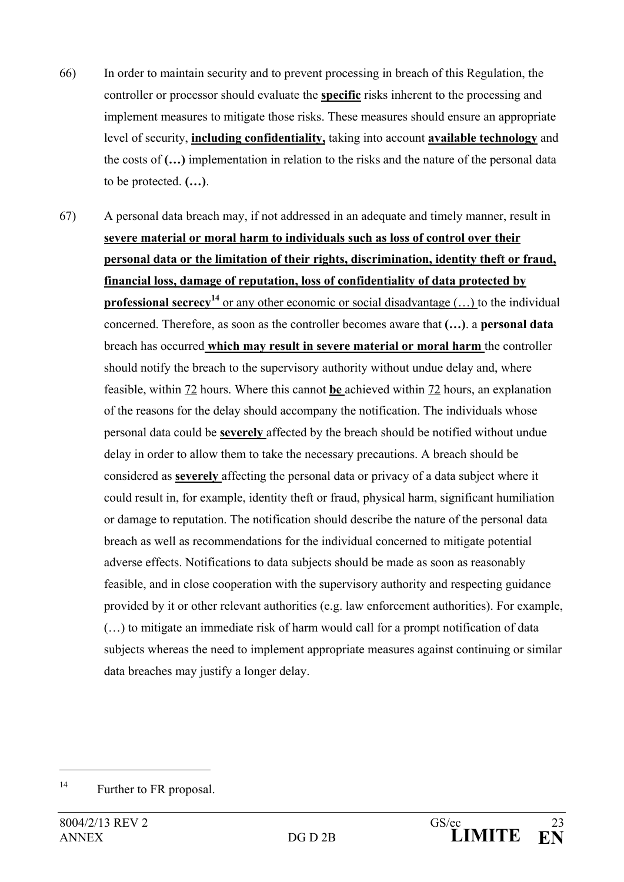- 66) In order to maintain security and to prevent processing in breach of this Regulation, the controller or processor should evaluate the **specific** risks inherent to the processing and implement measures to mitigate those risks. These measures should ensure an appropriate level of security, **including confidentiality,** taking into account **available technology** and the costs of **(…)** implementation in relation to the risks and the nature of the personal data to be protected. **(…)**.
- 67) A personal data breach may, if not addressed in an adequate and timely manner, result in **severe material or moral harm to individuals such as loss of control over their personal data or the limitation of their rights, discrimination, identity theft or fraud, financial loss, damage of reputation, loss of confidentiality of data protected by professional secrecy<sup>14</sup>** or any other economic or social disadvantage (...) to the individual concerned. Therefore, as soon as the controller becomes aware that **(…)**. a **personal data** breach has occurred **which may result in severe material or moral harm** the controller should notify the breach to the supervisory authority without undue delay and, where feasible, within 72 hours. Where this cannot **be** achieved within 72 hours, an explanation of the reasons for the delay should accompany the notification. The individuals whose personal data could be **severely** affected by the breach should be notified without undue delay in order to allow them to take the necessary precautions. A breach should be considered as **severely** affecting the personal data or privacy of a data subject where it could result in, for example, identity theft or fraud, physical harm, significant humiliation or damage to reputation. The notification should describe the nature of the personal data breach as well as recommendations for the individual concerned to mitigate potential adverse effects. Notifications to data subjects should be made as soon as reasonably feasible, and in close cooperation with the supervisory authority and respecting guidance provided by it or other relevant authorities (e.g. law enforcement authorities). For example, (…) to mitigate an immediate risk of harm would call for a prompt notification of data subjects whereas the need to implement appropriate measures against continuing or similar data breaches may justify a longer delay.

<sup>&</sup>lt;sup>14</sup> Further to FR proposal.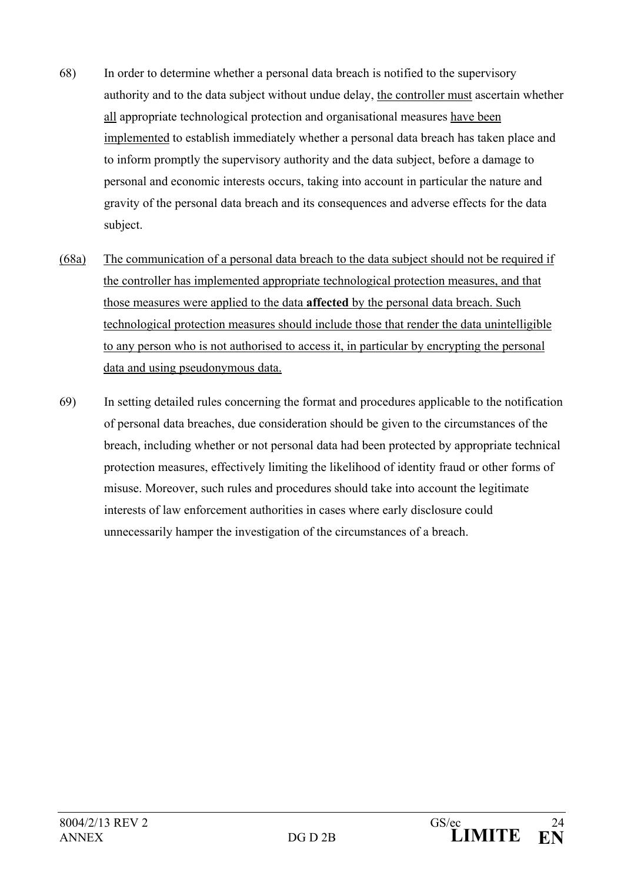- 68) In order to determine whether a personal data breach is notified to the supervisory authority and to the data subject without undue delay, the controller must ascertain whether all appropriate technological protection and organisational measures have been implemented to establish immediately whether a personal data breach has taken place and to inform promptly the supervisory authority and the data subject, before a damage to personal and economic interests occurs, taking into account in particular the nature and gravity of the personal data breach and its consequences and adverse effects for the data subject.
- (68a) The communication of a personal data breach to the data subject should not be required if the controller has implemented appropriate technological protection measures, and that those measures were applied to the data **affected** by the personal data breach. Such technological protection measures should include those that render the data unintelligible to any person who is not authorised to access it, in particular by encrypting the personal data and using pseudonymous data.
- 69) In setting detailed rules concerning the format and procedures applicable to the notification of personal data breaches, due consideration should be given to the circumstances of the breach, including whether or not personal data had been protected by appropriate technical protection measures, effectively limiting the likelihood of identity fraud or other forms of misuse. Moreover, such rules and procedures should take into account the legitimate interests of law enforcement authorities in cases where early disclosure could unnecessarily hamper the investigation of the circumstances of a breach.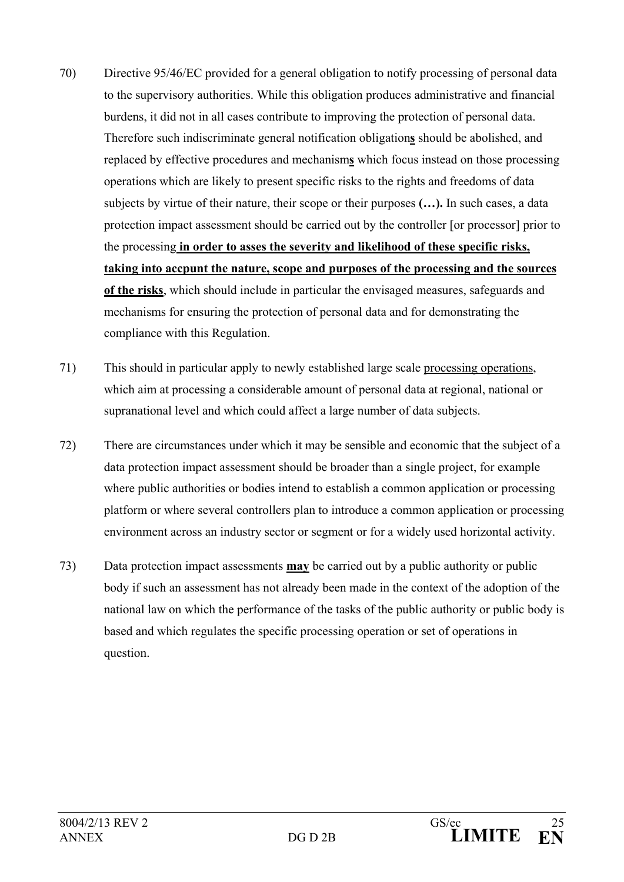- 70) Directive 95/46/EC provided for a general obligation to notify processing of personal data to the supervisory authorities. While this obligation produces administrative and financial burdens, it did not in all cases contribute to improving the protection of personal data. Therefore such indiscriminate general notification obligation**s** should be abolished, and replaced by effective procedures and mechanism**s** which focus instead on those processing operations which are likely to present specific risks to the rights and freedoms of data subjects by virtue of their nature, their scope or their purposes **(…).** In such cases, a data protection impact assessment should be carried out by the controller [or processor] prior to the processing **in order to asses the severity and likelihood of these specific risks, taking into accpunt the nature, scope and purposes of the processing and the sources of the risks**, which should include in particular the envisaged measures, safeguards and mechanisms for ensuring the protection of personal data and for demonstrating the compliance with this Regulation.
- 71) This should in particular apply to newly established large scale processing operations, which aim at processing a considerable amount of personal data at regional, national or supranational level and which could affect a large number of data subjects.
- 72) There are circumstances under which it may be sensible and economic that the subject of a data protection impact assessment should be broader than a single project, for example where public authorities or bodies intend to establish a common application or processing platform or where several controllers plan to introduce a common application or processing environment across an industry sector or segment or for a widely used horizontal activity.
- 73) Data protection impact assessments **may** be carried out by a public authority or public body if such an assessment has not already been made in the context of the adoption of the national law on which the performance of the tasks of the public authority or public body is based and which regulates the specific processing operation or set of operations in question.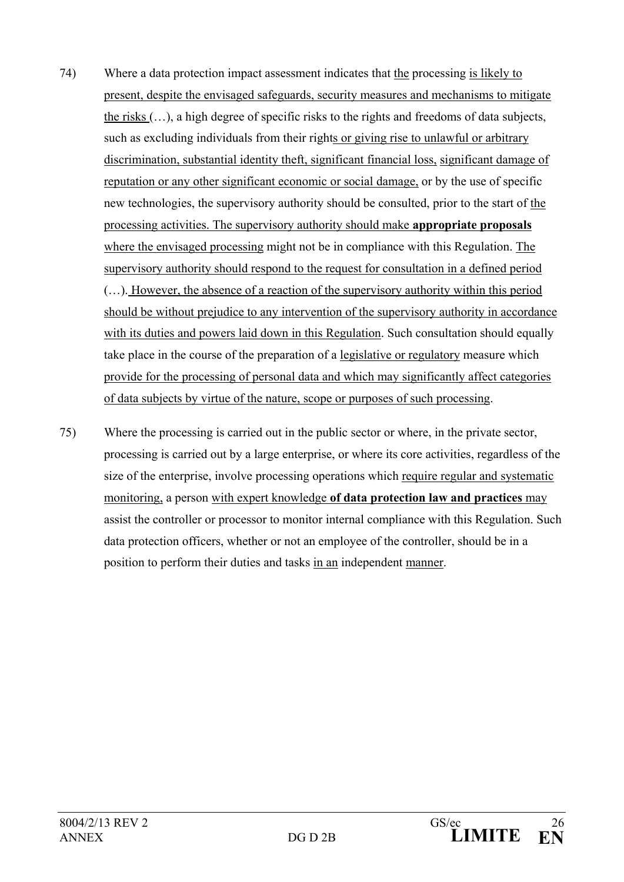- 74) Where a data protection impact assessment indicates that the processing is likely to present, despite the envisaged safeguards, security measures and mechanisms to mitigate the risks (…), a high degree of specific risks to the rights and freedoms of data subjects, such as excluding individuals from their rights or giving rise to unlawful or arbitrary discrimination, substantial identity theft, significant financial loss, significant damage of reputation or any other significant economic or social damage, or by the use of specific new technologies, the supervisory authority should be consulted, prior to the start of the processing activities. The supervisory authority should make **appropriate proposals** where the envisaged processing might not be in compliance with this Regulation. The supervisory authority should respond to the request for consultation in a defined period (…). However, the absence of a reaction of the supervisory authority within this period should be without prejudice to any intervention of the supervisory authority in accordance with its duties and powers laid down in this Regulation. Such consultation should equally take place in the course of the preparation of a legislative or regulatory measure which provide for the processing of personal data and which may significantly affect categories of data subjects by virtue of the nature, scope or purposes of such processing.
- 75) Where the processing is carried out in the public sector or where, in the private sector, processing is carried out by a large enterprise, or where its core activities, regardless of the size of the enterprise, involve processing operations which require regular and systematic monitoring, a person with expert knowledge **of data protection law and practices** may assist the controller or processor to monitor internal compliance with this Regulation. Such data protection officers, whether or not an employee of the controller, should be in a position to perform their duties and tasks in an independent manner.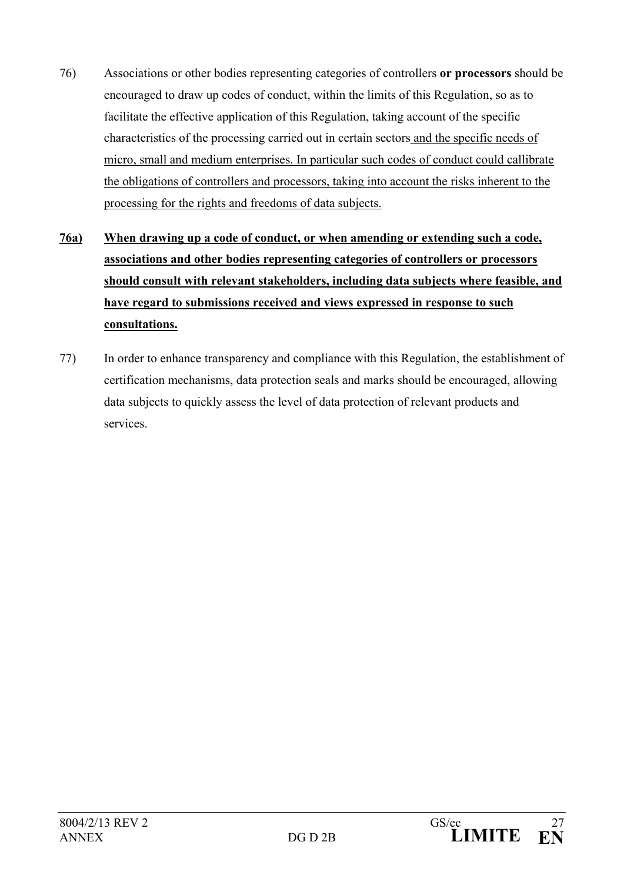- 76) Associations or other bodies representing categories of controllers **or processors** should be encouraged to draw up codes of conduct, within the limits of this Regulation, so as to facilitate the effective application of this Regulation, taking account of the specific characteristics of the processing carried out in certain sectors and the specific needs of micro, small and medium enterprises. In particular such codes of conduct could callibrate the obligations of controllers and processors, taking into account the risks inherent to the processing for the rights and freedoms of data subjects.
- **76a) When drawing up a code of conduct, or when amending or extending such a code, associations and other bodies representing categories of controllers or processors should consult with relevant stakeholders, including data subjects where feasible, and have regard to submissions received and views expressed in response to such consultations.**
- 77) In order to enhance transparency and compliance with this Regulation, the establishment of certification mechanisms, data protection seals and marks should be encouraged, allowing data subjects to quickly assess the level of data protection of relevant products and services.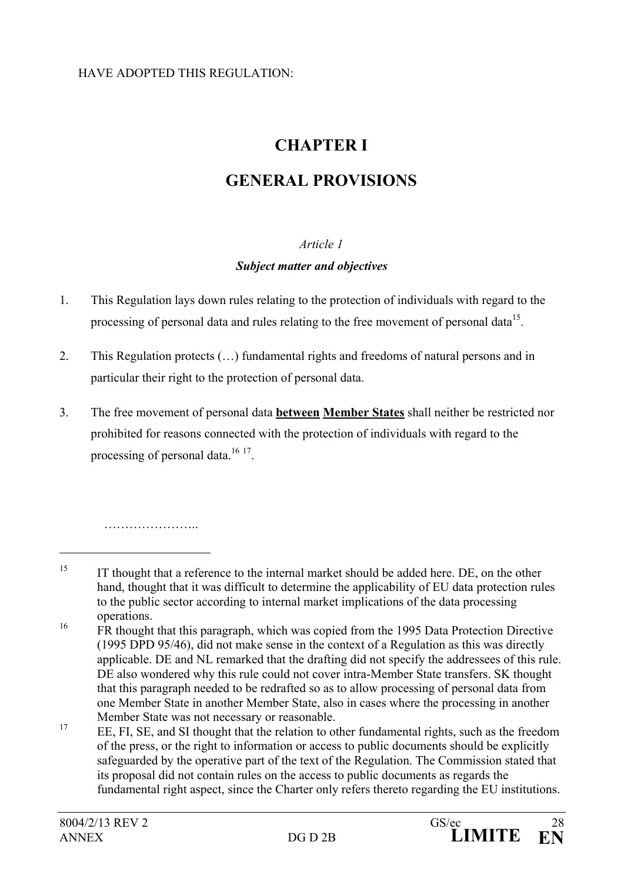#### HAVE ADOPTED THIS REGULATION:

## **CHAPTER I**

## **GENERAL PROVISIONS**

#### *Article 1*

#### *Subject matter and objectives*

- 1. This Regulation lays down rules relating to the protection of individuals with regard to the processing of personal data and rules relating to the free movement of personal data<sup>15</sup>.
- 2. This Regulation protects (…) fundamental rights and freedoms of natural persons and in particular their right to the protection of personal data.
- 3. The free movement of personal data **between Member States** shall neither be restricted nor prohibited for reasons connected with the protection of individuals with regard to the processing of personal data. $16 \frac{16}{17}$ .

 $15$  IT thought that a reference to the internal market should be added here. DE, on the other hand, thought that it was difficult to determine the applicability of EU data protection rules to the public sector according to internal market implications of the data processing operations.

<sup>16</sup> FR thought that this paragraph, which was copied from the 1995 Data Protection Directive (1995 DPD 95/46), did not make sense in the context of a Regulation as this was directly applicable. DE and NL remarked that the drafting did not specify the addressees of this rule. DE also wondered why this rule could not cover intra-Member State transfers. SK thought that this paragraph needed to be redrafted so as to allow processing of personal data from one Member State in another Member State, also in cases where the processing in another Member State was not necessary or reasonable.

<sup>17</sup> EE, FI, SE, and SI thought that the relation to other fundamental rights, such as the freedom of the press, or the right to information or access to public documents should be explicitly safeguarded by the operative part of the text of the Regulation. The Commission stated that its proposal did not contain rules on the access to public documents as regards the fundamental right aspect, since the Charter only refers thereto regarding the EU institutions.

…………………..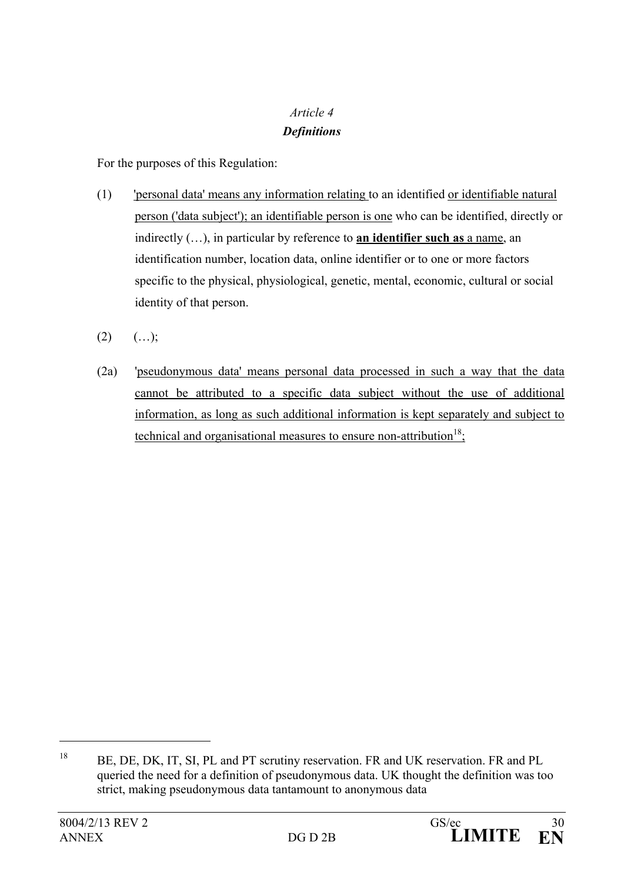## *Article 4 Definitions*

For the purposes of this Regulation:

- (1) 'personal data' means any information relating to an identified or identifiable natural person ('data subject'); an identifiable person is one who can be identified, directly or indirectly (…), in particular by reference to **an identifier such as** a name, an identification number, location data, online identifier or to one or more factors specific to the physical, physiological, genetic, mental, economic, cultural or social identity of that person.
- $(2)$   $(...);$
- (2a) 'pseudonymous data' means personal data processed in such a way that the data cannot be attributed to a specific data subject without the use of additional information, as long as such additional information is kept separately and subject to technical and organisational measures to ensure non-attribution $18$ ;

<sup>&</sup>lt;sup>18</sup> BE, DE, DK, IT, SI, PL and PT scrutiny reservation. FR and UK reservation. FR and PL queried the need for a definition of pseudonymous data. UK thought the definition was too strict, making pseudonymous data tantamount to anonymous data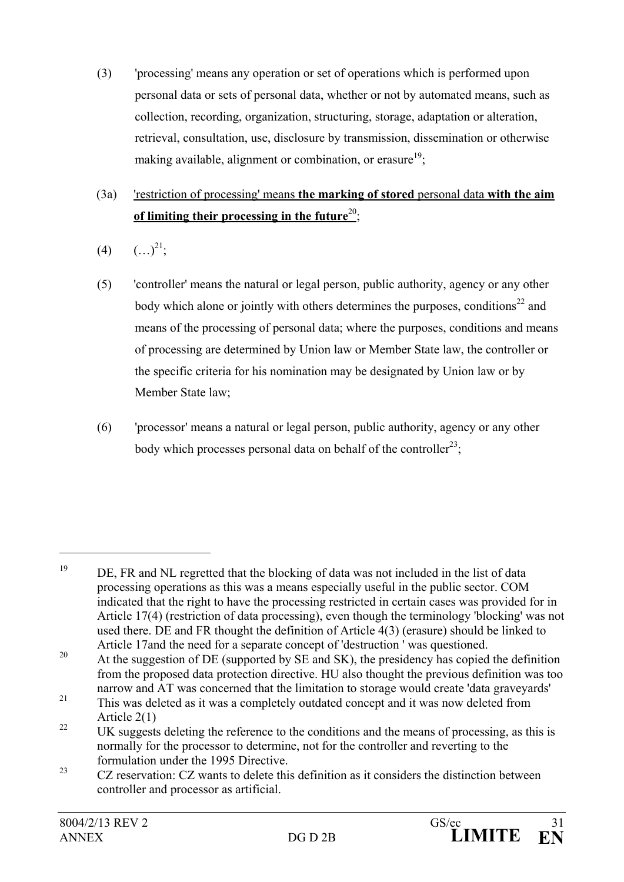- (3) 'processing' means any operation or set of operations which is performed upon personal data or sets of personal data, whether or not by automated means, such as collection, recording, organization, structuring, storage, adaptation or alteration, retrieval, consultation, use, disclosure by transmission, dissemination or otherwise making available, alignment or combination, or erasure<sup>19</sup>;
- (3a) 'restriction of processing' means **the marking of stored** personal data **with the aim**  of limiting their processing in the future<sup>20</sup>:
- (4)  $(\ldots)^{21}$ ;
- (5) 'controller' means the natural or legal person, public authority, agency or any other body which alone or jointly with others determines the purposes, conditions<sup>22</sup> and means of the processing of personal data; where the purposes, conditions and means of processing are determined by Union law or Member State law, the controller or the specific criteria for his nomination may be designated by Union law or by Member State law;
- (6) 'processor' means a natural or legal person, public authority, agency or any other body which processes personal data on behalf of the controller<sup>23</sup>:

<sup>&</sup>lt;sup>19</sup> DE, FR and NL regretted that the blocking of data was not included in the list of data processing operations as this was a means especially useful in the public sector. COM indicated that the right to have the processing restricted in certain cases was provided for in Article 17(4) (restriction of data processing), even though the terminology 'blocking' was not used there. DE and FR thought the definition of Article 4(3) (erasure) should be linked to Article 17and the need for a separate concept of 'destruction ' was questioned.

<sup>&</sup>lt;sup>20</sup> At the suggestion of DE (supported by SE and SK), the presidency has copied the definition from the proposed data protection directive. HU also thought the previous definition was too narrow and AT was concerned that the limitation to storage would create 'data graveyards'

<sup>&</sup>lt;sup>21</sup> This was deleted as it was a completely outdated concept and it was now deleted from Article 2(1)

<sup>&</sup>lt;sup>22</sup> UK suggests deleting the reference to the conditions and the means of processing, as this is normally for the processor to determine, not for the controller and reverting to the formulation under the 1995 Directive.

<sup>&</sup>lt;sup>23</sup> CZ reservation: CZ wants to delete this definition as it considers the distinction between controller and processor as artificial.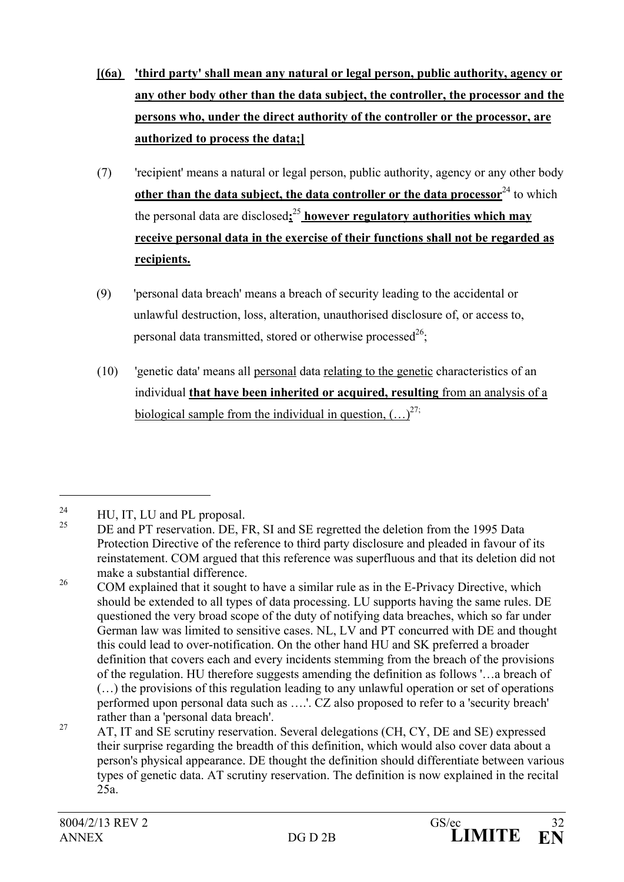- **[(6a) 'third party' shall mean any natural or legal person, public authority, agency or any other body other than the data subject, the controller, the processor and the persons who, under the direct authority of the controller or the processor, are authorized to process the data;]**
- (7) 'recipient' means a natural or legal person, public authority, agency or any other body **other than the data subject, the data controller or the data processor**<sup>24</sup> to which the personal data are disclosed**;** <sup>25</sup> **however regulatory authorities which may receive personal data in the exercise of their functions shall not be regarded as recipients.**
- (9) 'personal data breach' means a breach of security leading to the accidental or unlawful destruction, loss, alteration, unauthorised disclosure of, or access to, personal data transmitted, stored or otherwise processed $^{26}$ :
- (10) 'genetic data' means all personal data relating to the genetic characteristics of an individual **that have been inherited or acquired, resulting** from an analysis of a biological sample from the individual in question,  $(...)^{27}$ ;

<sup>&</sup>lt;sup>24</sup> HU, IT, LU and PL proposal.<br><sup>25</sup> DE and PT proposation DE E

<sup>25</sup> DE and PT reservation. DE, FR, SI and SE regretted the deletion from the 1995 Data Protection Directive of the reference to third party disclosure and pleaded in favour of its reinstatement. COM argued that this reference was superfluous and that its deletion did not make a substantial difference.

<sup>&</sup>lt;sup>26</sup> COM explained that it sought to have a similar rule as in the E-Privacy Directive, which should be extended to all types of data processing. LU supports having the same rules. DE questioned the very broad scope of the duty of notifying data breaches, which so far under German law was limited to sensitive cases. NL, LV and PT concurred with DE and thought this could lead to over-notification. On the other hand HU and SK preferred a broader definition that covers each and every incidents stemming from the breach of the provisions of the regulation. HU therefore suggests amending the definition as follows '…a breach of (…) the provisions of this regulation leading to any unlawful operation or set of operations performed upon personal data such as ….'. CZ also proposed to refer to a 'security breach' rather than a 'personal data breach'.

<sup>&</sup>lt;sup>27</sup> AT, IT and SE scrutiny reservation. Several delegations (CH, CY, DE and SE) expressed their surprise regarding the breadth of this definition, which would also cover data about a person's physical appearance. DE thought the definition should differentiate between various types of genetic data. AT scrutiny reservation. The definition is now explained in the recital 25a.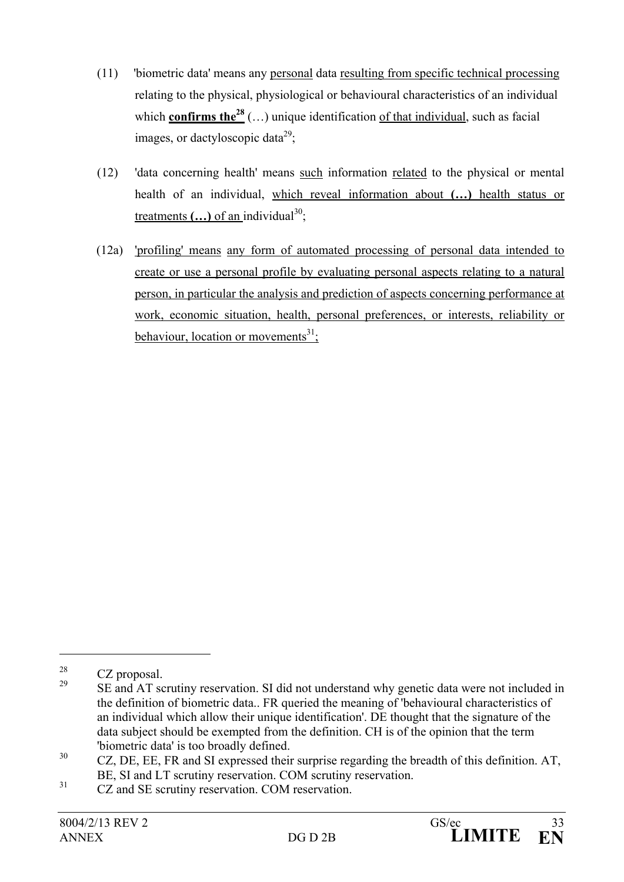- (11) 'biometric data' means any personal data resulting from specific technical processing relating to the physical, physiological or behavioural characteristics of an individual which **confirms the**<sup>28</sup> (...) unique identification of that individual, such as facial images, or dactyloscopic data<sup>29</sup>:
- (12) 'data concerning health' means such information related to the physical or mental health of an individual, which reveal information about **(…)** health status or treatments  $($ ...) of an individual<sup>30</sup>;
- (12a) 'profiling' means any form of automated processing of personal data intended to create or use a personal profile by evaluating personal aspects relating to a natural person, in particular the analysis and prediction of aspects concerning performance at work, economic situation, health, personal preferences, or interests, reliability or behaviour, location or movements $^{31}$ ;

 $\frac{28}{29}$  CZ proposal.

SE and AT scrutiny reservation. SI did not understand why genetic data were not included in the definition of biometric data.. FR queried the meaning of 'behavioural characteristics of an individual which allow their unique identification'. DE thought that the signature of the data subject should be exempted from the definition. CH is of the opinion that the term 'biometric data' is too broadly defined.

<sup>&</sup>lt;sup>30</sup> CZ, DE, EE, FR and SI expressed their surprise regarding the breadth of this definition. AT, BE, SI and LT scrutiny reservation. COM scrutiny reservation.

<sup>&</sup>lt;sup>31</sup> CZ and SE scrutiny reservation. COM reservation.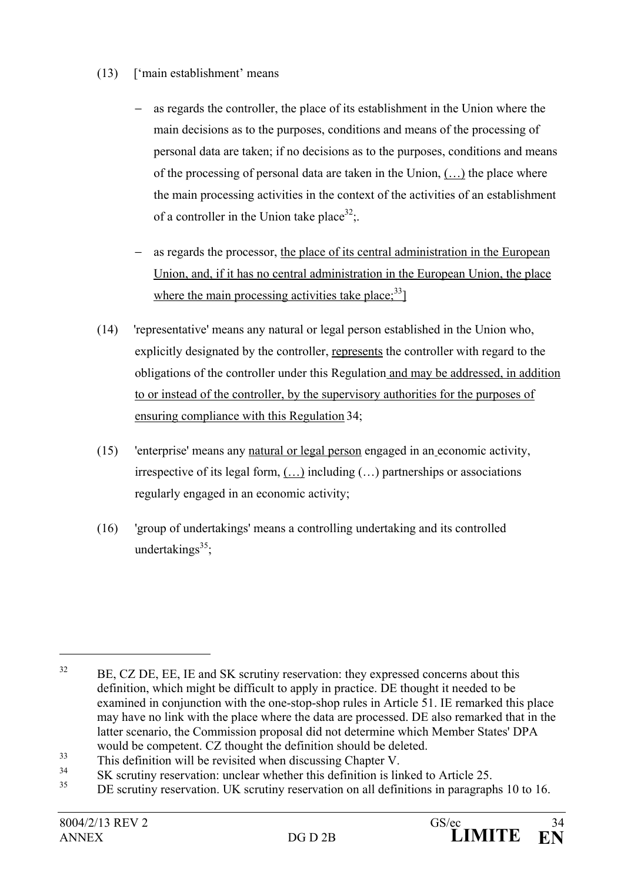#### (13) ['main establishment' means

- as regards the controller, the place of its establishment in the Union where the main decisions as to the purposes, conditions and means of the processing of personal data are taken; if no decisions as to the purposes, conditions and means of the processing of personal data are taken in the Union, (…) the place where the main processing activities in the context of the activities of an establishment of a controller in the Union take place<sup>32</sup>.
- − as regards the processor, the place of its central administration in the European Union, and, if it has no central administration in the European Union, the place where the main processing activities take place;  $33$ ]
- (14) 'representative' means any natural or legal person established in the Union who, explicitly designated by the controller, represents the controller with regard to the obligations of the controller under this Regulation and may be addressed, in addition to or instead of the controller, by the supervisory authorities for the purposes of ensuring compliance with this Regulation 34;
- (15) 'enterprise' means any natural or legal person engaged in an economic activity, irrespective of its legal form, (…) including (…) partnerships or associations regularly engaged in an economic activity;
- (16) 'group of undertakings' means a controlling undertaking and its controlled undertakings $35$ ;

<sup>&</sup>lt;sup>32</sup> BE, CZ DE, EE, IE and SK scrutiny reservation: they expressed concerns about this definition, which might be difficult to apply in practice. DE thought it needed to be examined in conjunction with the one-stop-shop rules in Article 51. IE remarked this place may have no link with the place where the data are processed. DE also remarked that in the latter scenario, the Commission proposal did not determine which Member States' DPA would be competent. CZ thought the definition should be deleted.

 $\frac{33}{24}$  This definition will be revisited when discussing Chapter V.

 $\frac{34}{35}$  SK scrutiny reservation: unclear whether this definition is linked to Article 25.

DE scrutiny reservation. UK scrutiny reservation on all definitions in paragraphs 10 to 16.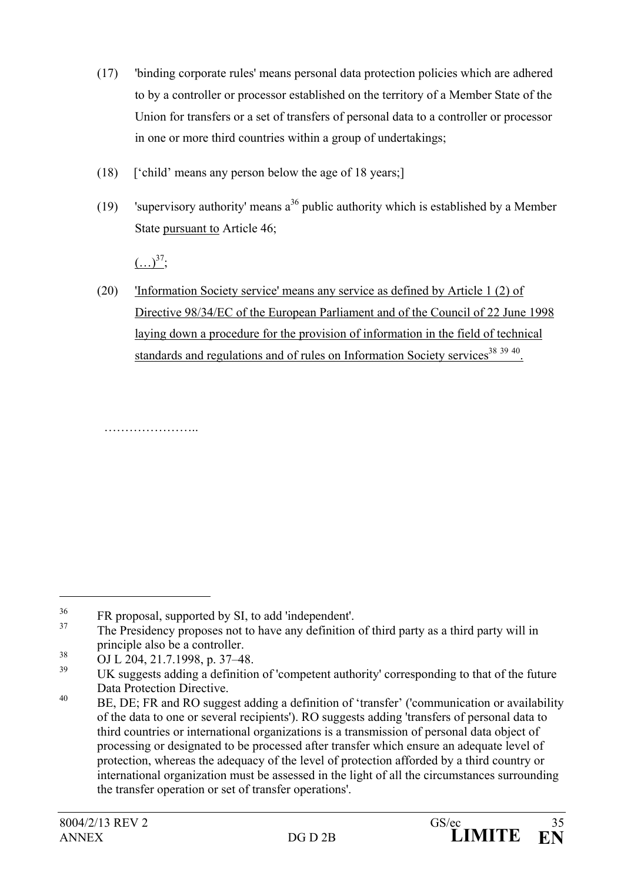- (17) 'binding corporate rules' means personal data protection policies which are adhered to by a controller or processor established on the territory of a Member State of the Union for transfers or a set of transfers of personal data to a controller or processor in one or more third countries within a group of undertakings;
- (18) ['child' means any person below the age of 18 years;]
- (19) 'supervisory authority' means  $a^{36}$  public authority which is established by a Member State pursuant to Article 46;

 $(...)^{37}$ ;

(20) 'Information Society service' means any service as defined by Article 1 (2) of Directive 98/34/EC of the European Parliament and of the Council of 22 June 1998 laying down a procedure for the provision of information in the field of technical standards and regulations and of rules on Information Society services<sup>38</sup> 39 40.

……………………

 $\frac{36}{37}$  FR proposal, supported by SI, to add 'independent'.

The Presidency proposes not to have any definition of third party as a third party will in principle also be a controller.

 $\frac{38}{39}$  OJ L 204, 21.7.1998, p. 37–48.

UK suggests adding a definition of 'competent authority' corresponding to that of the future Data Protection Directive.

<sup>&</sup>lt;sup>40</sup> BE, DE; FR and RO suggest adding a definition of 'transfer' ('communication or availability of the data to one or several recipients'). RO suggests adding 'transfers of personal data to third countries or international organizations is a transmission of personal data object of processing or designated to be processed after transfer which ensure an adequate level of protection, whereas the adequacy of the level of protection afforded by a third country or international organization must be assessed in the light of all the circumstances surrounding the transfer operation or set of transfer operations'.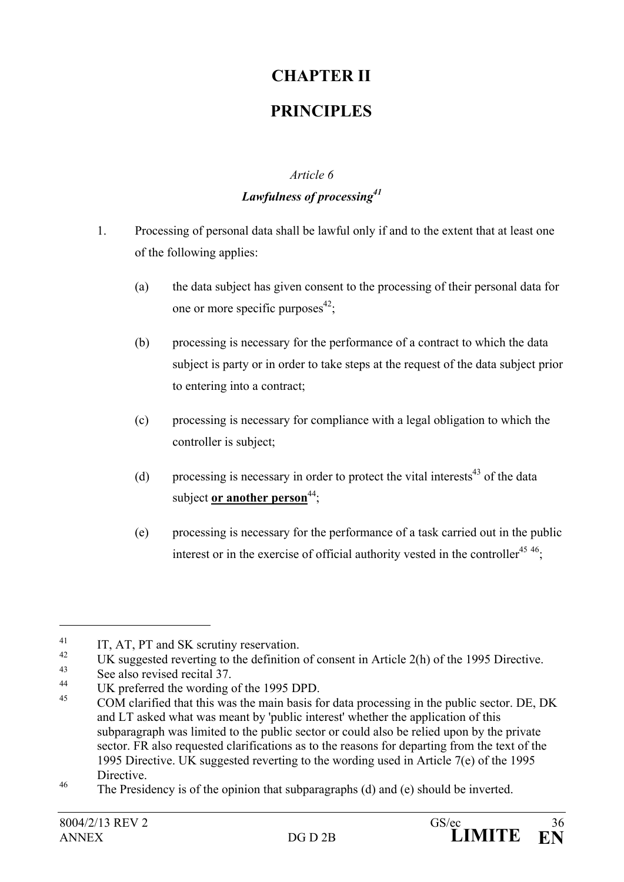# **CHAPTER II**

## **PRINCIPLES**

#### *Article 6*

### *Lawfulness of processing<sup>41</sup>*

- 1. Processing of personal data shall be lawful only if and to the extent that at least one of the following applies:
	- (a) the data subject has given consent to the processing of their personal data for one or more specific purposes $^{42}$ ;
	- (b) processing is necessary for the performance of a contract to which the data subject is party or in order to take steps at the request of the data subject prior to entering into a contract;
	- (c) processing is necessary for compliance with a legal obligation to which the controller is subject;
	- (d) processing is necessary in order to protect the vital interests<sup>43</sup> of the data subject **or another person**<sup>44</sup>:
	- (e) processing is necessary for the performance of a task carried out in the public interest or in the exercise of official authority vested in the controller<sup>45 46</sup>;

<sup>&</sup>lt;sup>41</sup> IT, AT, PT and SK scrutiny reservation.

<sup>&</sup>lt;sup>42</sup> UK suggested reverting to the definition of consent in Article 2(h) of the 1995 Directive.

 $^{43}$  See also revised recital 37.

<sup>&</sup>lt;sup>44</sup> UK preferred the wording of the 1995 DPD.

<sup>45</sup> COM clarified that this was the main basis for data processing in the public sector. DE, DK and LT asked what was meant by 'public interest' whether the application of this subparagraph was limited to the public sector or could also be relied upon by the private sector. FR also requested clarifications as to the reasons for departing from the text of the 1995 Directive. UK suggested reverting to the wording used in Article 7(e) of the 1995 Directive.

<sup>&</sup>lt;sup>46</sup>The Presidency is of the opinion that subparagraphs (d) and (e) should be inverted.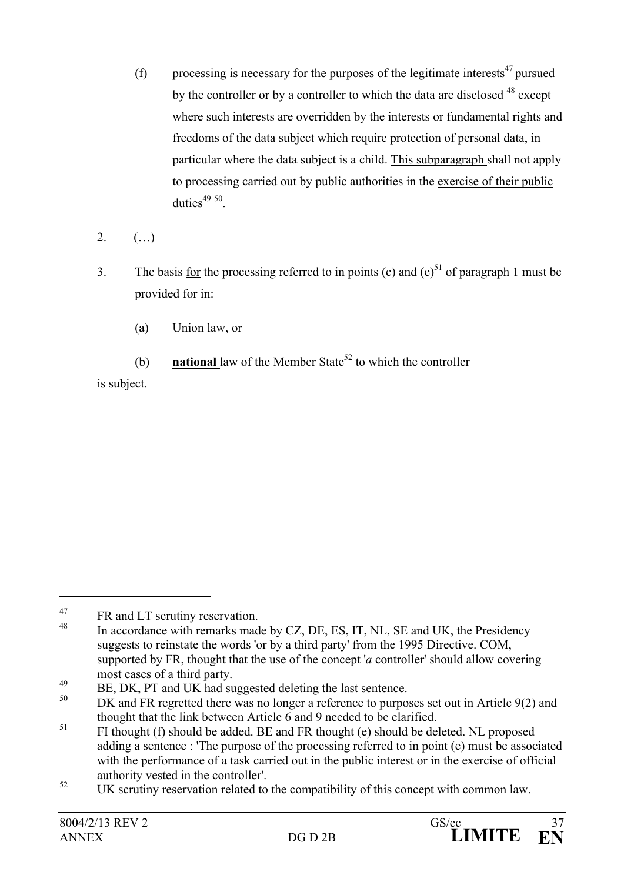- (f) processing is necessary for the purposes of the legitimate interests<sup>47</sup> pursued by the controller or by a controller to which the data are disclosed  $^{48}$  except where such interests are overridden by the interests or fundamental rights and freedoms of the data subject which require protection of personal data, in particular where the data subject is a child. This subparagraph shall not apply to processing carried out by public authorities in the exercise of their public  $duties^{49}$ <sup>50</sup>.
- $2.$   $(...)$
- 3. The basis for the processing referred to in points (c) and  $(e)^{51}$  of paragraph 1 must be provided for in:
	- (a) Union law, or
	- (b) **national** law of the Member State<sup>52</sup> to which the controller

is subject.

 $^{47}_{48}$  FR and LT scrutiny reservation.

In accordance with remarks made by CZ, DE, ES, IT, NL, SE and UK, the Presidency suggests to reinstate the words 'or by a third party' from the 1995 Directive. COM, supported by FR, thought that the use of the concept '*a* controller' should allow covering most cases of a third party.

 $^{49}$  BE, DK, PT and UK had suggested deleting the last sentence.

DK and FR regretted there was no longer a reference to purposes set out in Article 9(2) and thought that the link between Article 6 and 9 needed to be clarified.

<sup>&</sup>lt;sup>51</sup> FI thought (f) should be added. BE and FR thought (e) should be deleted. NL proposed adding a sentence : 'The purpose of the processing referred to in point (e) must be associated with the performance of a task carried out in the public interest or in the exercise of official authority vested in the controller'.

 $52$  UK scrutiny reservation related to the compatibility of this concept with common law.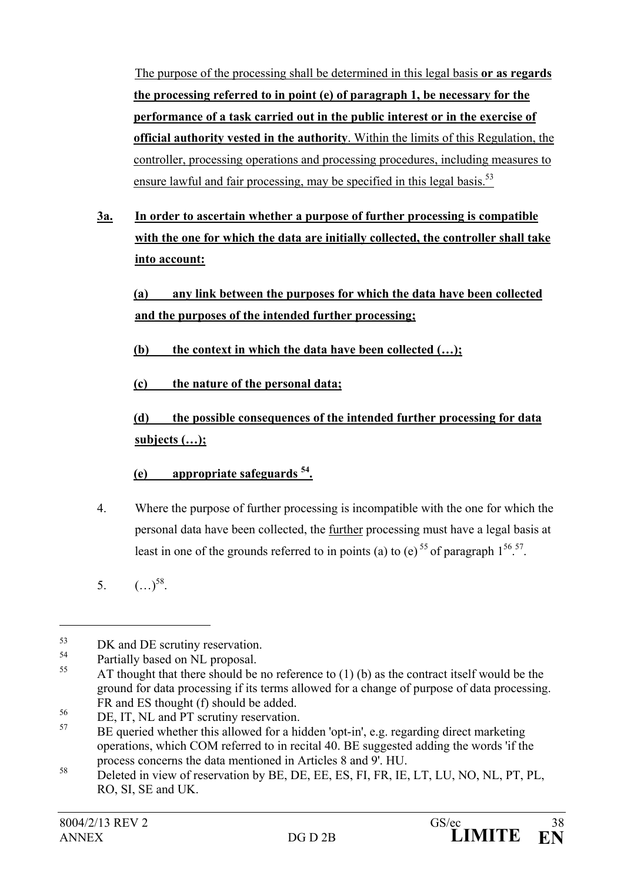The purpose of the processing shall be determined in this legal basis **or as regards the processing referred to in point (e) of paragraph 1, be necessary for the performance of a task carried out in the public interest or in the exercise of official authority vested in the authority**. Within the limits of this Regulation, the controller, processing operations and processing procedures, including measures to ensure lawful and fair processing, may be specified in this legal basis.<sup>53</sup>

**3a. In order to ascertain whether a purpose of further processing is compatible with the one for which the data are initially collected, the controller shall take into account:**

**(a) any link between the purposes for which the data have been collected and the purposes of the intended further processing;** 

**(b) the context in which the data have been collected (…);**

**(c) the nature of the personal data;**

**(d) the possible consequences of the intended further processing for data subjects (…);**

**(e) appropriate safeguards <sup>54</sup> .**

4. Where the purpose of further processing is incompatible with the one for which the personal data have been collected, the further processing must have a legal basis at least in one of the grounds referred to in points (a) to (e)<sup>55</sup> of paragraph  $1^{56}$ .<sup>57</sup>.

5.  $(\ldots)^{58}$ .

 $53$  DK and DE scrutiny reservation.

 $^{54}$  Partially based on NL proposal.

 $\overline{AT}$  thought that there should be no reference to (1) (b) as the contract itself would be the ground for data processing if its terms allowed for a change of purpose of data processing. FR and ES thought (f) should be added.

 $56$  DE, IT, NL and PT scrutiny reservation.

<sup>57</sup> BE queried whether this allowed for a hidden 'opt-in', e.g. regarding direct marketing operations, which COM referred to in recital 40. BE suggested adding the words 'if the process concerns the data mentioned in Articles 8 and 9'. HU.

<sup>&</sup>lt;sup>58</sup> Deleted in view of reservation by BE, DE, EE, ES, FI, FR, IE, LT, LU, NO, NL, PT, PL, RO, SI, SE and UK.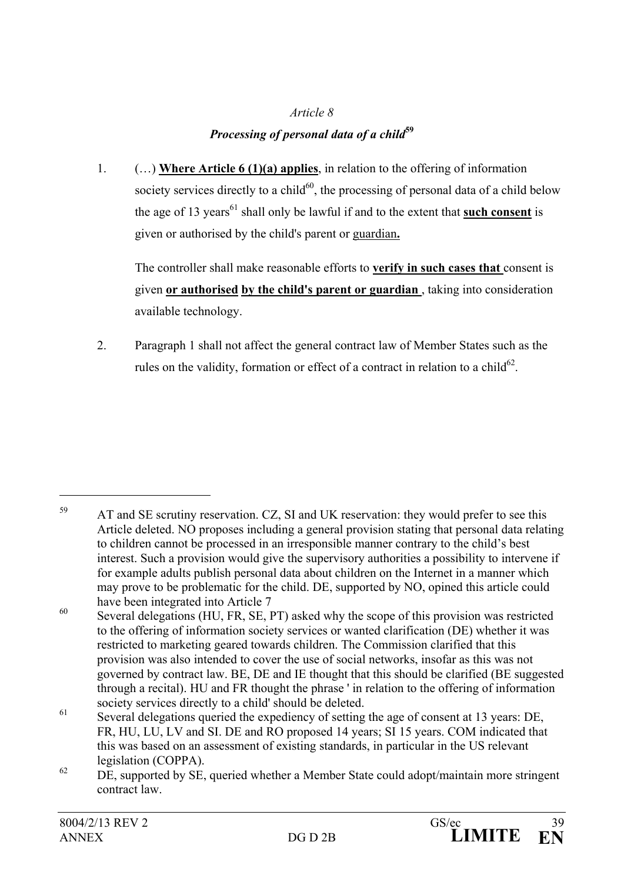#### *Article 8*

### *Processing of personal data of a child***<sup>59</sup>**

1. (…) **Where Article 6 (1)(a) applies**, in relation to the offering of information society services directly to a child<sup>60</sup>, the processing of personal data of a child below the age of 13 years<sup>61</sup> shall only be lawful if and to the extent that **such consent** is given or authorised by the child's parent or guardian**.**

The controller shall make reasonable efforts to **verify in such cases that** consent is given **or authorised by the child's parent or guardian** , taking into consideration available technology.

2. Paragraph 1 shall not affect the general contract law of Member States such as the rules on the validity, formation or effect of a contract in relation to a child<sup>62</sup>.

<sup>&</sup>lt;sup>59</sup> AT and SE scrutiny reservation. CZ, SI and UK reservation: they would prefer to see this Article deleted. NO proposes including a general provision stating that personal data relating to children cannot be processed in an irresponsible manner contrary to the child's best interest. Such a provision would give the supervisory authorities a possibility to intervene if for example adults publish personal data about children on the Internet in a manner which may prove to be problematic for the child. DE, supported by NO, opined this article could have been integrated into Article 7

<sup>60</sup> Several delegations (HU, FR, SE, PT) asked why the scope of this provision was restricted to the offering of information society services or wanted clarification (DE) whether it was restricted to marketing geared towards children. The Commission clarified that this provision was also intended to cover the use of social networks, insofar as this was not governed by contract law. BE, DE and IE thought that this should be clarified (BE suggested through a recital). HU and FR thought the phrase ' in relation to the offering of information society services directly to a child' should be deleted.

<sup>61</sup> Several delegations queried the expediency of setting the age of consent at 13 years: DE, FR, HU, LU, LV and SI. DE and RO proposed 14 years; SI 15 years. COM indicated that this was based on an assessment of existing standards, in particular in the US relevant legislation (COPPA).

 $\overline{62}$  DE, supported by SE, queried whether a Member State could adopt/maintain more stringent contract law.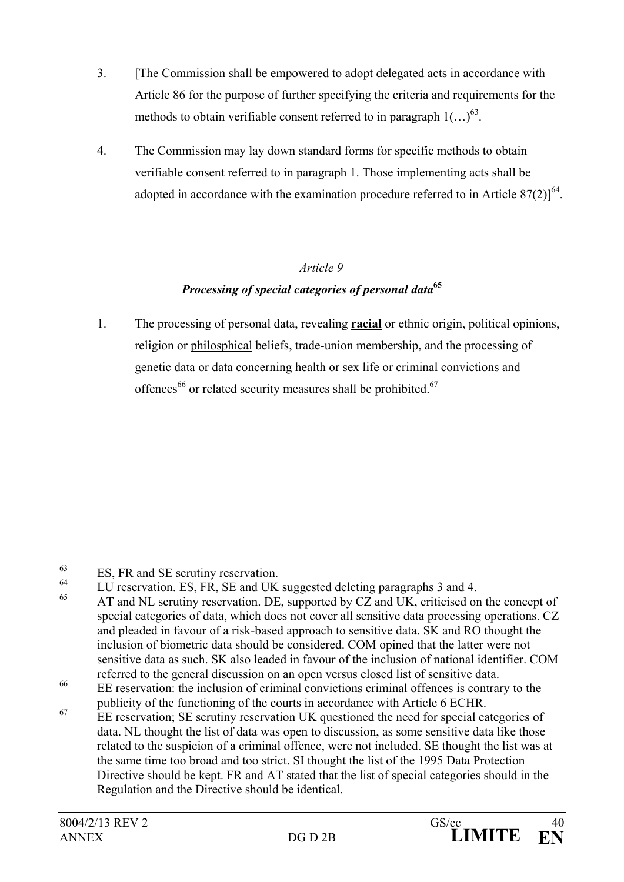- 3. [The Commission shall be empowered to adopt delegated acts in accordance with Article 86 for the purpose of further specifying the criteria and requirements for the methods to obtain verifiable consent referred to in paragraph  $1(...)^{63}$ .
- 4. The Commission may lay down standard forms for specific methods to obtain verifiable consent referred to in paragraph 1. Those implementing acts shall be adopted in accordance with the examination procedure referred to in Article  $87(2)$ <sup>64</sup>.

# *Article 9 Processing of special categories of personal data***<sup>65</sup>**

1. The processing of personal data, revealing **racial** or ethnic origin, political opinions, religion or philosphical beliefs, trade-union membership, and the processing of genetic data or data concerning health or sex life or criminal convictions and  $\delta$  offences<sup>66</sup> or related security measures shall be prohibited.<sup>67</sup>

 $^{63}_{64}$  ES, FR and SE scrutiny reservation.

<sup>&</sup>lt;sup>64</sup> LU reservation. ES, FR, SE and UK suggested deleting paragraphs 3 and 4.

AT and NL scrutiny reservation. DE, supported by CZ and UK, criticised on the concept of special categories of data, which does not cover all sensitive data processing operations. CZ and pleaded in favour of a risk-based approach to sensitive data. SK and RO thought the inclusion of biometric data should be considered. COM opined that the latter were not sensitive data as such. SK also leaded in favour of the inclusion of national identifier. COM referred to the general discussion on an open versus closed list of sensitive data.

<sup>66</sup> EE reservation: the inclusion of criminal convictions criminal offences is contrary to the publicity of the functioning of the courts in accordance with Article 6 ECHR.

<sup>67</sup> EE reservation; SE scrutiny reservation UK questioned the need for special categories of data. NL thought the list of data was open to discussion, as some sensitive data like those related to the suspicion of a criminal offence, were not included. SE thought the list was at the same time too broad and too strict. SI thought the list of the 1995 Data Protection Directive should be kept. FR and AT stated that the list of special categories should in the Regulation and the Directive should be identical.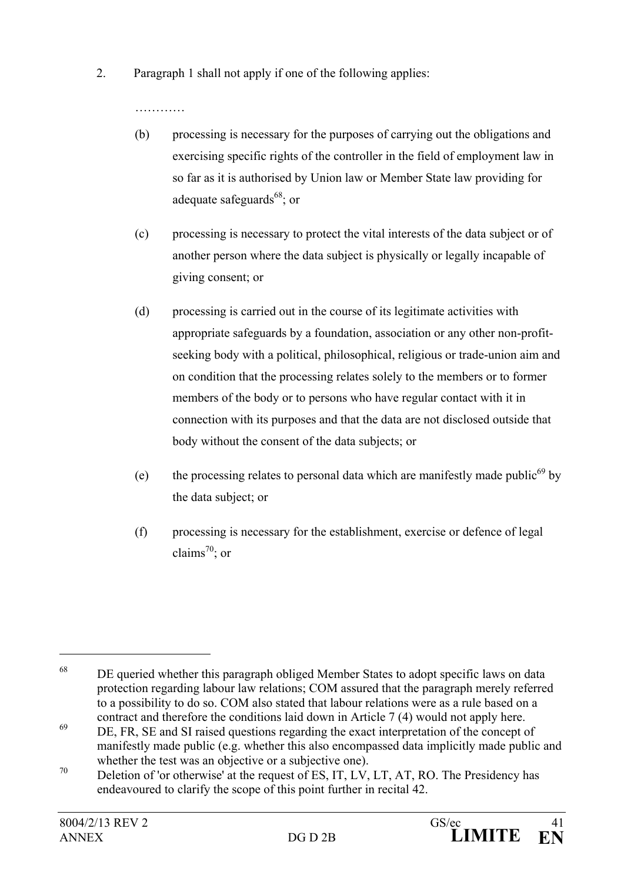2. Paragraph 1 shall not apply if one of the following applies:

……………

- (b) processing is necessary for the purposes of carrying out the obligations and exercising specific rights of the controller in the field of employment law in so far as it is authorised by Union law or Member State law providing for adequate safeguards $^{68}$ ; or
- (c) processing is necessary to protect the vital interests of the data subject or of another person where the data subject is physically or legally incapable of giving consent; or
- (d) processing is carried out in the course of its legitimate activities with appropriate safeguards by a foundation, association or any other non-profitseeking body with a political, philosophical, religious or trade-union aim and on condition that the processing relates solely to the members or to former members of the body or to persons who have regular contact with it in connection with its purposes and that the data are not disclosed outside that body without the consent of the data subjects; or
- (e) the processing relates to personal data which are manifestly made public<sup>69</sup> by the data subject; or
- (f) processing is necessary for the establishment, exercise or defence of legal claims<sup>70</sup>; or

<sup>&</sup>lt;sup>68</sup> DE queried whether this paragraph obliged Member States to adopt specific laws on data protection regarding labour law relations; COM assured that the paragraph merely referred to a possibility to do so. COM also stated that labour relations were as a rule based on a contract and therefore the conditions laid down in Article 7 (4) would not apply here.

 $69$  DE, FR, SE and SI raised questions regarding the exact interpretation of the concept of manifestly made public (e.g. whether this also encompassed data implicitly made public and whether the test was an objective or a subjective one).

<sup>70</sup> Deletion of 'or otherwise' at the request of ES, IT, LV, LT, AT, RO. The Presidency has endeavoured to clarify the scope of this point further in recital 42.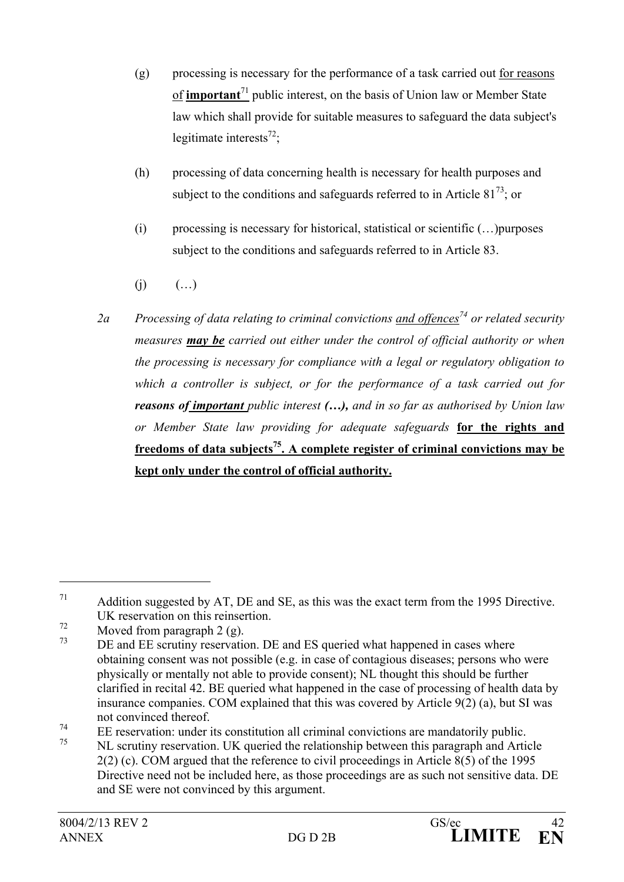- (g) processing is necessary for the performance of a task carried out for reasons of **important**<sup>71</sup> public interest, on the basis of Union law or Member State law which shall provide for suitable measures to safeguard the data subject's legitimate interests $^{72}$ ;
- (h) processing of data concerning health is necessary for health purposes and subject to the conditions and safeguards referred to in Article  $81^{73}$ ; or
- (i) processing is necessary for historical, statistical or scientific (…)purposes subject to the conditions and safeguards referred to in Article 83.
- $(i)$   $(...)$
- *2a Processing of data relating to criminal convictions and offences<sup>74</sup> or related security measures may be carried out either under the control of official authority or when the processing is necessary for compliance with a legal or regulatory obligation to which a controller is subject, or for the performance of a task carried out for reasons of important public interest (…), and in so far as authorised by Union law or Member State law providing for adequate safeguards* **for the rights and freedoms of data subjects<sup>75</sup>. A complete register of criminal convictions may be kept only under the control of official authority.**

 $71$  Addition suggested by AT, DE and SE, as this was the exact term from the 1995 Directive. UK reservation on this reinsertion.

 $72$  Moved from paragraph 2 (g).

DE and EE scrutiny reservation. DE and ES queried what happened in cases where obtaining consent was not possible (e.g. in case of contagious diseases; persons who were physically or mentally not able to provide consent); NL thought this should be further clarified in recital 42. BE queried what happened in the case of processing of health data by insurance companies. COM explained that this was covered by Article 9(2) (a), but SI was not convinced thereof.

 $74$  EE reservation: under its constitution all criminal convictions are mandatorily public.

<sup>75</sup> NL scrutiny reservation. UK queried the relationship between this paragraph and Article 2(2) (c). COM argued that the reference to civil proceedings in Article 8(5) of the 1995 Directive need not be included here, as those proceedings are as such not sensitive data. DE and SE were not convinced by this argument.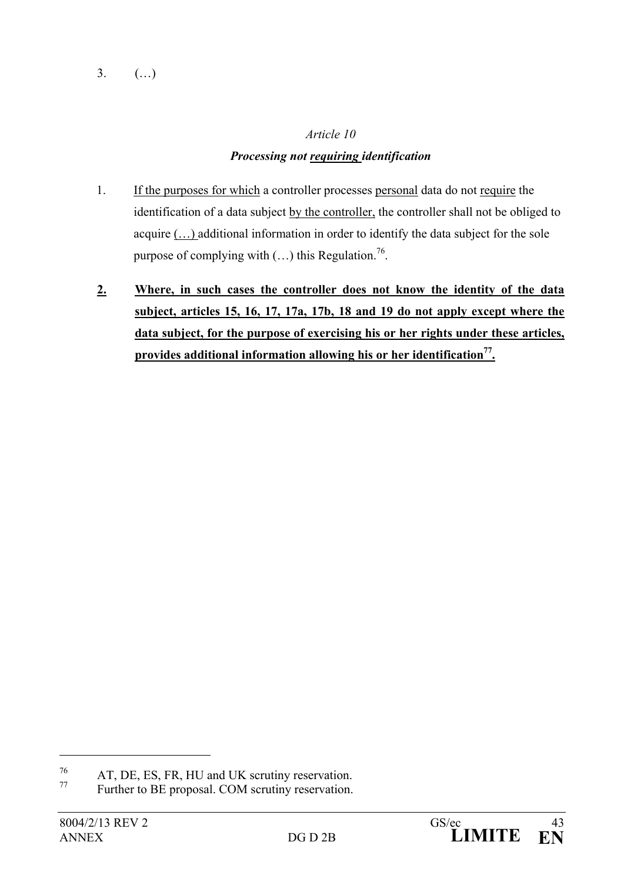$3.$  (...)

#### *Article 10*

#### *Processing not requiring identification*

- 1. If the purposes for which a controller processes personal data do not require the identification of a data subject by the controller, the controller shall not be obliged to acquire (…) additional information in order to identify the data subject for the sole purpose of complying with  $(...)$  this Regulation.<sup>76</sup>.
- **2. Where, in such cases the controller does not know the identity of the data subject, articles 15, 16, 17, 17a, 17b, 18 and 19 do not apply except where the data subject, for the purpose of exercising his or her rights under these articles, provides additional information allowing his or her identification<sup>77</sup> .**

 $76$  AT, DE, ES, FR, HU and UK scrutiny reservation.

Further to BE proposal. COM scrutiny reservation.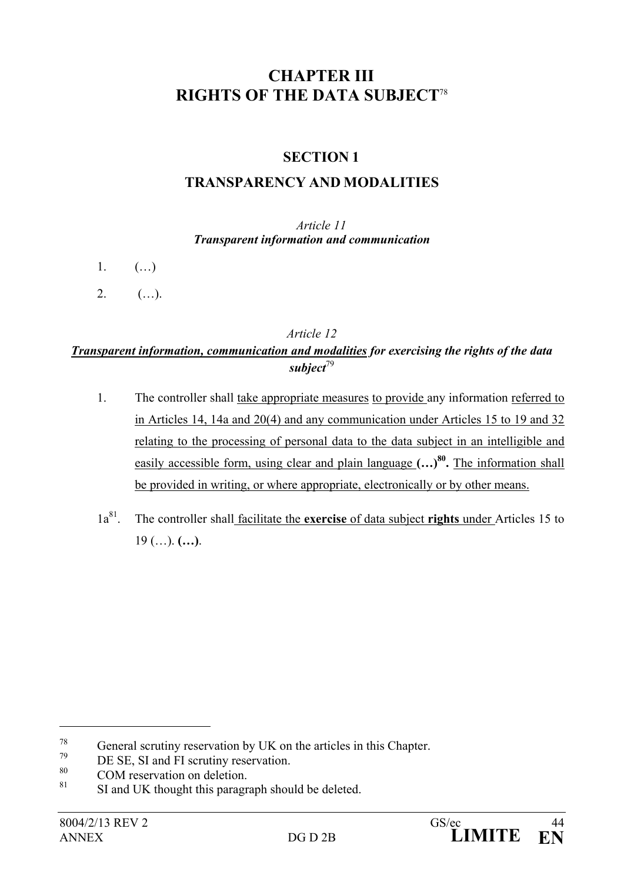# **CHAPTER III RIGHTS OF THE DATA SUBJECT**<sup>78</sup>

### **SECTION 1**

### **TRANSPARENCY AND MODALITIES**

#### *Article 11 Transparent information and communication*

- 1.  $( ...)$
- $2 \tbinom{1}{2}$

#### *Article 12*

### *Transparent information, communication and modalities for exercising the rights of the data*  subject<sup>79</sup>

- 1. The controller shall take appropriate measures to provide any information referred to in Articles 14, 14a and 20(4) and any communication under Articles 15 to 19 and 32 relating to the processing of personal data to the data subject in an intelligible and easily accessible form, using clear and plain language **(…)<sup>80</sup> .** The information shall be provided in writing, or where appropriate, electronically or by other means.
- 1a<sup>81</sup>. The controller shall facilitate the **exercise** of data subject **rights** under Articles 15 to 19 (…). **(…)**.

 $78$  General scrutiny reservation by UK on the articles in this Chapter.

 $^{79}$  DE SE, SI and FI scrutiny reservation.

 $^{80}$  COM reservation on deletion.

<sup>81</sup> SI and UK thought this paragraph should be deleted.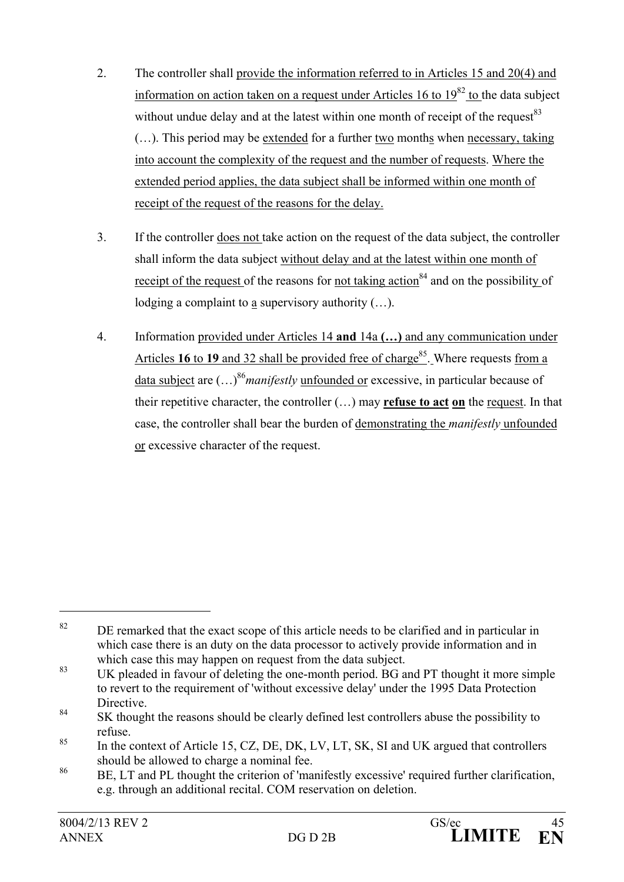- 2. The controller shall provide the information referred to in Articles 15 and 20(4) and information on action taken on a request under Articles 16 to  $19^{82}$  to the data subject without undue delay and at the latest within one month of receipt of the request  $83$ (…). This period may be extended for a further two months when necessary, taking into account the complexity of the request and the number of requests. Where the extended period applies, the data subject shall be informed within one month of receipt of the request of the reasons for the delay.
- 3. If the controller does not take action on the request of the data subject, the controller shall inform the data subject without delay and at the latest within one month of receipt of the request of the reasons for not taking action<sup>84</sup> and on the possibility of lodging a complaint to  $\underline{a}$  supervisory authority (...).
- 4. Information provided under Articles 14 **and** 14a **(…)** and any communication under Articles 16 to 19 and 32 shall be provided free of charge<sup>85</sup>. Where requests from a data subject are (…)<sup>86</sup>*manifestly* unfounded or excessive, in particular because of their repetitive character, the controller (…) may **refuse to act on** the request. In that case, the controller shall bear the burden of demonstrating the *manifestly* unfounded or excessive character of the request.

<sup>&</sup>lt;sup>82</sup> DE remarked that the exact scope of this article needs to be clarified and in particular in which case there is an duty on the data processor to actively provide information and in which case this may happen on request from the data subject.

<sup>&</sup>lt;sup>83</sup> UK pleaded in favour of deleting the one-month period. BG and PT thought it more simple to revert to the requirement of 'without excessive delay' under the 1995 Data Protection Directive.

<sup>&</sup>lt;sup>84</sup> SK thought the reasons should be clearly defined lest controllers abuse the possibility to refuse.

<sup>&</sup>lt;sup>85</sup> In the context of Article 15, CZ, DE, DK, LV, LT, SK, SI and UK argued that controllers should be allowed to charge a nominal fee.

<sup>&</sup>lt;sup>86</sup> BE, LT and PL thought the criterion of 'manifestly excessive' required further clarification, e.g. through an additional recital. COM reservation on deletion.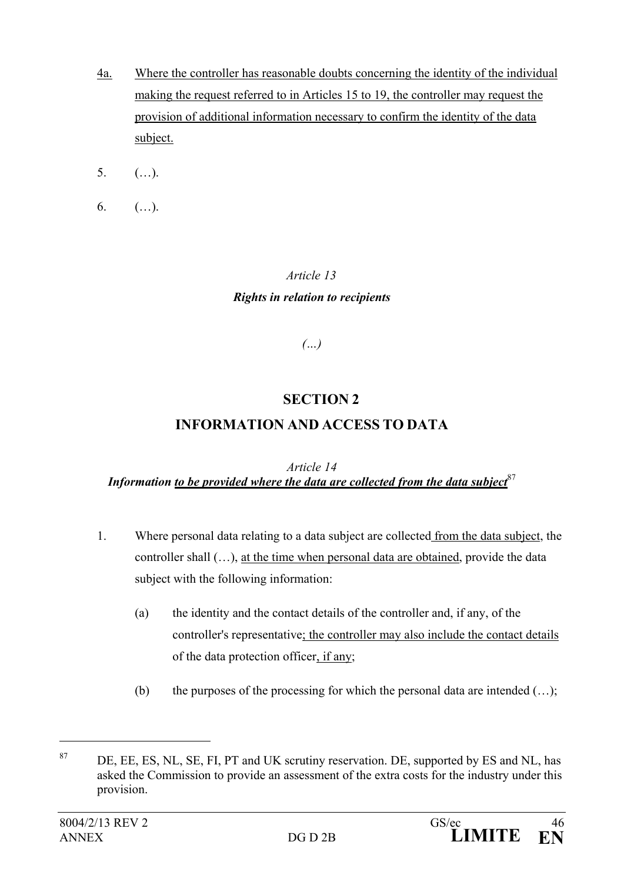- 4a. Where the controller has reasonable doubts concerning the identity of the individual making the request referred to in Articles 15 to 19, the controller may request the provision of additional information necessary to confirm the identity of the data subject.
- $5.$   $($ ...).
- 6.  $($ ...).

# *Article 13 Rights in relation to recipients*

*(…)* 

### **SECTION 2**

## **INFORMATION AND ACCESS TO DATA**

#### *Article 14 Information to be provided where the data are collected from the data subject*<sup>87</sup>

- 1. Where personal data relating to a data subject are collected from the data subject, the controller shall (…), at the time when personal data are obtained, provide the data subject with the following information:
	- (a) the identity and the contact details of the controller and, if any, of the controller's representative; the controller may also include the contact details of the data protection officer, if any;
	- (b) the purposes of the processing for which the personal data are intended  $(...);$

<sup>&</sup>lt;sup>87</sup> DE, EE, ES, NL, SE, FI, PT and UK scrutiny reservation. DE, supported by ES and NL, has asked the Commission to provide an assessment of the extra costs for the industry under this provision.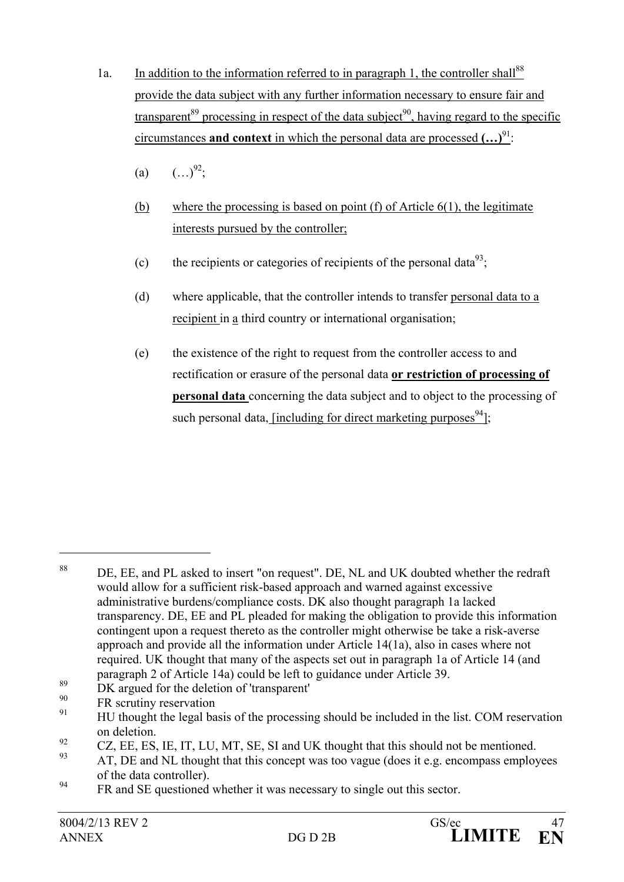- 1a. In addition to the information referred to in paragraph 1, the controller shall<sup>88</sup> provide the data subject with any further information necessary to ensure fair and transparent<sup>89</sup> processing in respect of the data subject<sup>90</sup>, having regard to the specific circumstances **and context** in which the personal data are processed **(…)**<sup>91</sup>:
	- (a)  $(\ldots)^{92}$ ;
	- (b) where the processing is based on point (f) of Article  $6(1)$ , the legitimate interests pursued by the controller;
	- (c) the recipients or categories of recipients of the personal data<sup>93</sup>;
	- (d) where applicable, that the controller intends to transfer personal data to a recipient in a third country or international organisation;
	- (e) the existence of the right to request from the controller access to and rectification or erasure of the personal data **or restriction of processing of personal data** concerning the data subject and to object to the processing of such personal data, [including for direct marketing purposes<sup>94</sup>];

- $\frac{89}{90}$  DK argued for the deletion of 'transparent'
- $^{90}_{91}$  FR scrutiny reservation

<sup>&</sup>lt;sup>88</sup> DE, EE, and PL asked to insert "on request". DE, NL and UK doubted whether the redraft would allow for a sufficient risk-based approach and warned against excessive administrative burdens/compliance costs. DK also thought paragraph 1a lacked transparency. DE, EE and PL pleaded for making the obligation to provide this information contingent upon a request thereto as the controller might otherwise be take a risk-averse approach and provide all the information under Article 14(1a), also in cases where not required. UK thought that many of the aspects set out in paragraph 1a of Article 14 (and paragraph 2 of Article 14a) could be left to guidance under Article 39.

<sup>91</sup> HU thought the legal basis of the processing should be included in the list. COM reservation on deletion.

 $^{92}$  CZ, EE, ES, IE, IT, LU, MT, SE, SI and UK thought that this should not be mentioned.

AT, DE and NL thought that this concept was too vague (does it e.g. encompass employees of the data controller).

<sup>&</sup>lt;sup>94</sup> FR and SE questioned whether it was necessary to single out this sector.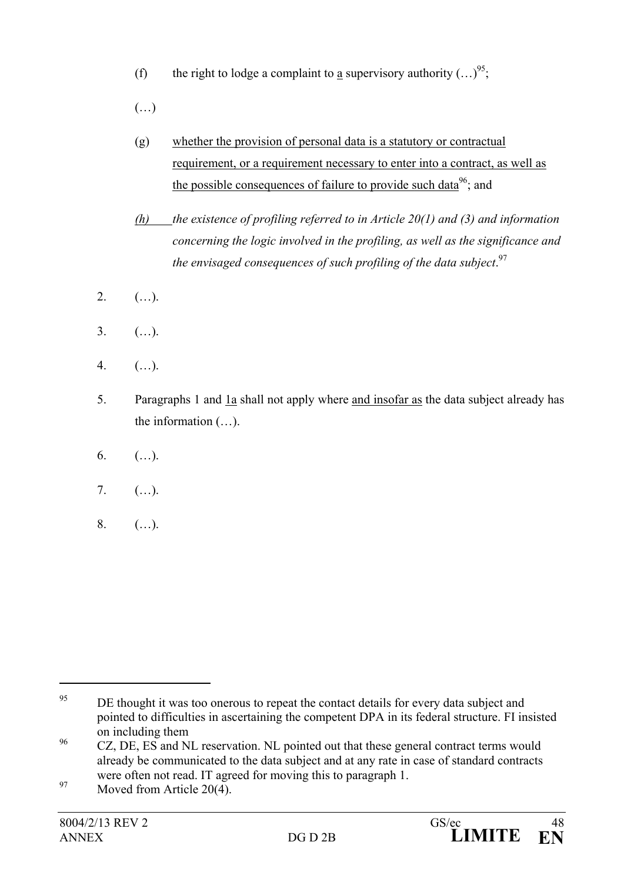- (f) the right to lodge a complaint to a supervisory authority  $(...)^{95}$ ;
- (…)
- (g) whether the provision of personal data is a statutory or contractual requirement, or a requirement necessary to enter into a contract, as well as the possible consequences of failure to provide such data<sup>96</sup>; and
- *(h) the existence of profiling referred to in Article 20(1) and (3) and information concerning the logic involved in the profiling, as well as the significance and the envisaged consequences of such profiling of the data subject*. 97
- $2.$  (...).
- $3.$  (...).
- 4. (…).
- 5. Paragraphs 1 and 1a shall not apply where and insofar as the data subject already has the information (…).
- $6 \t( )$
- 7. (…).
- 8. (…).

<sup>&</sup>lt;sup>95</sup> DE thought it was too onerous to repeat the contact details for every data subject and pointed to difficulties in ascertaining the competent DPA in its federal structure. FI insisted on including them

<sup>&</sup>lt;sup>96</sup> CZ, DE, ES and NL reservation. NL pointed out that these general contract terms would already be communicated to the data subject and at any rate in case of standard contracts were often not read. IT agreed for moving this to paragraph 1.

<sup>&</sup>lt;sup>97</sup> Moved from Article 20(4).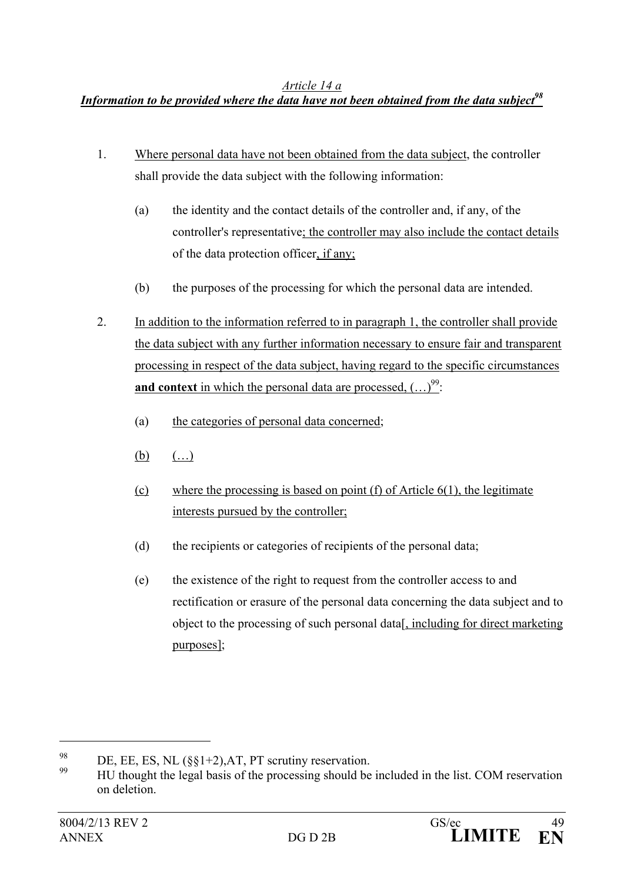#### *Article 14 a*

## *Information to be provided where the data have not been obtained from the data subject<sup>98</sup>*

- 1. Where personal data have not been obtained from the data subject, the controller shall provide the data subject with the following information:
	- (a) the identity and the contact details of the controller and, if any, of the controller's representative; the controller may also include the contact details of the data protection officer, if any;
	- (b) the purposes of the processing for which the personal data are intended.
- 2. In addition to the information referred to in paragraph 1, the controller shall provide the data subject with any further information necessary to ensure fair and transparent processing in respect of the data subject, having regard to the specific circumstances **and context** in which the personal data are processed,  $(...)^{99}$ :
	- (a) the categories of personal data concerned;
	- (b)  $( ...)$
	- (c) where the processing is based on point  $(f)$  of Article  $6(1)$ , the legitimate interests pursued by the controller;
	- (d) the recipients or categories of recipients of the personal data;
	- (e) the existence of the right to request from the controller access to and rectification or erasure of the personal data concerning the data subject and to object to the processing of such personal data[, including for direct marketing purposes];

<sup>&</sup>lt;sup>98</sup> DE, EE, ES, NL  $(\frac{\sqrt{3}}{4} + 2)$ , AT, PT scrutiny reservation.

<sup>99</sup> HU thought the legal basis of the processing should be included in the list. COM reservation on deletion.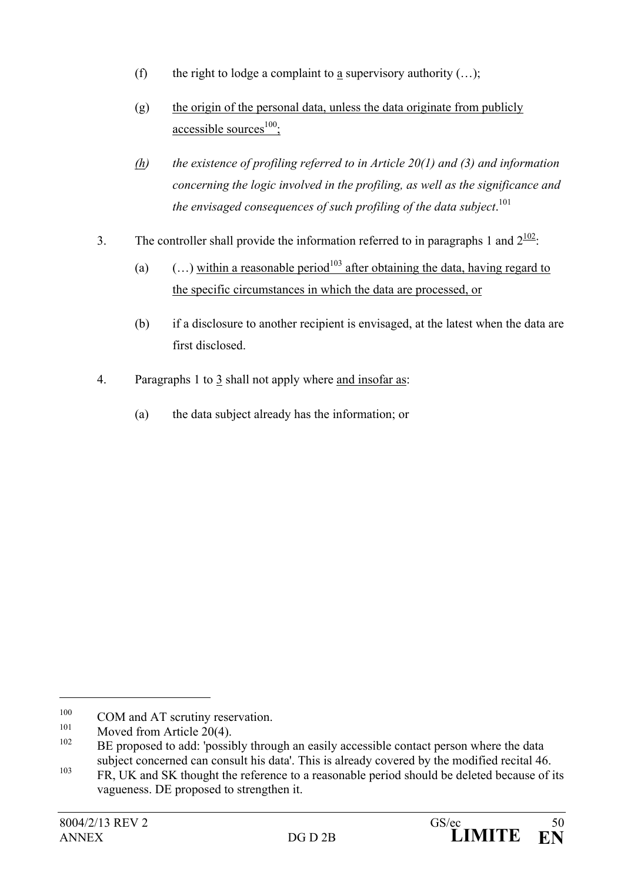- (f) the right to lodge a complaint to a supervisory authority  $(...);$
- (g) the origin of the personal data, unless the data originate from publicly accessible sources $100$ ;
- *(h) the existence of profiling referred to in Article 20(1) and (3) and information concerning the logic involved in the profiling, as well as the significance and the envisaged consequences of such profiling of the data subject*. 101
- 3. The controller shall provide the information referred to in paragraphs 1 and  $2^{102}$ .
	- (a) (…) within a reasonable period<sup>103</sup> after obtaining the data, having regard to the specific circumstances in which the data are processed, or
	- (b) if a disclosure to another recipient is envisaged, at the latest when the data are first disclosed.
- 4. Paragraphs 1 to 3 shall not apply where and insofar as:
	- (a) the data subject already has the information; or

 $^{100}_{101}$  COM and AT scrutiny reservation.

 $101$  Moved from Article 20(4).

BE proposed to add: 'possibly through an easily accessible contact person where the data subject concerned can consult his data'. This is already covered by the modified recital 46.

<sup>&</sup>lt;sup>103</sup> FR, UK and SK thought the reference to a reasonable period should be deleted because of its vagueness. DE proposed to strengthen it.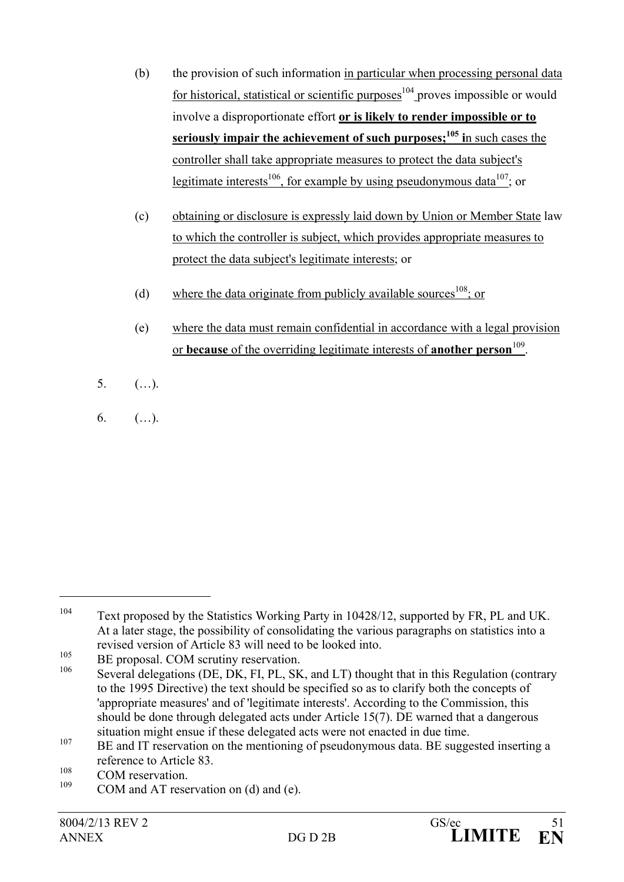- (b) the provision of such information in particular when processing personal data for historical, statistical or scientific purposes $104$  proves impossible or would involve a disproportionate effort **or is likely to render impossible or to seriously impair the achievement of such purposes;<sup>105</sup> i**n such cases the controller shall take appropriate measures to protect the data subject's legitimate interests<sup>106</sup>, for example by using pseudonymous data<sup>107</sup>; or
- (c) obtaining or disclosure is expressly laid down by Union or Member State law to which the controller is subject, which provides appropriate measures to protect the data subject's legitimate interests; or
- (d) where the data originate from publicly available sources<sup>108</sup>; or
- (e) where the data must remain confidential in accordance with a legal provision or **because** of the overriding legitimate interests of **another person**<sup>109</sup>.
- $5.$   $($ ...).
- 6.  $($ ...).

<sup>104</sup> Text proposed by the Statistics Working Party in 10428/12, supported by FR, PL and UK. At a later stage, the possibility of consolidating the various paragraphs on statistics into a revised version of Article 83 will need to be looked into.

 $^{105}_{106}$  BE proposal. COM scrutiny reservation.

Several delegations (DE, DK, FI, PL, SK, and LT) thought that in this Regulation (contrary to the 1995 Directive) the text should be specified so as to clarify both the concepts of 'appropriate measures' and of 'legitimate interests'. According to the Commission, this should be done through delegated acts under Article 15(7). DE warned that a dangerous situation might ensue if these delegated acts were not enacted in due time.

<sup>&</sup>lt;sup>107</sup> BE and IT reservation on the mentioning of pseudonymous data. BE suggested inserting a reference to Article 83.

 $^{108}$  COM reservation.

COM and AT reservation on  $(d)$  and  $(e)$ .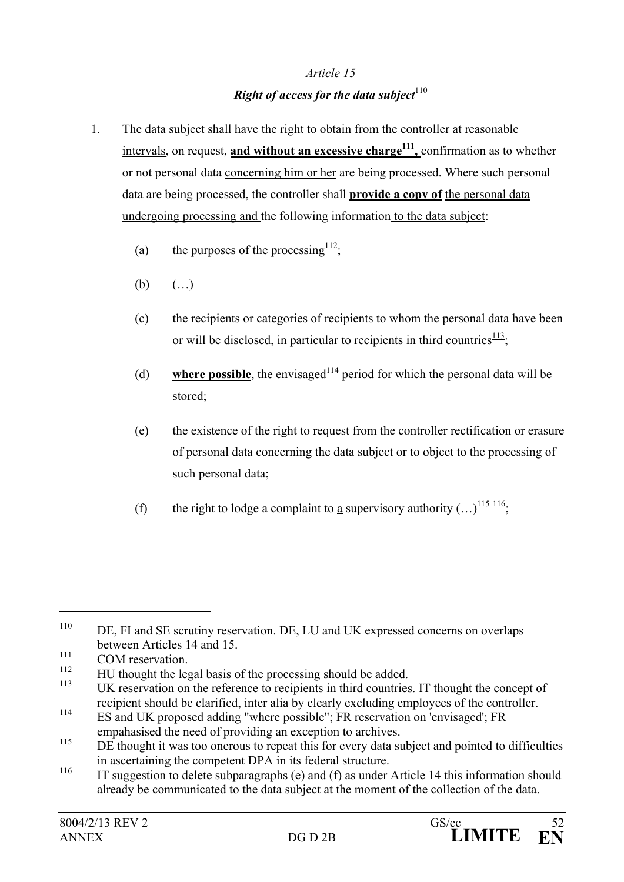## *Article 15 Right of access for the data subject*<sup>110</sup>

- 1. The data subject shall have the right to obtain from the controller at reasonable intervals, on request, **and without an excessive charge<sup>111</sup> ,** confirmation as to whether or not personal data concerning him or her are being processed. Where such personal data are being processed, the controller shall **provide a copy of** the personal data undergoing processing and the following information to the data subject:
	- (a) the purposes of the processing<sup>112</sup>;
	- (b)  $( ...)$
	- (c) the recipients or categories of recipients to whom the personal data have been or will be disclosed, in particular to recipients in third countries  $\frac{113}{12}$ .
	- (d) where possible, the envisaged<sup> $114$ </sup> period for which the personal data will be stored;
	- (e) the existence of the right to request from the controller rectification or erasure of personal data concerning the data subject or to object to the processing of such personal data;
	- (f) the right to lodge a complaint to a supervisory authority  $(...)^{115 \t116}$ ;

<sup>&</sup>lt;sup>110</sup> DE, FI and SE scrutiny reservation. DE, LU and UK expressed concerns on overlaps between Articles 14 and 15.

 $111$  COM reservation.

 $112$  HU thought the legal basis of the processing should be added.

UK reservation on the reference to recipients in third countries. IT thought the concept of recipient should be clarified, inter alia by clearly excluding employees of the controller.

<sup>114</sup> ES and UK proposed adding "where possible"; FR reservation on 'envisaged'; FR empahasised the need of providing an exception to archives.

<sup>&</sup>lt;sup>115</sup> DE thought it was too onerous to repeat this for every data subject and pointed to difficulties in ascertaining the competent DPA in its federal structure.

<sup>&</sup>lt;sup>116</sup> IT suggestion to delete subparagraphs (e) and (f) as under Article 14 this information should already be communicated to the data subject at the moment of the collection of the data.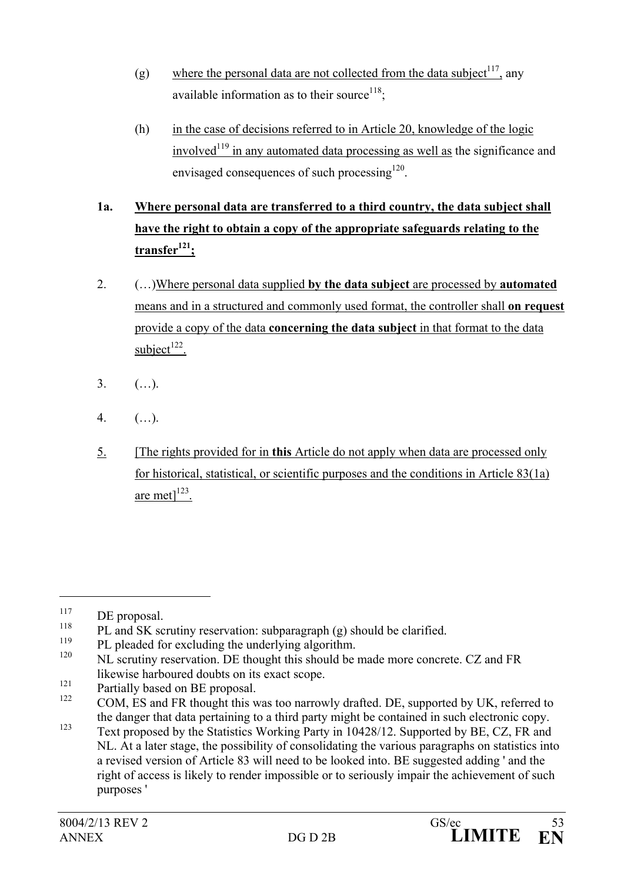- (g) where the personal data are not collected from the data subject<sup>117</sup>, any available information as to their source $118$ :
- (h) in the case of decisions referred to in Article 20, knowledge of the logic involved<sup>119</sup> in any automated data processing as well as the significance and envisaged consequences of such processing $^{120}$ .
- **1a. Where personal data are transferred to a third country, the data subject shall have the right to obtain a copy of the appropriate safeguards relating to the transfer<sup>121</sup>;**
- 2. (…)Where personal data supplied **by the data subject** are processed by **automated** means and in a structured and commonly used format, the controller shall **on request**  provide a copy of the data **concerning the data subject** in that format to the data  $\text{subject}^{122}$ .
- $3.$  (...).
- 4. (…).
- 5. [The rights provided for in **this** Article do not apply when data are processed only for historical, statistical, or scientific purposes and the conditions in Article 83(1a) are met $]^{123}$ .

 $117$  DE proposal.

<sup>&</sup>lt;sup>118</sup> PL and SK scrutiny reservation: subparagraph (g) should be clarified.

<sup>&</sup>lt;sup>119</sup> PL pleaded for excluding the underlying algorithm.

NL scrutiny reservation. DE thought this should be made more concrete. CZ and FR likewise harboured doubts on its exact scope.

 $121$  Partially based on BE proposal.

<sup>122</sup> COM, ES and FR thought this was too narrowly drafted. DE, supported by UK, referred to the danger that data pertaining to a third party might be contained in such electronic copy.

<sup>&</sup>lt;sup>123</sup> Text proposed by the Statistics Working Party in 10428/12. Supported by BE, CZ, FR and NL. At a later stage, the possibility of consolidating the various paragraphs on statistics into a revised version of Article 83 will need to be looked into. BE suggested adding ' and the right of access is likely to render impossible or to seriously impair the achievement of such purposes '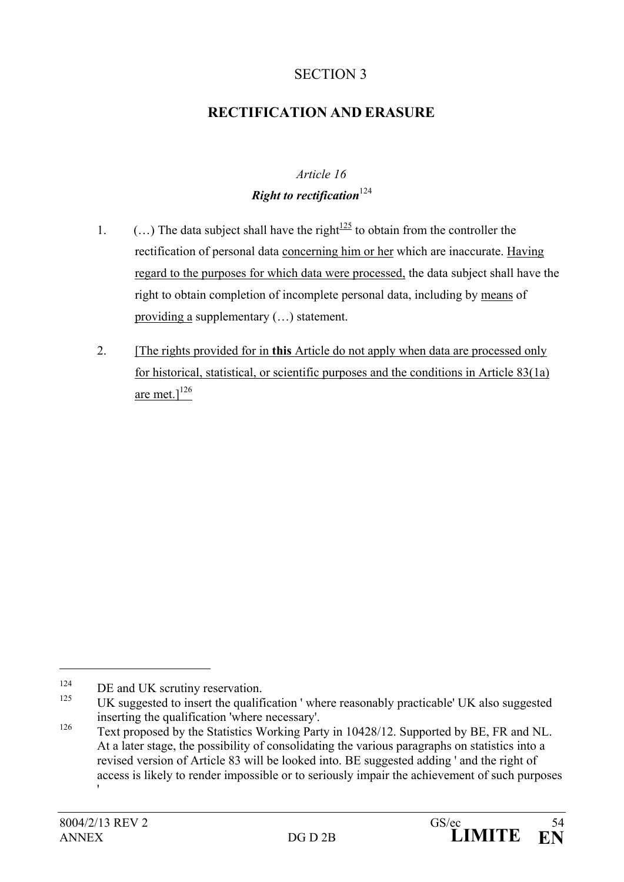### SECTION 3

### **RECTIFICATION AND ERASURE**

### *Article 16 Right to rectification*<sup>124</sup>

- 1. (...) The data subject shall have the right<sup> $125$ </sup> to obtain from the controller the rectification of personal data concerning him or her which are inaccurate. Having regard to the purposes for which data were processed, the data subject shall have the right to obtain completion of incomplete personal data, including by means of providing a supplementary (…) statement.
- 2. [The rights provided for in **this** Article do not apply when data are processed only for historical, statistical, or scientific purposes and the conditions in Article 83(1a) are met  $l^{126}$

<sup>&</sup>lt;sup>124</sup> DE and UK scrutiny reservation.

UK suggested to insert the qualification ' where reasonably practicable' UK also suggested inserting the qualification 'where necessary'.

<sup>&</sup>lt;sup>126</sup> Text proposed by the Statistics Working Party in 10428/12. Supported by BE, FR and NL. At a later stage, the possibility of consolidating the various paragraphs on statistics into a revised version of Article 83 will be looked into. BE suggested adding ' and the right of access is likely to render impossible or to seriously impair the achievement of such purposes '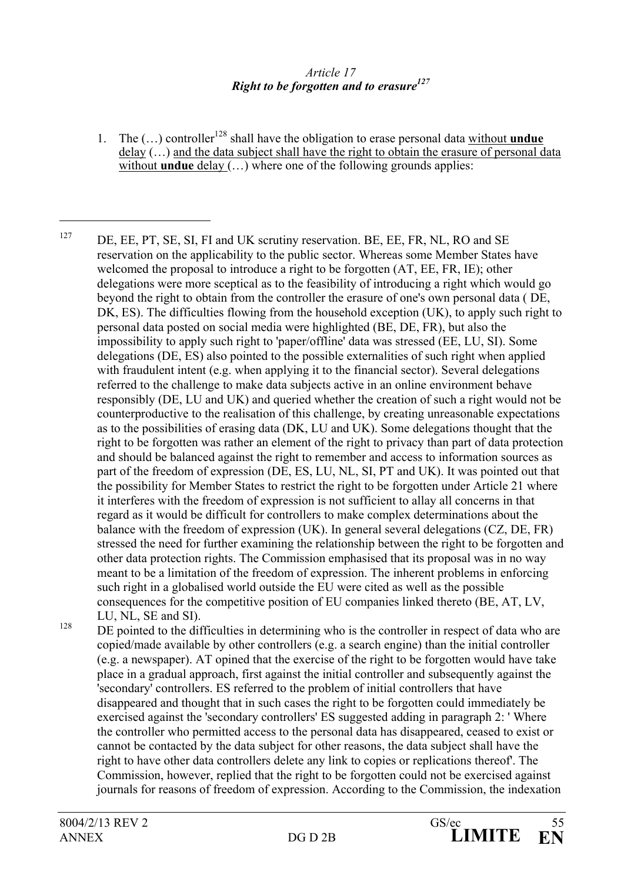#### *Article 17 Right to be forgotten and to erasure<sup>127</sup>*

1. The  $(\ldots)$  controller<sup>128</sup> shall have the obligation to erase personal data without **undue**  $\text{delay}$  (...) and the data subject shall have the right to obtain the erasure of personal data without **undue** delay  $(...)$  where one of the following grounds applies:

<sup>127</sup> DE, EE, PT, SE, SI, FI and UK scrutiny reservation. BE, EE, FR, NL, RO and SE reservation on the applicability to the public sector. Whereas some Member States have welcomed the proposal to introduce a right to be forgotten (AT, EE, FR, IE); other delegations were more sceptical as to the feasibility of introducing a right which would go beyond the right to obtain from the controller the erasure of one's own personal data ( DE, DK, ES). The difficulties flowing from the household exception (UK), to apply such right to personal data posted on social media were highlighted (BE, DE, FR), but also the impossibility to apply such right to 'paper/offline' data was stressed (EE, LU, SI). Some delegations (DE, ES) also pointed to the possible externalities of such right when applied with fraudulent intent (e.g. when applying it to the financial sector). Several delegations referred to the challenge to make data subjects active in an online environment behave responsibly (DE, LU and UK) and queried whether the creation of such a right would not be counterproductive to the realisation of this challenge, by creating unreasonable expectations as to the possibilities of erasing data (DK, LU and UK). Some delegations thought that the right to be forgotten was rather an element of the right to privacy than part of data protection and should be balanced against the right to remember and access to information sources as part of the freedom of expression (DE, ES, LU, NL, SI, PT and UK). It was pointed out that the possibility for Member States to restrict the right to be forgotten under Article 21 where it interferes with the freedom of expression is not sufficient to allay all concerns in that regard as it would be difficult for controllers to make complex determinations about the balance with the freedom of expression (UK). In general several delegations (CZ, DE, FR) stressed the need for further examining the relationship between the right to be forgotten and other data protection rights. The Commission emphasised that its proposal was in no way meant to be a limitation of the freedom of expression. The inherent problems in enforcing such right in a globalised world outside the EU were cited as well as the possible consequences for the competitive position of EU companies linked thereto (BE, AT, LV, LU, NL, SE and SI).

 $128$  DE pointed to the difficulties in determining who is the controller in respect of data who are copied/made available by other controllers (e.g. a search engine) than the initial controller (e.g. a newspaper). AT opined that the exercise of the right to be forgotten would have take place in a gradual approach, first against the initial controller and subsequently against the 'secondary' controllers. ES referred to the problem of initial controllers that have disappeared and thought that in such cases the right to be forgotten could immediately be exercised against the 'secondary controllers' ES suggested adding in paragraph 2: ' Where the controller who permitted access to the personal data has disappeared, ceased to exist or cannot be contacted by the data subject for other reasons, the data subject shall have the right to have other data controllers delete any link to copies or replications thereof'. The Commission, however, replied that the right to be forgotten could not be exercised against journals for reasons of freedom of expression. According to the Commission, the indexation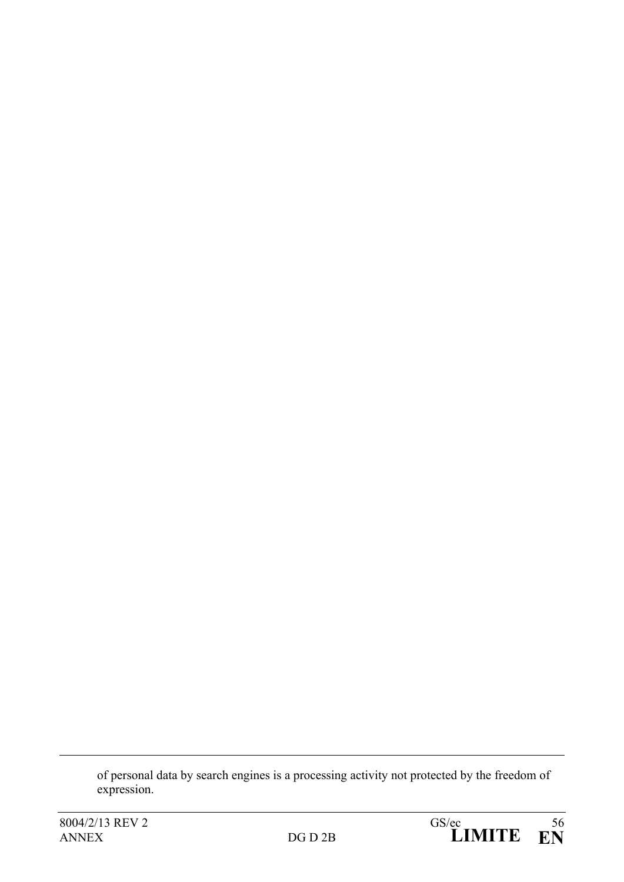of personal data by search engines is a processing activity not protected by the freedom of expression.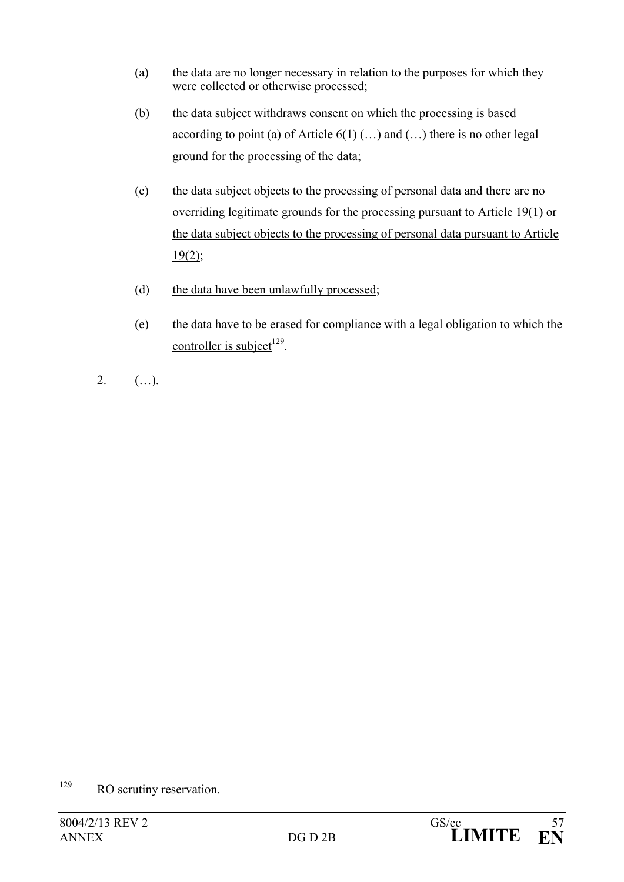- (a) the data are no longer necessary in relation to the purposes for which they were collected or otherwise processed;
- (b) the data subject withdraws consent on which the processing is based according to point (a) of Article  $6(1)$  (...) and (...) there is no other legal ground for the processing of the data;
- (c) the data subject objects to the processing of personal data and there are no overriding legitimate grounds for the processing pursuant to Article 19(1) or the data subject objects to the processing of personal data pursuant to Article  $19(2);$
- (d) the data have been unlawfully processed;
- (e) the data have to be erased for compliance with a legal obligation to which the controller is subject<sup>129</sup>.
- $2.$  (...).

<sup>&</sup>lt;sup>129</sup> RO scrutiny reservation.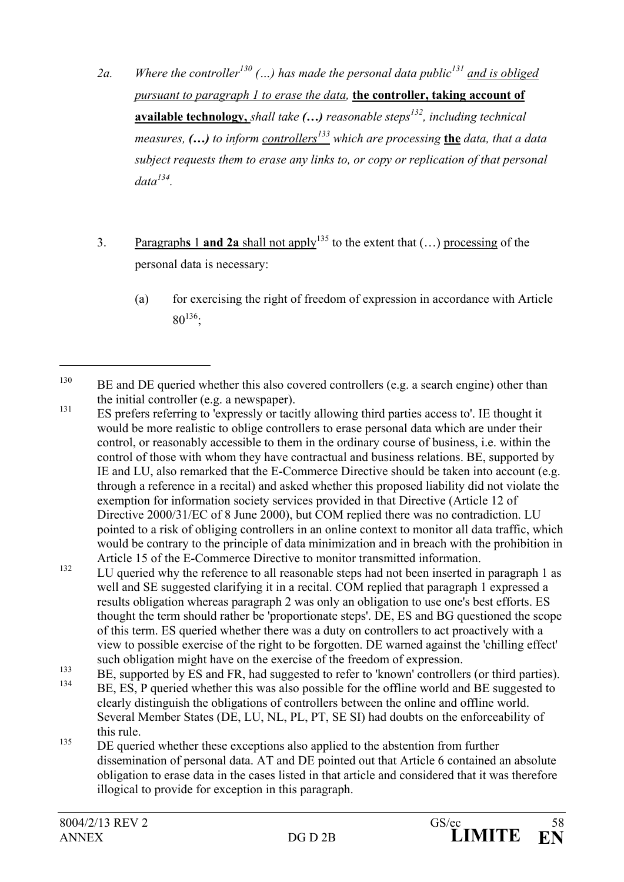- *2a. Where the controller<sup>130</sup> (…) has made the personal data public<sup>131</sup> and is obliged pursuant to paragraph 1 to erase the data,* **the controller, taking account of available technology,** *shall take (…) reasonable steps<sup>132</sup>, including technical measures, (…) to inform controllers<sup>133</sup> which are processing* **the** *data, that a data subject requests them to erase any links to, or copy or replication of that personal data<sup>134</sup> .*
- 3. Paragraphs 1 **and 2a** shall not apply<sup>135</sup> to the extent that  $(...)$  processing of the personal data is necessary:
	- (a) for exercising the right of freedom of expression in accordance with Article  $80^{136}$

- $131$  ES prefers referring to 'expressly or tacitly allowing third parties access to'. IE thought it would be more realistic to oblige controllers to erase personal data which are under their control, or reasonably accessible to them in the ordinary course of business, i.e. within the control of those with whom they have contractual and business relations. BE, supported by IE and LU, also remarked that the E-Commerce Directive should be taken into account (e.g. through a reference in a recital) and asked whether this proposed liability did not violate the exemption for information society services provided in that Directive (Article 12 of Directive 2000/31/EC of 8 June 2000), but COM replied there was no contradiction. LU pointed to a risk of obliging controllers in an online context to monitor all data traffic, which would be contrary to the principle of data minimization and in breach with the prohibition in Article 15 of the E-Commerce Directive to monitor transmitted information.
- <sup>132</sup> LU queried why the reference to all reasonable steps had not been inserted in paragraph 1 as well and SE suggested clarifying it in a recital. COM replied that paragraph 1 expressed a results obligation whereas paragraph 2 was only an obligation to use one's best efforts. ES thought the term should rather be 'proportionate steps'. DE, ES and BG questioned the scope of this term. ES queried whether there was a duty on controllers to act proactively with a view to possible exercise of the right to be forgotten. DE warned against the 'chilling effect' such obligation might have on the exercise of the freedom of expression.
- 133 BE, supported by ES and FR, had suggested to refer to 'known' controllers (or third parties). BE, ES, P queried whether this was also possible for the offline world and BE suggested to clearly distinguish the obligations of controllers between the online and offline world. Several Member States (DE, LU, NL, PL, PT, SE SI) had doubts on the enforceability of this rule.
- <sup>135</sup> DE queried whether these exceptions also applied to the abstention from further dissemination of personal data. AT and DE pointed out that Article 6 contained an absolute obligation to erase data in the cases listed in that article and considered that it was therefore illogical to provide for exception in this paragraph.

<sup>&</sup>lt;sup>130</sup> BE and DE queried whether this also covered controllers (e.g. a search engine) other than the initial controller (e.g. a newspaper).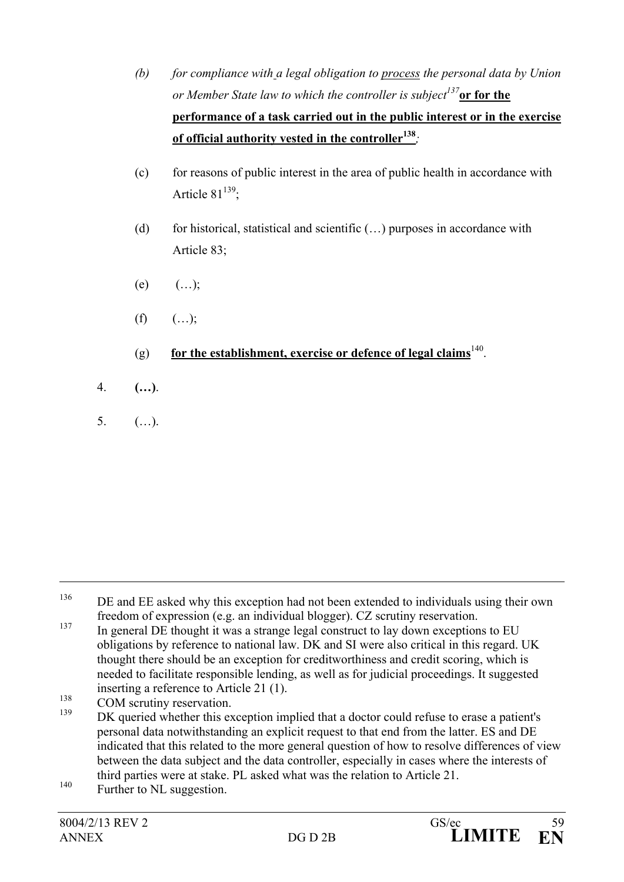- *(b) for compliance with a legal obligation to process the personal data by Union or Member State law to which the controller is subject<sup>137</sup>***or for the performance of a task carried out in the public interest or in the exercise of official authority vested in the controller<sup>138</sup>** *;*
- (c) for reasons of public interest in the area of public health in accordance with Article  $81^{139}$
- (d) for historical, statistical and scientific  $(...)$  purposes in accordance with Article 83;
- (e)  $(…)$ ;
- $(f)$   $(...)$ ;
- (g) for the establishment, exercise or defence of legal claims<sup>140</sup>.
- 4. **(…)**.
- 5.  $($ ...).

 $^{138}$  COM scrutiny reservation.

<sup>140</sup> Further to NL suggestion.

<sup>&</sup>lt;sup>136</sup> DE and EE asked why this exception had not been extended to individuals using their own freedom of expression (e.g. an individual blogger). CZ scrutiny reservation.

 $137$  In general DE thought it was a strange legal construct to lay down exceptions to EU obligations by reference to national law. DK and SI were also critical in this regard. UK thought there should be an exception for creditworthiness and credit scoring, which is needed to facilitate responsible lending, as well as for judicial proceedings. It suggested inserting a reference to Article 21 (1).

DK queried whether this exception implied that a doctor could refuse to erase a patient's personal data notwithstanding an explicit request to that end from the latter. ES and DE indicated that this related to the more general question of how to resolve differences of view between the data subject and the data controller, especially in cases where the interests of third parties were at stake. PL asked what was the relation to Article 21.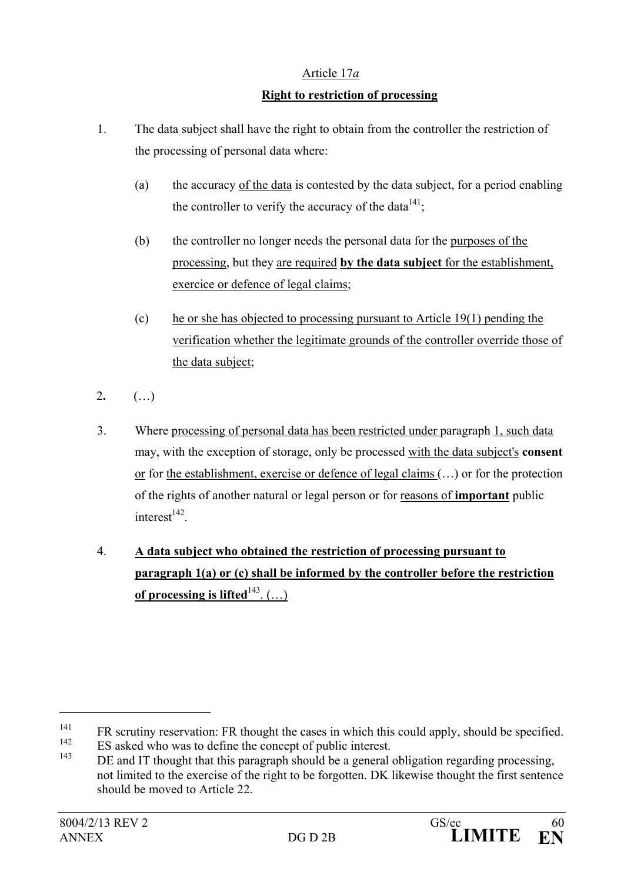# Article 17*a* **Right to restriction of processing**

- 1. The data subject shall have the right to obtain from the controller the restriction of the processing of personal data where:
	- (a) the accuracy of the data is contested by the data subject, for a period enabling the controller to verify the accuracy of the data $141$ :
	- (b) the controller no longer needs the personal data for the purposes of the processing, but they are required **by the data subject** for the establishment, exercice or defence of legal claims;
	- (c) he or she has objected to processing pursuant to Article 19(1) pending the verification whether the legitimate grounds of the controller override those of the data subject;
- 2**.** (…)
- 3. Where processing of personal data has been restricted under paragraph 1, such data may, with the exception of storage, only be processed with the data subject's **consent**  or for the establishment, exercise or defence of legal claims (…) or for the protection of the rights of another natural or legal person or for reasons of **important** public  $interest$ <sup>142</sup>.
- 4. **A data subject who obtained the restriction of processing pursuant to paragraph 1(a) or (c) shall be informed by the controller before the restriction**  of processing is lifted<sup> $143$ </sup>. (...)

<sup>&</sup>lt;sup>141</sup> FR scrutiny reservation: FR thought the cases in which this could apply, should be specified.

 $142$  ES asked who was to define the concept of public interest.

DE and IT thought that this paragraph should be a general obligation regarding processing, not limited to the exercise of the right to be forgotten. DK likewise thought the first sentence should be moved to Article 22.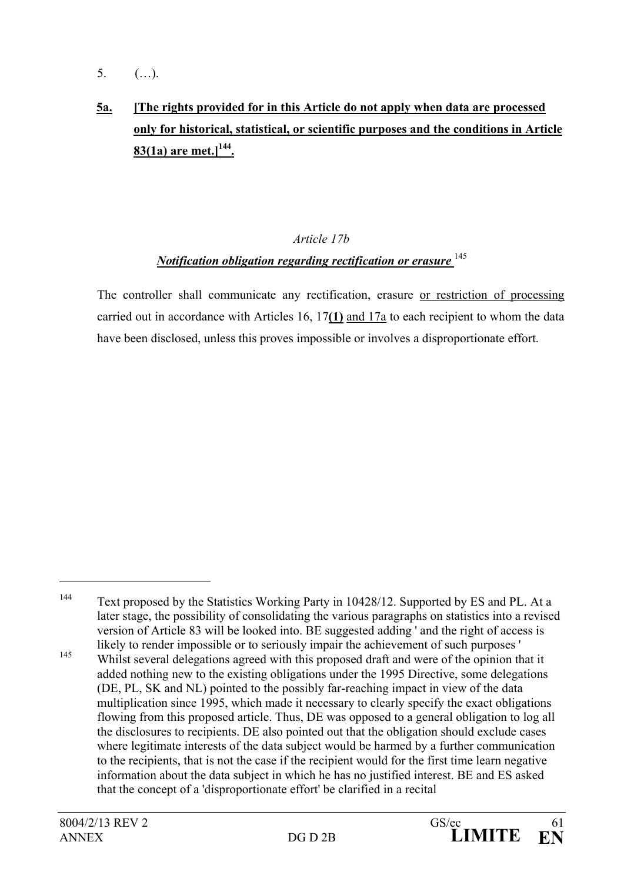- $5.$  (...).
- **5a. [The rights provided for in this Article do not apply when data are processed only for historical, statistical, or scientific purposes and the conditions in Article 83(1a) are met.]<sup>144</sup> .**

## *Article 17b Notification obligation regarding rectification or erasure* <sup>145</sup>

The controller shall communicate any rectification, erasure or restriction of processing carried out in accordance with Articles 16, 17**(1)** and 17a to each recipient to whom the data have been disclosed, unless this proves impossible or involves a disproportionate effort.

<sup>144</sup> Text proposed by the Statistics Working Party in 10428/12. Supported by ES and PL. At a later stage, the possibility of consolidating the various paragraphs on statistics into a revised version of Article 83 will be looked into. BE suggested adding ' and the right of access is likely to render impossible or to seriously impair the achievement of such purposes ' <sup>145</sup> Whilst several delegations agreed with this proposed draft and were of the opinion that it added nothing new to the existing obligations under the 1995 Directive, some delegations (DE, PL, SK and NL) pointed to the possibly far-reaching impact in view of the data multiplication since 1995, which made it necessary to clearly specify the exact obligations flowing from this proposed article. Thus, DE was opposed to a general obligation to log all the disclosures to recipients. DE also pointed out that the obligation should exclude cases where legitimate interests of the data subject would be harmed by a further communication to the recipients, that is not the case if the recipient would for the first time learn negative information about the data subject in which he has no justified interest. BE and ES asked that the concept of a 'disproportionate effort' be clarified in a recital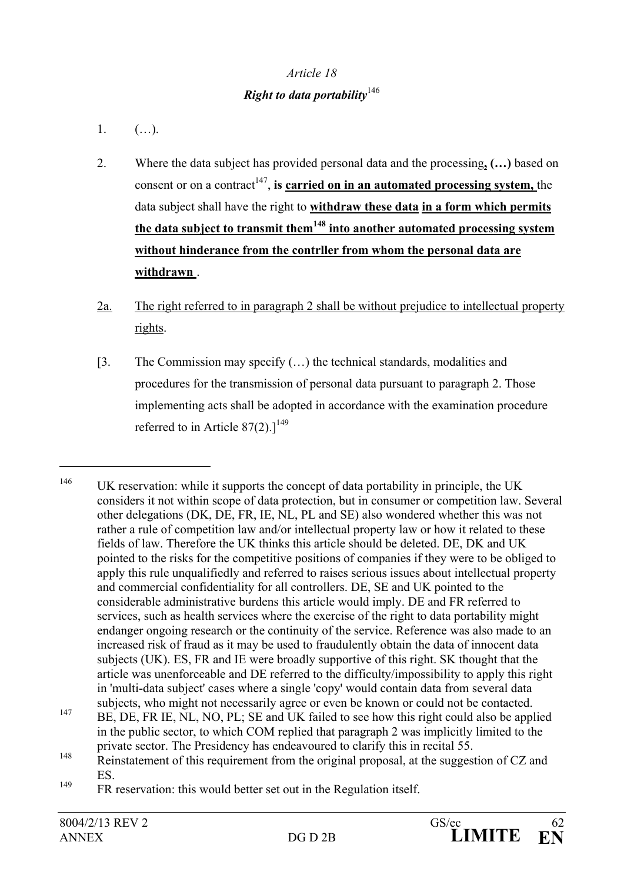## *Article 18 Right to data portability*<sup>146</sup>

- $1.$   $($ ...).
- 2. Where the data subject has provided personal data and the processing**, (…)** based on consent or on a contract<sup>147</sup>, is carried on in an automated processing system, the data subject shall have the right to **withdraw these data in a form which permits the data subject to transmit them<sup>148</sup> into another automated processing system without hinderance from the contrller from whom the personal data are withdrawn** .
- 2a. The right referred to in paragraph 2 shall be without prejudice to intellectual property rights.
- [3. The Commission may specify (…) the technical standards, modalities and procedures for the transmission of personal data pursuant to paragraph 2. Those implementing acts shall be adopted in accordance with the examination procedure referred to in Article  $87(2)$ .<sup>149</sup>

<sup>&</sup>lt;sup>146</sup> UK reservation: while it supports the concept of data portability in principle, the UK considers it not within scope of data protection, but in consumer or competition law. Several other delegations (DK, DE, FR, IE, NL, PL and SE) also wondered whether this was not rather a rule of competition law and/or intellectual property law or how it related to these fields of law. Therefore the UK thinks this article should be deleted. DE, DK and UK pointed to the risks for the competitive positions of companies if they were to be obliged to apply this rule unqualifiedly and referred to raises serious issues about intellectual property and commercial confidentiality for all controllers. DE, SE and UK pointed to the considerable administrative burdens this article would imply. DE and FR referred to services, such as health services where the exercise of the right to data portability might endanger ongoing research or the continuity of the service. Reference was also made to an increased risk of fraud as it may be used to fraudulently obtain the data of innocent data subjects (UK). ES, FR and IE were broadly supportive of this right. SK thought that the article was unenforceable and DE referred to the difficulty/impossibility to apply this right in 'multi-data subject' cases where a single 'copy' would contain data from several data subjects, who might not necessarily agree or even be known or could not be contacted.

<sup>&</sup>lt;sup>147</sup> BE, DE, FR IE, NL, NO, PL; SE and UK failed to see how this right could also be applied in the public sector, to which COM replied that paragraph 2 was implicitly limited to the private sector. The Presidency has endeavoured to clarify this in recital 55.

<sup>&</sup>lt;sup>148</sup> Reinstatement of this requirement from the original proposal, at the suggestion of CZ and ES.

 $149$  FR reservation: this would better set out in the Regulation itself.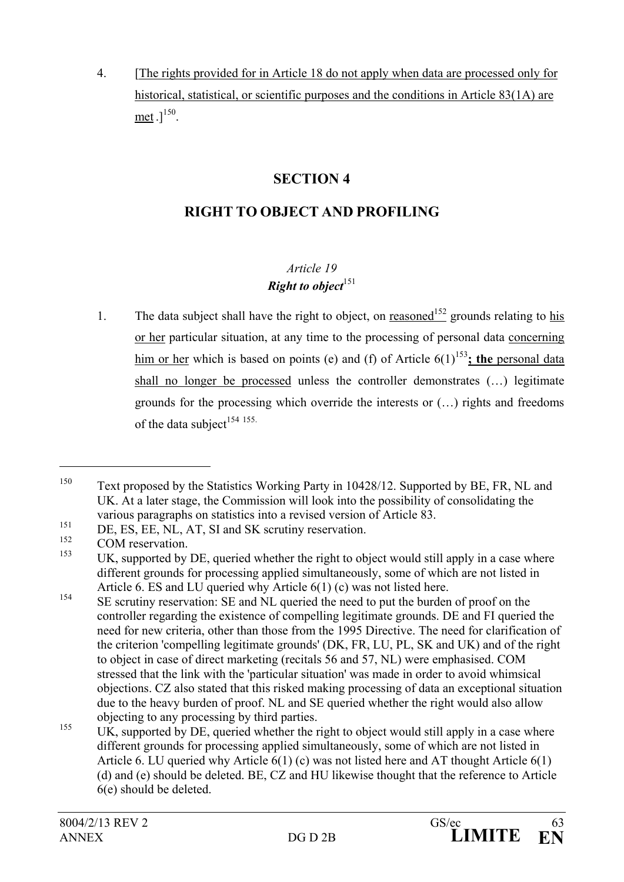4. [The rights provided for in Article 18 do not apply when data are processed only for historical, statistical, or scientific purposes and the conditions in Article 83(1A) are  $met.]^{150}$ .

### **SECTION 4**

## **RIGHT TO OBJECT AND PROFILING**

### *Article 19 Right to object*<sup>151</sup>

1. The data subject shall have the right to object, on reasoned<sup>152</sup> grounds relating to his or her particular situation, at any time to the processing of personal data concerning him or her which is based on points (e) and (f) of Article  $6(1)^{153}$ ; the personal data shall no longer be processed unless the controller demonstrates (…) legitimate grounds for the processing which override the interests or (…) rights and freedoms of the data subject<sup>154 155.</sup>

<sup>&</sup>lt;sup>150</sup> Text proposed by the Statistics Working Party in 10428/12. Supported by BE, FR, NL and UK. At a later stage, the Commission will look into the possibility of consolidating the various paragraphs on statistics into a revised version of Article 83.

<sup>&</sup>lt;sup>151</sup> DE, ES, EE, NL, AT, SI and SK scrutiny reservation.

 $152 \tCOM$  reservation.

UK, supported by DE, queried whether the right to object would still apply in a case where different grounds for processing applied simultaneously, some of which are not listed in Article 6. ES and LU queried why Article 6(1) (c) was not listed here.

<sup>&</sup>lt;sup>154</sup> SE scrutiny reservation: SE and NL queried the need to put the burden of proof on the controller regarding the existence of compelling legitimate grounds. DE and FI queried the need for new criteria, other than those from the 1995 Directive. The need for clarification of the criterion 'compelling legitimate grounds' (DK, FR, LU, PL, SK and UK) and of the right to object in case of direct marketing (recitals 56 and 57, NL) were emphasised. COM stressed that the link with the 'particular situation' was made in order to avoid whimsical objections. CZ also stated that this risked making processing of data an exceptional situation due to the heavy burden of proof. NL and SE queried whether the right would also allow objecting to any processing by third parties.

<sup>&</sup>lt;sup>155</sup> UK, supported by DE, queried whether the right to object would still apply in a case where different grounds for processing applied simultaneously, some of which are not listed in Article 6. LU queried why Article 6(1) (c) was not listed here and AT thought Article 6(1) (d) and (e) should be deleted. BE, CZ and HU likewise thought that the reference to Article 6(e) should be deleted.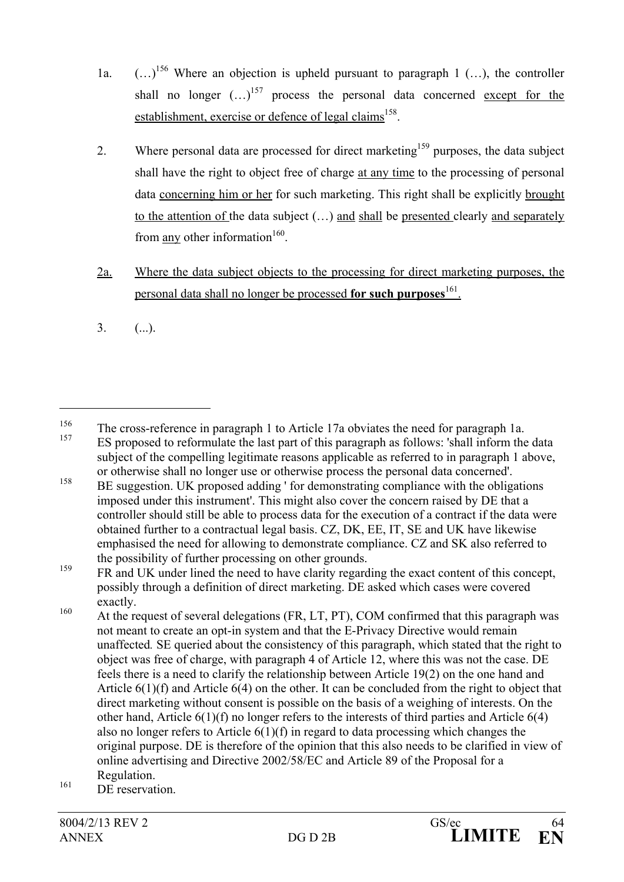- 1a.  $(\ldots)^{156}$  Where an objection is upheld pursuant to paragraph 1 (...), the controller shall no longer  $(...)^{157}$  process the personal data concerned except for the establishment, exercise or defence of legal claims<sup>158</sup>.
- 2. Where personal data are processed for direct marketing<sup>159</sup> purposes, the data subject shall have the right to object free of charge at any time to the processing of personal data concerning him or her for such marketing. This right shall be explicitly brought to the attention of the data subject (…) and shall be presented clearly and separately from <u>any</u> other information<sup>160</sup>.
- 2a. Where the data subject objects to the processing for direct marketing purposes, the personal data shall no longer be processed **for such purposes**<sup>161</sup>.
- $3.$  (...).

<sup>&</sup>lt;sup>156</sup> The cross-reference in paragraph 1 to Article 17a obviates the need for paragraph 1a. <sup>157</sup> ES proposed to reformulate the last part of this paragraph as follows: 'shall inform the data subject of the compelling legitimate reasons applicable as referred to in paragraph 1 above, or otherwise shall no longer use or otherwise process the personal data concerned'.

<sup>&</sup>lt;sup>158</sup> BE suggestion. UK proposed adding ' for demonstrating compliance with the obligations imposed under this instrument'. This might also cover the concern raised by DE that a controller should still be able to process data for the execution of a contract if the data were obtained further to a contractual legal basis. CZ, DK, EE, IT, SE and UK have likewise emphasised the need for allowing to demonstrate compliance. CZ and SK also referred to the possibility of further processing on other grounds.

<sup>&</sup>lt;sup>159</sup> FR and UK under lined the need to have clarity regarding the exact content of this concept. possibly through a definition of direct marketing. DE asked which cases were covered exactly.

 $160$  At the request of several delegations (FR, LT, PT), COM confirmed that this paragraph was not meant to create an opt-in system and that the E-Privacy Directive would remain unaffected*.* SE queried about the consistency of this paragraph, which stated that the right to object was free of charge, with paragraph 4 of Article 12, where this was not the case. DE feels there is a need to clarify the relationship between Article 19(2) on the one hand and Article 6(1)(f) and Article 6(4) on the other. It can be concluded from the right to object that direct marketing without consent is possible on the basis of a weighing of interests. On the other hand, Article 6(1)(f) no longer refers to the interests of third parties and Article 6(4) also no longer refers to Article 6(1)(f) in regard to data processing which changes the original purpose. DE is therefore of the opinion that this also needs to be clarified in view of online advertising and Directive 2002/58/EC and Article 89 of the Proposal for a Regulation.

<sup>&</sup>lt;sup>161</sup> DE reservation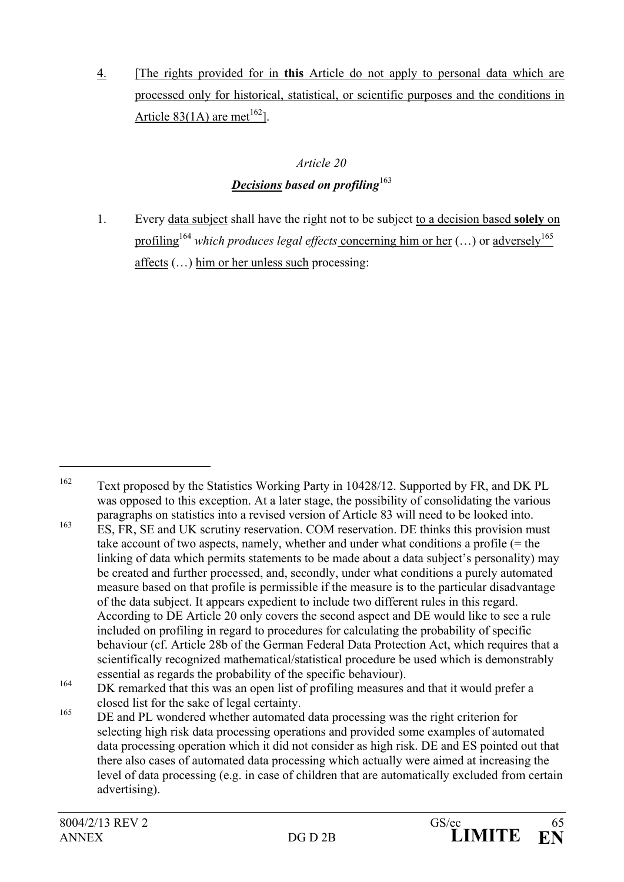4. [The rights provided for in **this** Article do not apply to personal data which are processed only for historical, statistical, or scientific purposes and the conditions in Article 83(1A) are met<sup>162</sup>l.

## *Article 20 Decisions based on profiling*<sup>163</sup>

1. Every data subject shall have the right not to be subject to a decision based **solely** on profiling<sup>164</sup> *which produces legal effects* concerning him or her  $(...)$  or adversely<sup>165</sup> affects (…) him or her unless such processing:

<sup>&</sup>lt;sup>162</sup> Text proposed by the Statistics Working Party in 10428/12. Supported by FR, and DK PL was opposed to this exception. At a later stage, the possibility of consolidating the various paragraphs on statistics into a revised version of Article 83 will need to be looked into.

<sup>&</sup>lt;sup>163</sup>ES, FR, SE and UK scrutiny reservation. COM reservation. DE thinks this provision must take account of two aspects, namely, whether and under what conditions a profile (= the linking of data which permits statements to be made about a data subject's personality) may be created and further processed, and, secondly, under what conditions a purely automated measure based on that profile is permissible if the measure is to the particular disadvantage of the data subject. It appears expedient to include two different rules in this regard. According to DE Article 20 only covers the second aspect and DE would like to see a rule included on profiling in regard to procedures for calculating the probability of specific behaviour (cf. Article 28b of the German Federal Data Protection Act, which requires that a scientifically recognized mathematical/statistical procedure be used which is demonstrably essential as regards the probability of the specific behaviour).

<sup>&</sup>lt;sup>164</sup> DK remarked that this was an open list of profiling measures and that it would prefer a closed list for the sake of legal certainty.

<sup>&</sup>lt;sup>165</sup> DE and PL wondered whether automated data processing was the right criterion for selecting high risk data processing operations and provided some examples of automated data processing operation which it did not consider as high risk. DE and ES pointed out that there also cases of automated data processing which actually were aimed at increasing the level of data processing (e.g. in case of children that are automatically excluded from certain advertising).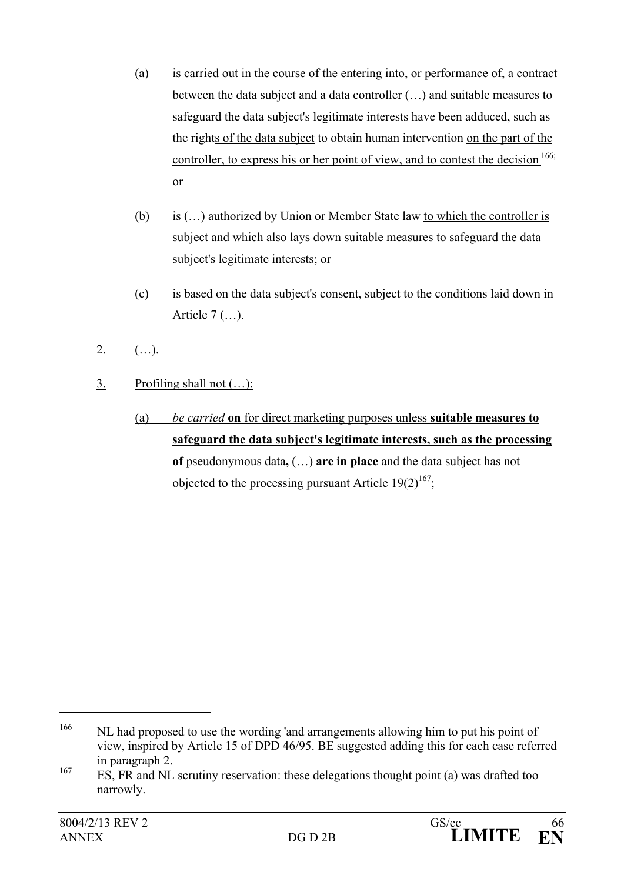- (a) is carried out in the course of the entering into, or performance of, a contract between the data subject and a data controller (…) and suitable measures to safeguard the data subject's legitimate interests have been adduced, such as the rights of the data subject to obtain human intervention on the part of the controller, to express his or her point of view, and to contest the decision <sup>166;</sup> or
- (b) is (…) authorized by Union or Member State law to which the controller is subject and which also lays down suitable measures to safeguard the data subject's legitimate interests; or
- (c) is based on the data subject's consent, subject to the conditions laid down in Article  $7$  (...).
- $2.$  (...).
- 3. Profiling shall not (…):
	- (a) *be carried* **on** for direct marketing purposes unless **suitable measures to safeguard the data subject's legitimate interests, such as the processing of** pseudonymous data**,** (…) **are in place** and the data subject has not objected to the processing pursuant Article  $19(2)^{167}$ ;

<sup>&</sup>lt;sup>166</sup> NL had proposed to use the wording 'and arrangements allowing him to put his point of view, inspired by Article 15 of DPD 46/95. BE suggested adding this for each case referred in paragraph 2.

 $167$  ES, FR and NL scrutiny reservation: these delegations thought point (a) was drafted too narrowly.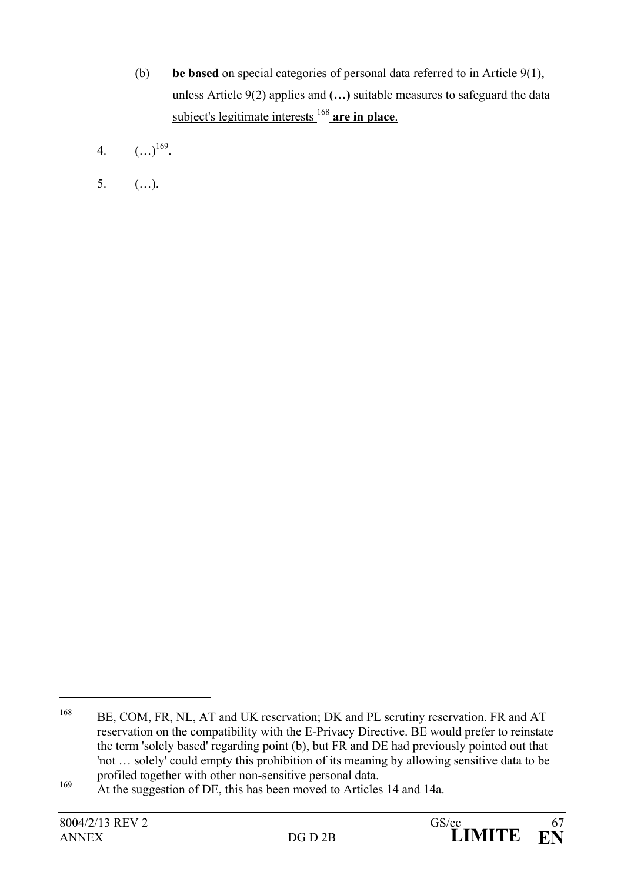- (b) **be based** on special categories of personal data referred to in Article 9(1), unless Article 9(2) applies and **(…)** suitable measures to safeguard the data subject's legitimate interests <sup>168</sup> **are in place**.
- 4.  $(\ldots)^{169}$ .
- 5.  $($ ...).

<sup>&</sup>lt;sup>168</sup> BE, COM, FR, NL, AT and UK reservation; DK and PL scrutiny reservation. FR and AT reservation on the compatibility with the E-Privacy Directive. BE would prefer to reinstate the term 'solely based' regarding point (b), but FR and DE had previously pointed out that 'not … solely' could empty this prohibition of its meaning by allowing sensitive data to be profiled together with other non-sensitive personal data.

<sup>&</sup>lt;sup>169</sup> At the suggestion of DE, this has been moved to Articles 14 and 14a.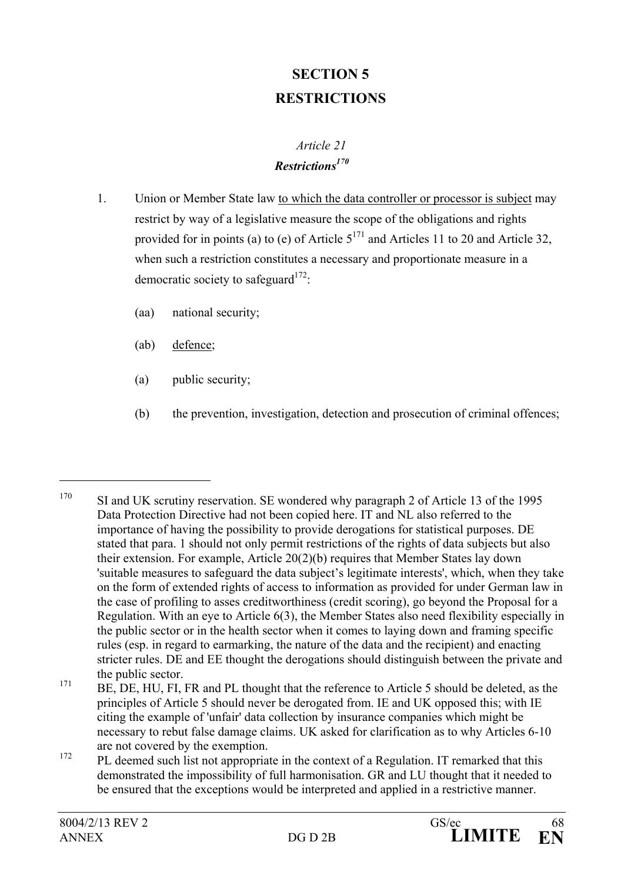# **SECTION 5 RESTRICTIONS**

### *Article 21 Restrictions<sup>170</sup>*

- 1. Union or Member State law to which the data controller or processor is subject may restrict by way of a legislative measure the scope of the obligations and rights provided for in points (a) to (e) of Article  $5^{171}$  and Articles 11 to 20 and Article 32, when such a restriction constitutes a necessary and proportionate measure in a democratic society to safeguard $172$ :
	- (aa) national security;
	- (ab) defence;
	- (a) public security;
	- (b) the prevention, investigation, detection and prosecution of criminal offences;

<sup>&</sup>lt;sup>170</sup> SI and UK scrutiny reservation. SE wondered why paragraph 2 of Article 13 of the 1995 Data Protection Directive had not been copied here. IT and NL also referred to the importance of having the possibility to provide derogations for statistical purposes. DE stated that para. 1 should not only permit restrictions of the rights of data subjects but also their extension. For example, Article 20(2)(b) requires that Member States lay down 'suitable measures to safeguard the data subject's legitimate interests', which, when they take on the form of extended rights of access to information as provided for under German law in the case of profiling to asses creditworthiness (credit scoring), go beyond the Proposal for a Regulation. With an eye to Article 6(3), the Member States also need flexibility especially in the public sector or in the health sector when it comes to laying down and framing specific rules (esp. in regard to earmarking, the nature of the data and the recipient) and enacting stricter rules. DE and EE thought the derogations should distinguish between the private and the public sector.

<sup>&</sup>lt;sup>171</sup> BE, DE, HU, FI, FR and PL thought that the reference to Article 5 should be deleted, as the principles of Article 5 should never be derogated from. IE and UK opposed this; with IE citing the example of 'unfair' data collection by insurance companies which might be necessary to rebut false damage claims. UK asked for clarification as to why Articles 6-10 are not covered by the exemption.

<sup>&</sup>lt;sup>172</sup> PL deemed such list not appropriate in the context of a Regulation. IT remarked that this demonstrated the impossibility of full harmonisation. GR and LU thought that it needed to be ensured that the exceptions would be interpreted and applied in a restrictive manner.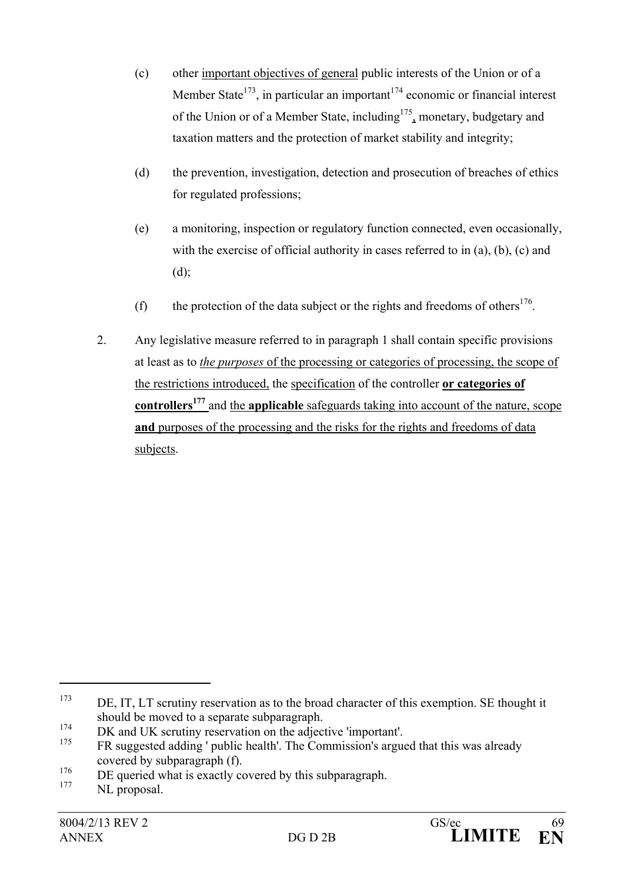- (c) other important objectives of general public interests of the Union or of a Member State<sup>173</sup>, in particular an important<sup>174</sup> economic or financial interest of the Union or of a Member State, including<sup>175</sup>, monetary, budgetary and taxation matters and the protection of market stability and integrity;
- (d) the prevention, investigation, detection and prosecution of breaches of ethics for regulated professions;
- (e) a monitoring, inspection or regulatory function connected, even occasionally, with the exercise of official authority in cases referred to in  $(a)$ ,  $(b)$ ,  $(c)$  and (d);
- (f) the protection of the data subject or the rights and freedoms of others<sup>176</sup>.
- 2. Any legislative measure referred to in paragraph 1 shall contain specific provisions at least as to *the purposes* of the processing or categories of processing, the scope of the restrictions introduced, the specification of the controller **or categories of controllers<sup>177</sup>** and the **applicable** safeguards taking into account of the nature, scope **and** purposes of the processing and the risks for the rights and freedoms of data subjects.

 $173$  DE, IT, LT scrutiny reservation as to the broad character of this exemption. SE thought it should be moved to a separate subparagraph.

 $174$  DK and UK scrutiny reservation on the adjective 'important'.

<sup>175</sup> FR suggested adding ' public health'. The Commission's argued that this was already covered by subparagraph (f).

 $176$  DE queried what is exactly covered by this subparagraph.

NL proposal.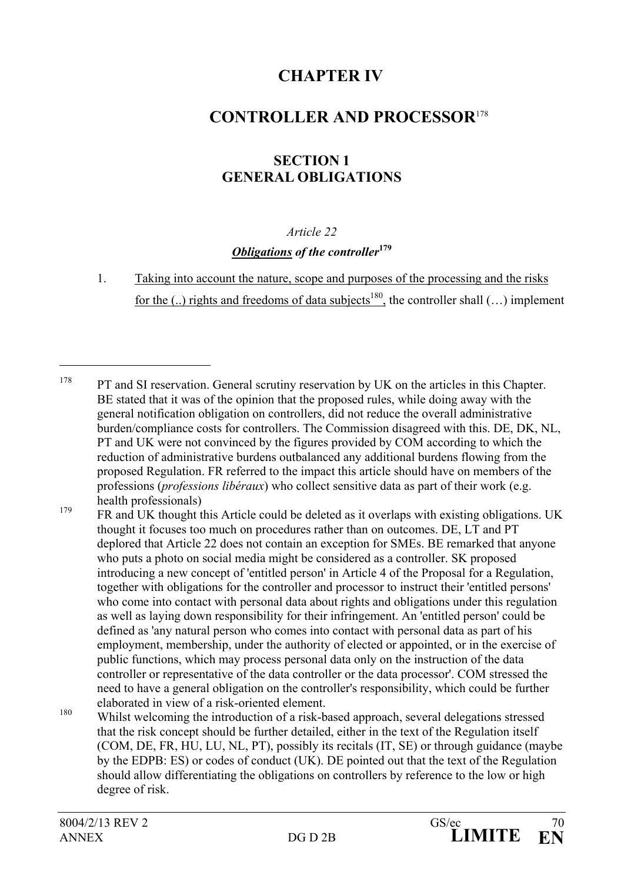## **CHAPTER IV**

## **CONTROLLER AND PROCESSOR**<sup>178</sup>

### **SECTION 1 GENERAL OBLIGATIONS**

#### *Article 22*

#### *Obligations of the controller***<sup>179</sup>**

1. Taking into account the nature, scope and purposes of the processing and the risks for the  $(.)$  rights and freedoms of data subjects<sup>180</sup>, the controller shall  $(...)$  implement

<sup>179</sup> FR and UK thought this Article could be deleted as it overlaps with existing obligations. UK thought it focuses too much on procedures rather than on outcomes. DE, LT and PT deplored that Article 22 does not contain an exception for SMEs. BE remarked that anyone who puts a photo on social media might be considered as a controller. SK proposed introducing a new concept of 'entitled person' in Article 4 of the Proposal for a Regulation, together with obligations for the controller and processor to instruct their 'entitled persons' who come into contact with personal data about rights and obligations under this regulation as well as laying down responsibility for their infringement. An 'entitled person' could be defined as 'any natural person who comes into contact with personal data as part of his employment, membership, under the authority of elected or appointed, or in the exercise of public functions, which may process personal data only on the instruction of the data controller or representative of the data controller or the data processor'. COM stressed the need to have a general obligation on the controller's responsibility, which could be further elaborated in view of a risk-oriented element.

<sup>180</sup> Whilst welcoming the introduction of a risk-based approach, several delegations stressed that the risk concept should be further detailed, either in the text of the Regulation itself (COM, DE, FR, HU, LU, NL, PT), possibly its recitals (IT, SE) or through guidance (maybe by the EDPB: ES) or codes of conduct (UK). DE pointed out that the text of the Regulation should allow differentiating the obligations on controllers by reference to the low or high degree of risk.

<sup>&</sup>lt;sup>178</sup> PT and SI reservation. General scrutiny reservation by UK on the articles in this Chapter. BE stated that it was of the opinion that the proposed rules, while doing away with the general notification obligation on controllers, did not reduce the overall administrative burden/compliance costs for controllers. The Commission disagreed with this. DE, DK, NL, PT and UK were not convinced by the figures provided by COM according to which the reduction of administrative burdens outbalanced any additional burdens flowing from the proposed Regulation. FR referred to the impact this article should have on members of the professions (*professions libéraux*) who collect sensitive data as part of their work (e.g. health professionals)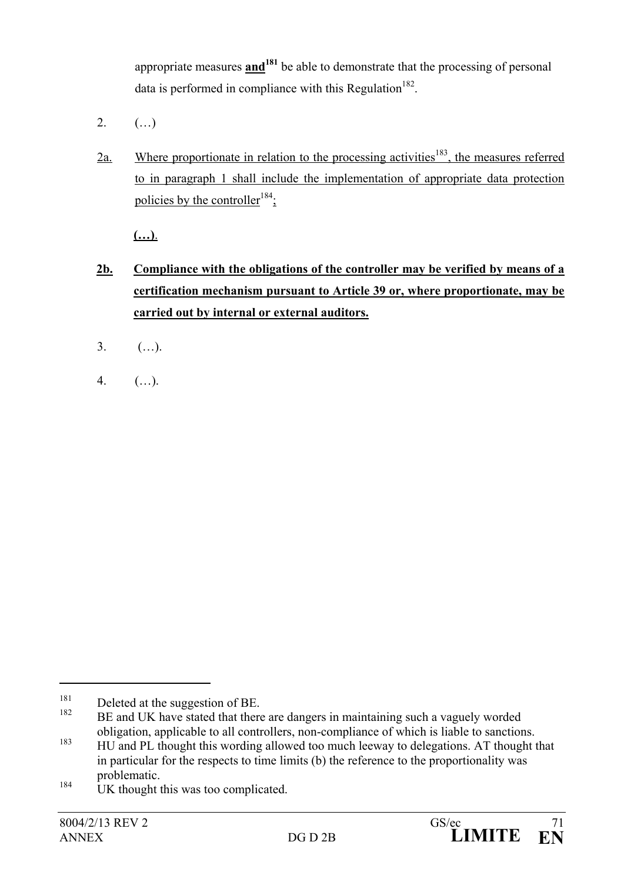appropriate measures **and<sup>181</sup>** be able to demonstrate that the processing of personal data is performed in compliance with this Regulation<sup>182</sup>.

- 2.  $(\ldots)$
- 2a. Where proportionate in relation to the processing activities<sup>183</sup>, the measures referred to in paragraph 1 shall include the implementation of appropriate data protection policies by the controller<sup>184</sup>;

**(…)**.

- **2b. Compliance with the obligations of the controller may be verified by means of a certification mechanism pursuant to Article 39 or, where proportionate, may be carried out by internal or external auditors.**
- $3.$  (...).
- $4.$   $($ ...).

 $181$  Deleted at the suggestion of BE.

<sup>182</sup> BE and UK have stated that there are dangers in maintaining such a vaguely worded obligation, applicable to all controllers, non-compliance of which is liable to sanctions.

<sup>&</sup>lt;sup>183</sup> HU and PL thought this wording allowed too much leeway to delegations. AT thought that in particular for the respects to time limits (b) the reference to the proportionality was problematic.

<sup>&</sup>lt;sup>184</sup> UK thought this was too complicated.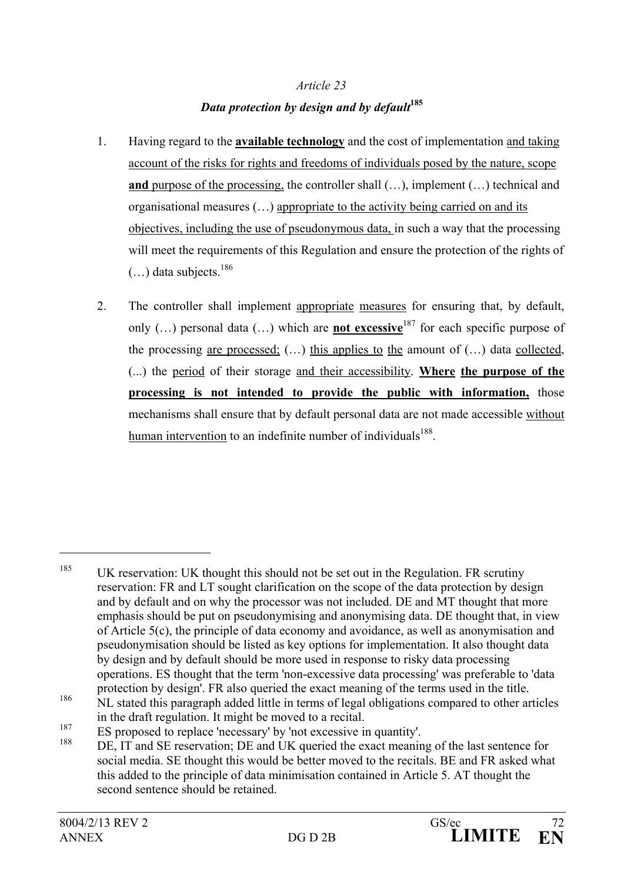#### *Article 23*

#### *Data protection by design and by default***<sup>185</sup>**

- 1. Having regard to the **available technology** and the cost of implementation and taking account of the risks for rights and freedoms of individuals posed by the nature, scope **and** purpose of the processing, the controller shall (…), implement (…) technical and organisational measures (…) appropriate to the activity being carried on and its objectives, including the use of pseudonymous data, in such a way that the processing will meet the requirements of this Regulation and ensure the protection of the rights of  $(...)$  data subjects.<sup>186</sup>
- 2. The controller shall implement appropriate measures for ensuring that, by default, only (…) personal data (…) which are **not excessive**<sup>187</sup> for each specific purpose of the processing <u>are processed;</u>  $(...)$  this applies to the amount of  $(...)$  data collected, (...) the period of their storage and their accessibility. **Where the purpose of the processing is not intended to provide the public with information,** those mechanisms shall ensure that by default personal data are not made accessible without human intervention to an indefinite number of individuals<sup>188</sup>.

<sup>&</sup>lt;sup>185</sup> UK reservation: UK thought this should not be set out in the Regulation. FR scrutiny reservation: FR and LT sought clarification on the scope of the data protection by design and by default and on why the processor was not included. DE and MT thought that more emphasis should be put on pseudonymising and anonymising data. DE thought that, in view of Article 5(c), the principle of data economy and avoidance, as well as anonymisation and pseudonymisation should be listed as key options for implementation. It also thought data by design and by default should be more used in response to risky data processing operations. ES thought that the term 'non-excessive data processing' was preferable to 'data protection by design'. FR also queried the exact meaning of the terms used in the title.

<sup>&</sup>lt;sup>186</sup> NL stated this paragraph added little in terms of legal obligations compared to other articles in the draft regulation. It might be moved to a recital.

<sup>&</sup>lt;sup>187</sup> ES proposed to replace 'necessary' by 'not excessive in quantity'.

DE, IT and SE reservation; DE and UK queried the exact meaning of the last sentence for social media. SE thought this would be better moved to the recitals. BE and FR asked what this added to the principle of data minimisation contained in Article 5. AT thought the second sentence should be retained.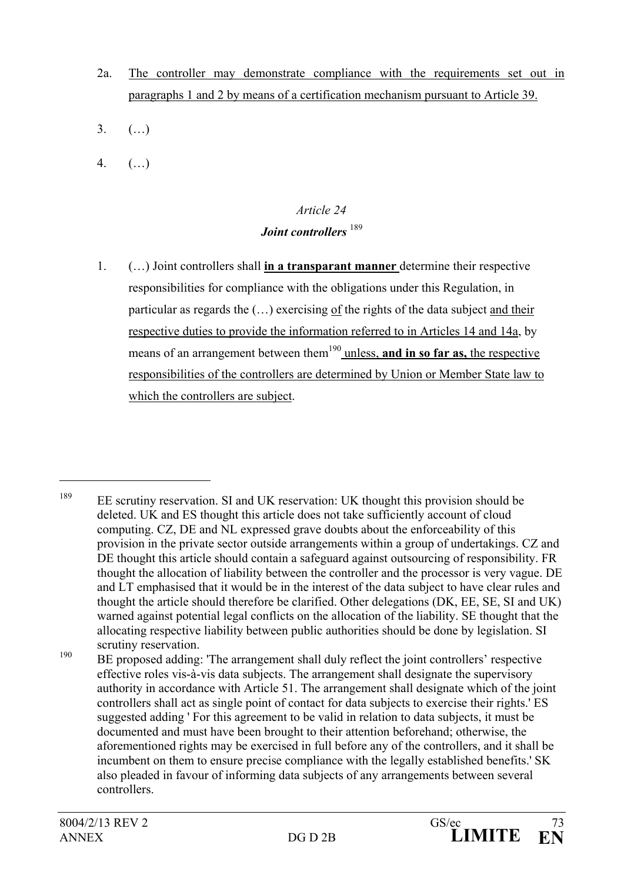- 2a. The controller may demonstrate compliance with the requirements set out in paragraphs 1 and 2 by means of a certification mechanism pursuant to Article 39.
- 3. (…)
- 4. (…)

# *Article 24*

## *Joint controllers*  $189$

1. (…) Joint controllers shall **in a transparant manner** determine their respective responsibilities for compliance with the obligations under this Regulation, in particular as regards the (…) exercising of the rights of the data subject and their respective duties to provide the information referred to in Articles 14 and 14a, by means of an arrangement between them<sup>190</sup> unless, **and in so far as,** the respective responsibilities of the controllers are determined by Union or Member State law to which the controllers are subject.

<sup>&</sup>lt;sup>189</sup> EE scrutiny reservation. SI and UK reservation: UK thought this provision should be deleted. UK and ES thought this article does not take sufficiently account of cloud computing. CZ, DE and NL expressed grave doubts about the enforceability of this provision in the private sector outside arrangements within a group of undertakings. CZ and DE thought this article should contain a safeguard against outsourcing of responsibility. FR thought the allocation of liability between the controller and the processor is very vague. DE and LT emphasised that it would be in the interest of the data subject to have clear rules and thought the article should therefore be clarified. Other delegations (DK, EE, SE, SI and UK) warned against potential legal conflicts on the allocation of the liability. SE thought that the allocating respective liability between public authorities should be done by legislation. SI scrutiny reservation.

<sup>&</sup>lt;sup>190</sup> BE proposed adding: 'The arrangement shall duly reflect the joint controllers' respective effective roles vis-à-vis data subjects. The arrangement shall designate the supervisory authority in accordance with Article 51. The arrangement shall designate which of the joint controllers shall act as single point of contact for data subjects to exercise their rights.' ES suggested adding ' For this agreement to be valid in relation to data subjects, it must be documented and must have been brought to their attention beforehand; otherwise, the aforementioned rights may be exercised in full before any of the controllers, and it shall be incumbent on them to ensure precise compliance with the legally established benefits.' SK also pleaded in favour of informing data subjects of any arrangements between several controllers.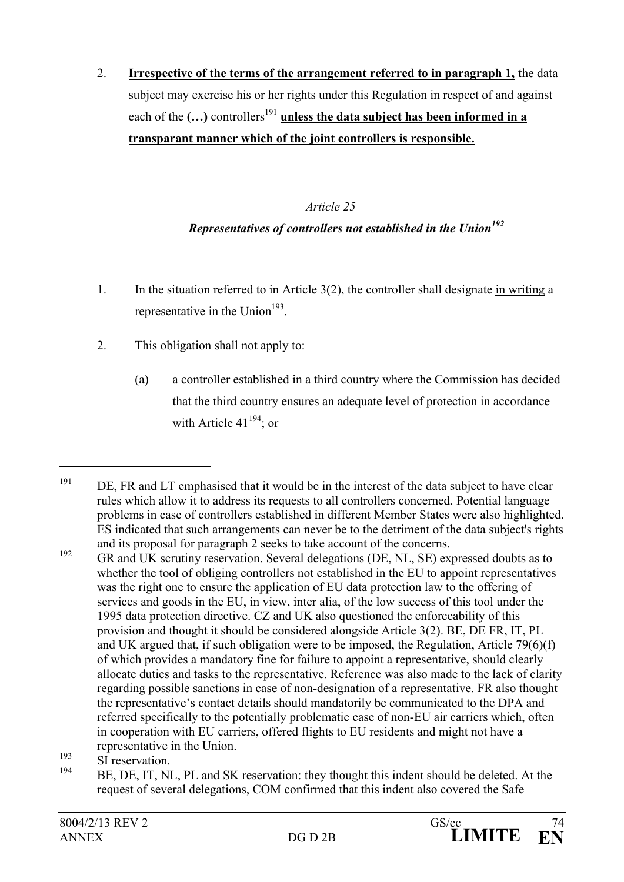2. **Irrespective of the terms of the arrangement referred to in paragraph 1, t**he data subject may exercise his or her rights under this Regulation in respect of and against each of the  $(...)$  controllers<sup>191</sup> unless the data subject has been informed in a **transparant manner which of the joint controllers is responsible.**

#### *Article 25*

### *Representatives of controllers not established in the Union<sup>192</sup>*

- 1. In the situation referred to in Article 3(2), the controller shall designate in writing a representative in the Union $193$ .
- 2. This obligation shall not apply to:
	- (a) a controller established in a third country where the Commission has decided that the third country ensures an adequate level of protection in accordance with Article  $41^{194}$ ; or

 $\overline{a}$ 

BE, DE, IT, NL, PL and SK reservation: they thought this indent should be deleted. At the request of several delegations, COM confirmed that this indent also covered the Safe

 $191$  DE, FR and LT emphasised that it would be in the interest of the data subject to have clear rules which allow it to address its requests to all controllers concerned. Potential language problems in case of controllers established in different Member States were also highlighted. ES indicated that such arrangements can never be to the detriment of the data subject's rights and its proposal for paragraph 2 seeks to take account of the concerns.

 $192$  GR and UK scrutiny reservation. Several delegations (DE, NL, SE) expressed doubts as to whether the tool of obliging controllers not established in the EU to appoint representatives was the right one to ensure the application of EU data protection law to the offering of services and goods in the EU, in view, inter alia, of the low success of this tool under the 1995 data protection directive. CZ and UK also questioned the enforceability of this provision and thought it should be considered alongside Article 3(2). BE, DE FR, IT, PL and UK argued that, if such obligation were to be imposed, the Regulation, Article 79(6)(f) of which provides a mandatory fine for failure to appoint a representative, should clearly allocate duties and tasks to the representative. Reference was also made to the lack of clarity regarding possible sanctions in case of non-designation of a representative. FR also thought the representative's contact details should mandatorily be communicated to the DPA and referred specifically to the potentially problematic case of non-EU air carriers which, often in cooperation with EU carriers, offered flights to EU residents and might not have a representative in the Union.

 $^{193}$  SI reservation.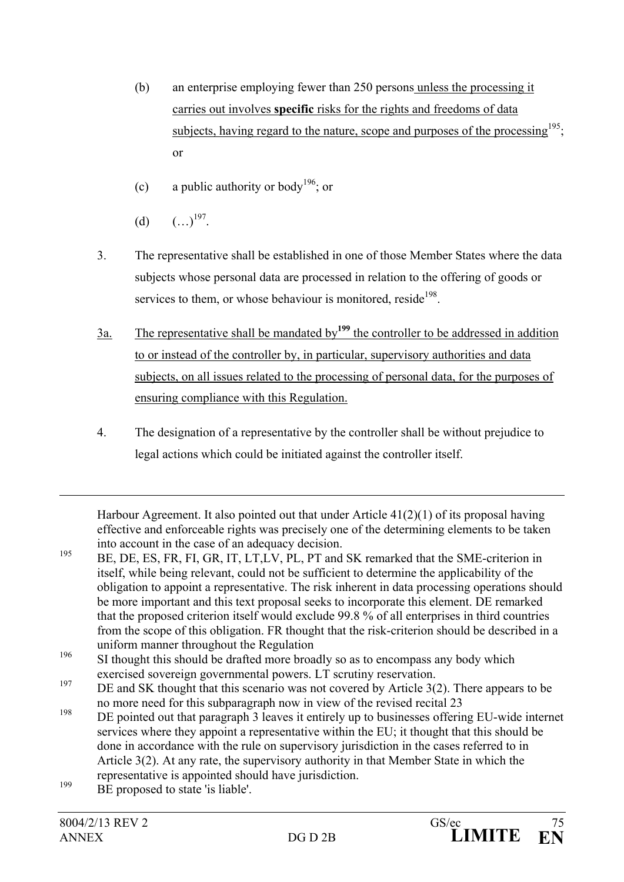- (b) an enterprise employing fewer than 250 persons unless the processing it carries out involves **specific** risks for the rights and freedoms of data subjects, having regard to the nature, scope and purposes of the processing<sup>195</sup>; or
- (c) a public authority or body<sup>196</sup>; or
- (d)  $(\ldots)^{197}$ .
- 3. The representative shall be established in one of those Member States where the data subjects whose personal data are processed in relation to the offering of goods or services to them, or whose behaviour is monitored, reside<sup>198</sup>.
- 3a. The representative shall be mandated by**<sup>199</sup>** the controller to be addressed in addition to or instead of the controller by, in particular, supervisory authorities and data subjects, on all issues related to the processing of personal data, for the purposes of ensuring compliance with this Regulation.
- 4. The designation of a representative by the controller shall be without prejudice to legal actions which could be initiated against the controller itself.

Harbour Agreement. It also pointed out that under Article 41(2)(1) of its proposal having effective and enforceable rights was precisely one of the determining elements to be taken into account in the case of an adequacy decision.

- <sup>195</sup> BE, DE, ES, FR, FI, GR, IT, LT, LV, PL, PT and SK remarked that the SME-criterion in itself, while being relevant, could not be sufficient to determine the applicability of the obligation to appoint a representative. The risk inherent in data processing operations should be more important and this text proposal seeks to incorporate this element. DE remarked that the proposed criterion itself would exclude 99.8 % of all enterprises in third countries from the scope of this obligation. FR thought that the risk-criterion should be described in a uniform manner throughout the Regulation
- <sup>196</sup> SI thought this should be drafted more broadly so as to encompass any body which exercised sovereign governmental powers. LT scrutiny reservation.
- $197$  DE and SK thought that this scenario was not covered by Article 3(2). There appears to be no more need for this subparagraph now in view of the revised recital 23
- <sup>198</sup> DE pointed out that paragraph 3 leaves it entirely up to businesses offering EU-wide internet services where they appoint a representative within the EU; it thought that this should be done in accordance with the rule on supervisory jurisdiction in the cases referred to in Article 3(2). At any rate, the supervisory authority in that Member State in which the representative is appointed should have jurisdiction.
- <sup>199</sup> BE proposed to state 'is liable'.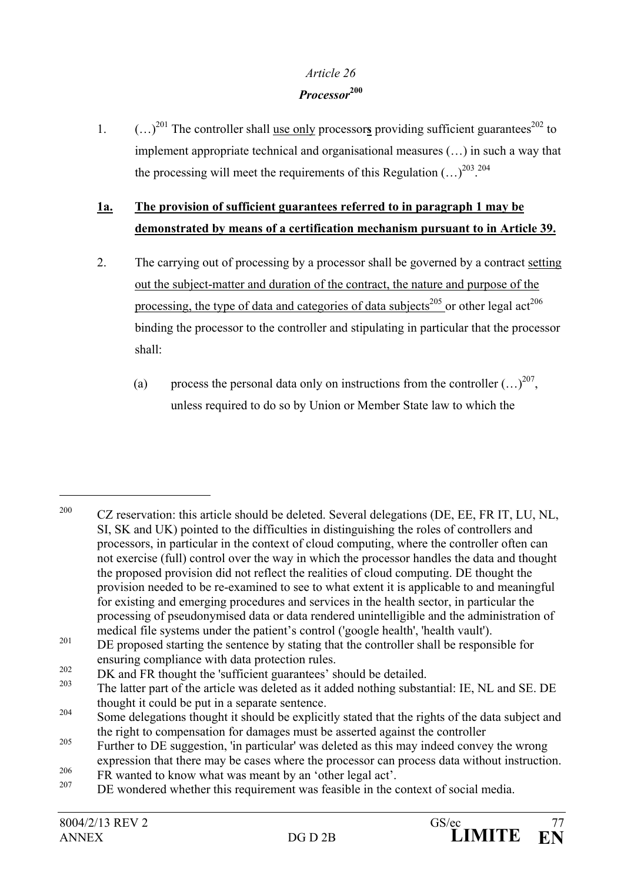# *Article 26*

# *Processor***<sup>200</sup>**

1.  $(\ldots)^{201}$  The controller shall use only processors providing sufficient guarantees<sup>202</sup> to implement appropriate technical and organisational measures (…) in such a way that the processing will meet the requirements of this Regulation  $(...)^{203}$ . 204

# **1a. The provision of sufficient guarantees referred to in paragraph 1 may be demonstrated by means of a certification mechanism pursuant to in Article 39.**

- 2. The carrying out of processing by a processor shall be governed by a contract setting out the subject-matter and duration of the contract, the nature and purpose of the processing, the type of data and categories of data subjects<sup>205</sup> or other legal act<sup>206</sup> binding the processor to the controller and stipulating in particular that the processor shall:
	- (a) process the personal data only on instructions from the controller  $(...)^{207}$ , unless required to do so by Union or Member State law to which the

<sup>&</sup>lt;sup>200</sup> CZ reservation: this article should be deleted. Several delegations (DE, EE, FR IT, LU, NL, SI, SK and UK) pointed to the difficulties in distinguishing the roles of controllers and processors, in particular in the context of cloud computing, where the controller often can not exercise (full) control over the way in which the processor handles the data and thought the proposed provision did not reflect the realities of cloud computing. DE thought the provision needed to be re-examined to see to what extent it is applicable to and meaningful for existing and emerging procedures and services in the health sector, in particular the processing of pseudonymised data or data rendered unintelligible and the administration of medical file systems under the patient's control ('google health', 'health vault').

<sup>&</sup>lt;sup>201</sup> DE proposed starting the sentence by stating that the controller shall be responsible for ensuring compliance with data protection rules.

 $202$  DK and FR thought the 'sufficient guarantees' should be detailed.

The latter part of the article was deleted as it added nothing substantial: IE, NL and SE. DE thought it could be put in a separate sentence.

<sup>&</sup>lt;sup>204</sup> Some delegations thought it should be explicitly stated that the rights of the data subject and the right to compensation for damages must be asserted against the controller

<sup>&</sup>lt;sup>205</sup> Further to DE suggestion, 'in particular' was deleted as this may indeed convey the wrong expression that there may be cases where the processor can process data without instruction.

 $206$  FR wanted to know what was meant by an 'other legal act'.

DE wondered whether this requirement was feasible in the context of social media.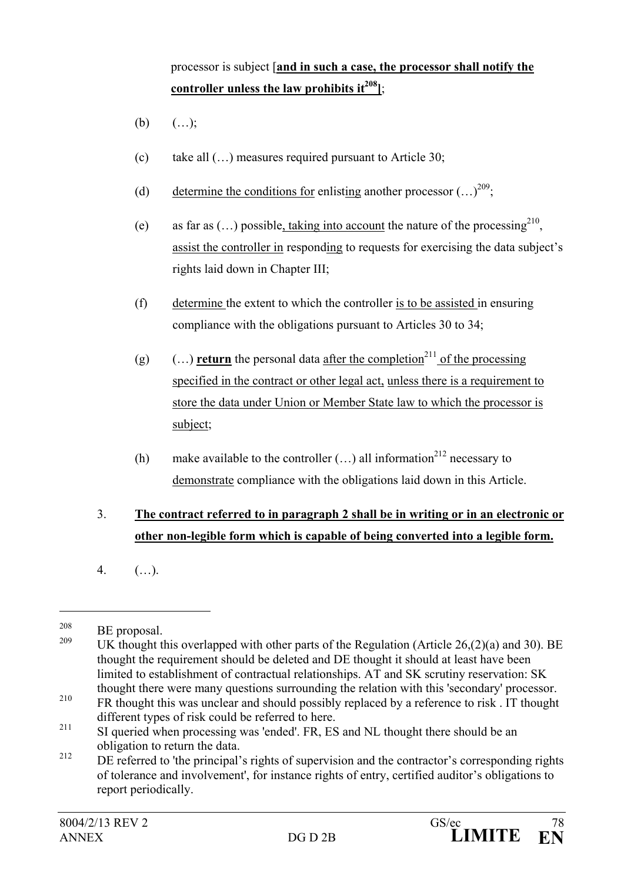processor is subject [**and in such a case, the processor shall notify the controller unless the law prohibits it<sup>208</sup>]**;

- (b)  $(...);$
- (c) take all (…) measures required pursuant to Article 30;
- (d) determine the conditions for enlisting another processor  $(...)^{209}$ ;
- (e) as far as  $(...)$  possible<u>, taking into account</u> the nature of the processing<sup>210</sup>, assist the controller in responding to requests for exercising the data subject's rights laid down in Chapter III;
- (f) determine the extent to which the controller is to be assisted in ensuring compliance with the obligations pursuant to Articles 30 to 34;
- (g)  $(\ldots)$  **return** the personal data after the completion<sup>211</sup> of the processing specified in the contract or other legal act, unless there is a requirement to store the data under Union or Member State law to which the processor is subject;
- (h) make available to the controller  $(...)$  all information<sup>212</sup> necessary to demonstrate compliance with the obligations laid down in this Article.

# 3. **The contract referred to in paragraph 2 shall be in writing or in an electronic or other non-legible form which is capable of being converted into a legible form.**

4. (…).

 $rac{208}{209}$  BE proposal.

UK thought this overlapped with other parts of the Regulation (Article  $26(2)(a)$  and 30). BE thought the requirement should be deleted and DE thought it should at least have been limited to establishment of contractual relationships. AT and SK scrutiny reservation: SK thought there were many questions surrounding the relation with this 'secondary' processor.

<sup>&</sup>lt;sup>210</sup> FR thought this was unclear and should possibly replaced by a reference to risk . IT thought different types of risk could be referred to here.

<sup>&</sup>lt;sup>211</sup> SI queried when processing was 'ended'. FR, ES and NL thought there should be an obligation to return the data.

<sup>&</sup>lt;sup>212</sup> DE referred to 'the principal's rights of supervision and the contractor's corresponding rights of tolerance and involvement', for instance rights of entry, certified auditor's obligations to report periodically.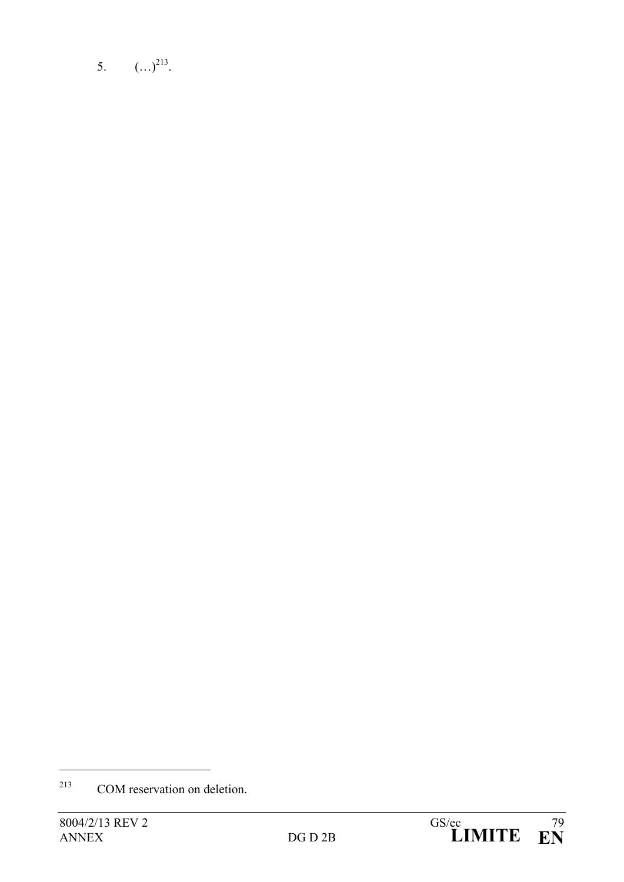5.  $(\ldots)^{213}$ .

<sup>213</sup> COM reservation on deletion.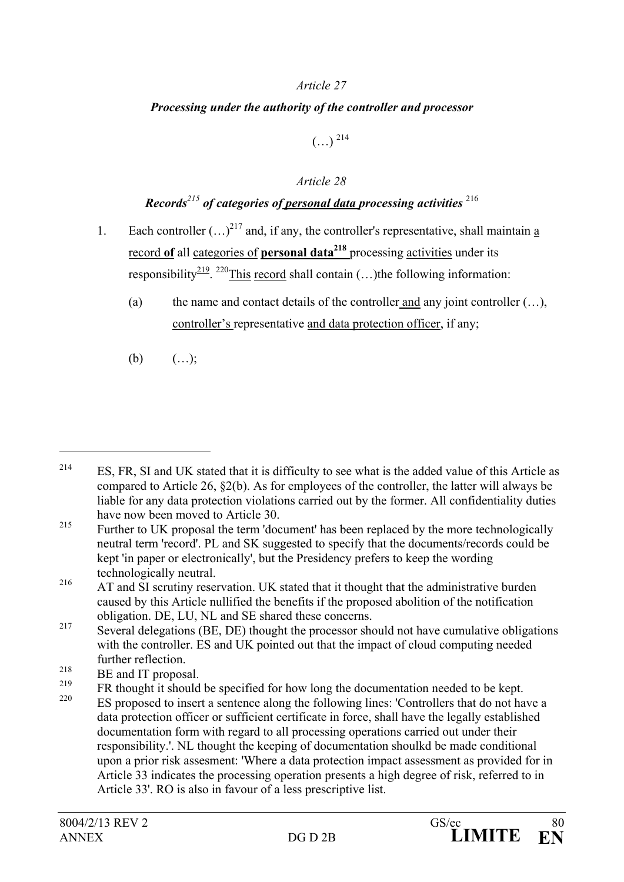#### *Article 27*

#### *Processing under the authority of the controller and processor*

## $\binom{1}{1}$  214

#### *Article 28*

## *Records<sup>215</sup> of categories of personal data processing activities* <sup>216</sup>

- 1. Each controller  $(...)^{217}$  and, if any, the controller's representative, shall maintain a record **of** all categories of **personal data<sup>218</sup>** processing activities under its responsibility<sup>219</sup>. <sup>220</sup>This record shall contain (...) the following information:
	- (a) the name and contact details of the controller <u>and</u> any joint controller  $(...),$ controller's representative and data protection officer, if any;
	- (b)  $(…)$ ;

 $\frac{218}{219}$  BE and IT proposal.

<sup>&</sup>lt;sup>214</sup> ES, FR, SI and UK stated that it is difficulty to see what is the added value of this Article as compared to Article 26, §2(b). As for employees of the controller, the latter will always be liable for any data protection violations carried out by the former. All confidentiality duties have now been moved to Article 30.

<sup>&</sup>lt;sup>215</sup> Further to UK proposal the term 'document' has been replaced by the more technologically neutral term 'record'. PL and SK suggested to specify that the documents/records could be kept 'in paper or electronically', but the Presidency prefers to keep the wording technologically neutral.

<sup>&</sup>lt;sup>216</sup> AT and SI scrutiny reservation. UK stated that it thought that the administrative burden caused by this Article nullified the benefits if the proposed abolition of the notification obligation. DE, LU, NL and SE shared these concerns.

<sup>&</sup>lt;sup>217</sup> Several delegations (BE, DE) thought the processor should not have cumulative obligations with the controller. ES and UK pointed out that the impact of cloud computing needed further reflection.

<sup>&</sup>lt;sup>219</sup> FR thought it should be specified for how long the documentation needed to be kept.

ES proposed to insert a sentence along the following lines: 'Controllers that do not have a data protection officer or sufficient certificate in force, shall have the legally established documentation form with regard to all processing operations carried out under their responsibility.'. NL thought the keeping of documentation shoulkd be made conditional upon a prior risk assesment: 'Where a data protection impact assessment as provided for in Article 33 indicates the processing operation presents a high degree of risk, referred to in Article 33'. RO is also in favour of a less prescriptive list.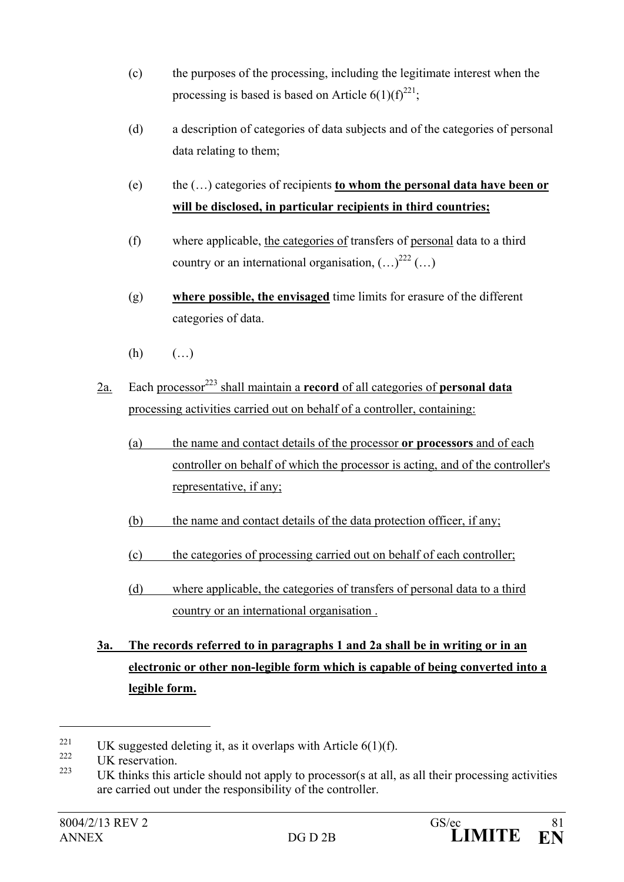- (c) the purposes of the processing, including the legitimate interest when the processing is based is based on Article  $6(1)(f)^{221}$ ;
- (d) a description of categories of data subjects and of the categories of personal data relating to them;
- (e) the (…) categories of recipients **to whom the personal data have been or will be disclosed, in particular recipients in third countries;**
- (f) where applicable, the categories of transfers of personal data to a third country or an international organisation,  $(\ldots)^{222}$   $(\ldots)$
- (g) **where possible, the envisaged** time limits for erasure of the different categories of data.
- $(h)$   $(l...)$
- 2a. Each processor<sup>223</sup> shall maintain a **record** of all categories of **personal data**  processing activities carried out on behalf of a controller, containing:
	- (a) the name and contact details of the processor **or processors** and of each controller on behalf of which the processor is acting, and of the controller's representative, if any;
	- (b) the name and contact details of the data protection officer, if any;
	- (c) the categories of processing carried out on behalf of each controller;
	- (d) where applicable, the categories of transfers of personal data to a third country or an international organisation .
- **3a. The records referred to in paragraphs 1 and 2a shall be in writing or in an electronic or other non-legible form which is capable of being converted into a legible form.**

<sup>&</sup>lt;sup>221</sup> UK suggested deleting it, as it overlaps with Article 6(1)(f).

 $\frac{222}{223}$  UK reservation.

UK thinks this article should not apply to processor(s at all, as all their processing activities are carried out under the responsibility of the controller.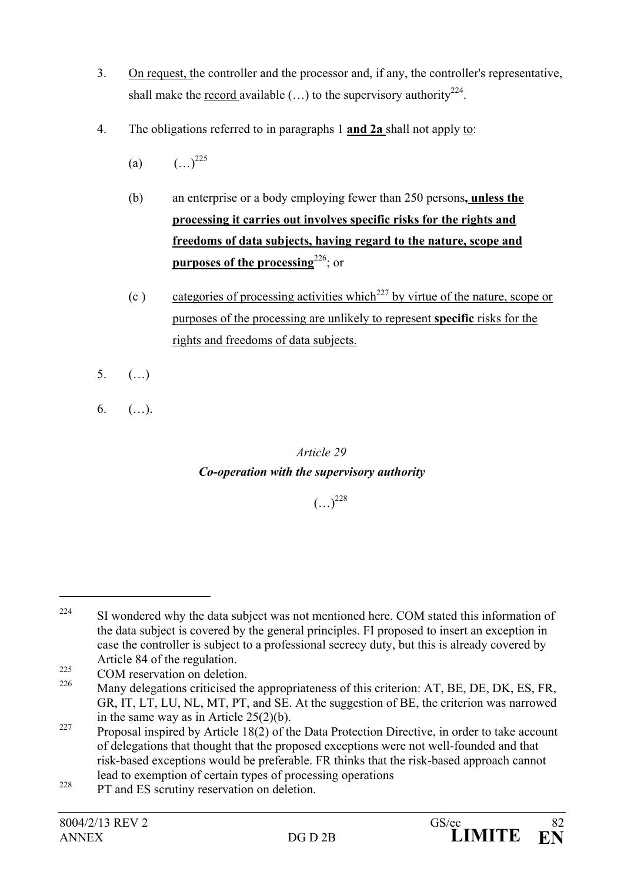- 3. On request, the controller and the processor and, if any, the controller's representative, shall make the <u>record</u> available  $(...)$  to the supervisory authority<sup>224</sup>.
- 4. The obligations referred to in paragraphs 1 **and 2a** shall not apply to:
	- (a)  $(\ldots)^{225}$
	- (b) an enterprise or a body employing fewer than 250 persons**, unless the processing it carries out involves specific risks for the rights and freedoms of data subjects, having regard to the nature, scope and purposes of the processing**<sup>226</sup>; or
	- (c) categories of processing activities which<sup>227</sup> by virtue of the nature, scope or purposes of the processing are unlikely to represent **specific** risks for the rights and freedoms of data subjects.
- 5. (…)
- 6.  $($ ...).

# *Article 29 Co-operation with the supervisory authority*

 ${(\dots)}^{228}$ 

 $^{225}$  COM reservation on deletion.

<sup>&</sup>lt;sup>224</sup> SI wondered why the data subject was not mentioned here. COM stated this information of the data subject is covered by the general principles. FI proposed to insert an exception in case the controller is subject to a professional secrecy duty, but this is already covered by Article 84 of the regulation.

Many delegations criticised the appropriateness of this criterion: AT, BE, DE, DK, ES, FR, GR, IT, LT, LU, NL, MT, PT, and SE. At the suggestion of BE, the criterion was narrowed in the same way as in Article 25(2)(b).

<sup>&</sup>lt;sup>227</sup> Proposal inspired by Article 18(2) of the Data Protection Directive, in order to take account of delegations that thought that the proposed exceptions were not well-founded and that risk-based exceptions would be preferable. FR thinks that the risk-based approach cannot lead to exemption of certain types of processing operations

 $228$  PT and ES scrutiny reservation on deletion.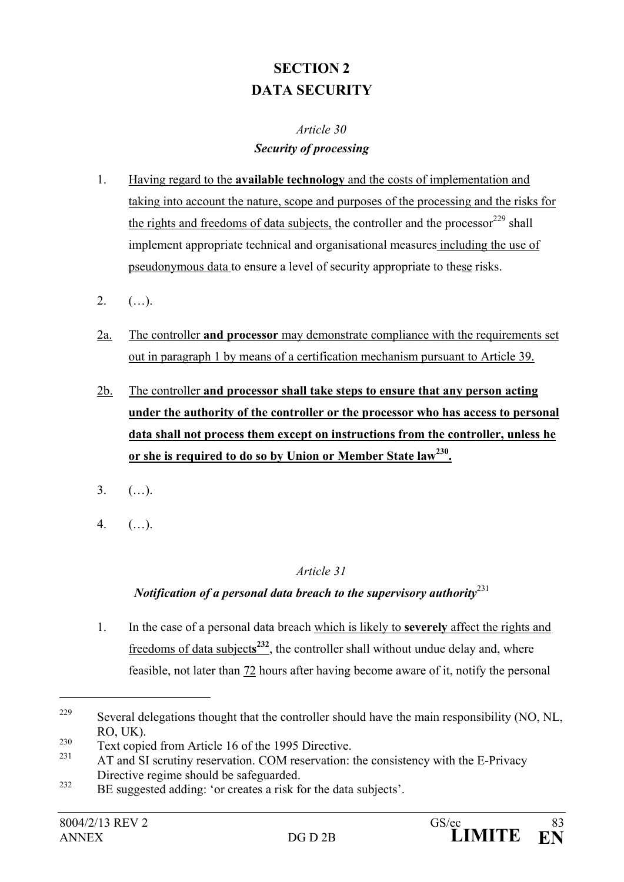# **SECTION 2 DATA SECURITY**

## *Article 30 Security of processing*

- 1. Having regard to the **available technology** and the costs of implementation and taking into account the nature, scope and purposes of the processing and the risks for the rights and freedoms of data subjects, the controller and the processor $^{229}$  shall implement appropriate technical and organisational measures including the use of pseudonymous data to ensure a level of security appropriate to these risks.
- $2.$  (...).
- 2a. The controller **and processor** may demonstrate compliance with the requirements set out in paragraph 1 by means of a certification mechanism pursuant to Article 39.
- 2b. The controller **and processor shall take steps to ensure that any person acting under the authority of the controller or the processor who has access to personal data shall not process them except on instructions from the controller, unless he or she is required to do so by Union or Member State law<sup>230</sup> .**
- $3(1)$
- 4. (…).

#### *Article 31*

### *Notification of a personal data breach to the supervisory authority*<sup>231</sup>

1. In the case of a personal data breach which is likely to **severely** affect the rights and freedoms of data subject**s <sup>232</sup>**, the controller shall without undue delay and, where feasible, not later than 72 hours after having become aware of it, notify the personal

<sup>&</sup>lt;sup>229</sup> Several delegations thought that the controller should have the main responsibility (NO, NL, RO, UK).

 $230$  Text copied from Article 16 of the 1995 Directive.

AT and SI scrutiny reservation. COM reservation: the consistency with the E-Privacy Directive regime should be safeguarded.

<sup>&</sup>lt;sup>232</sup> BE suggested adding: 'or creates a risk for the data subjects'.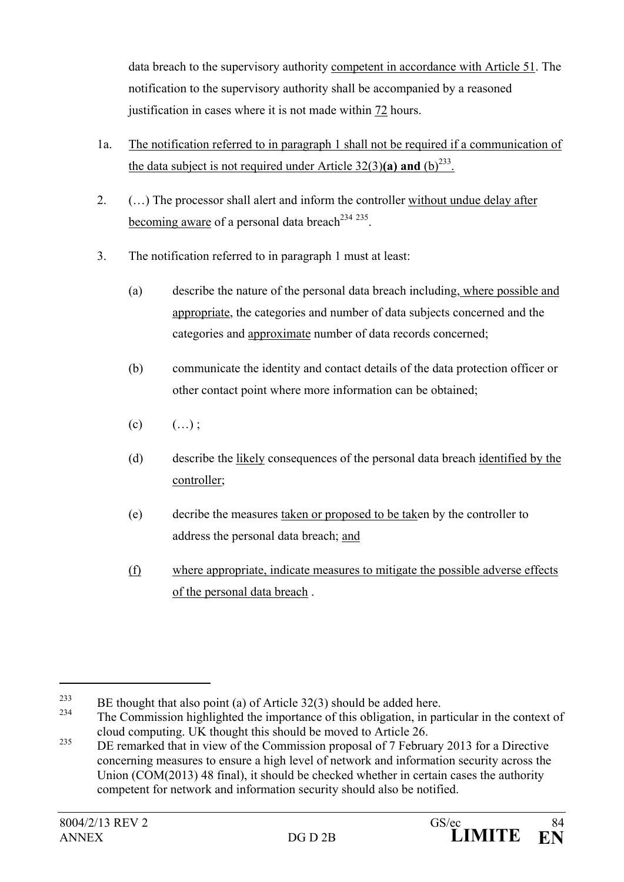data breach to the supervisory authority competent in accordance with Article 51. The notification to the supervisory authority shall be accompanied by a reasoned justification in cases where it is not made within 72 hours.

- 1a. The notification referred to in paragraph 1 shall not be required if a communication of the data subject is not required under Article  $32(3)(a)$  and  $(b)^{233}$ .
- 2. (…) The processor shall alert and inform the controller without undue delay after becoming aware of a personal data breach<sup>234 235</sup>.
- 3. The notification referred to in paragraph 1 must at least:
	- (a) describe the nature of the personal data breach including, where possible and appropriate, the categories and number of data subjects concerned and the categories and approximate number of data records concerned;
	- (b) communicate the identity and contact details of the data protection officer or other contact point where more information can be obtained;
	- $(c)$   $(...)$  ;
	- (d) describe the likely consequences of the personal data breach identified by the controller;
	- (e) decribe the measures taken or proposed to be taken by the controller to address the personal data breach; and
	- (f) where appropriate, indicate measures to mitigate the possible adverse effects of the personal data breach .

<sup>&</sup>lt;sup>233</sup> BE thought that also point (a) of Article 32(3) should be added here.

The Commission highlighted the importance of this obligation, in particular in the context of cloud computing. UK thought this should be moved to Article 26.

<sup>&</sup>lt;sup>235</sup> DE remarked that in view of the Commission proposal of 7 February 2013 for a Directive concerning measures to ensure a high level of network and information security across the Union (COM(2013) 48 final), it should be checked whether in certain cases the authority competent for network and information security should also be notified.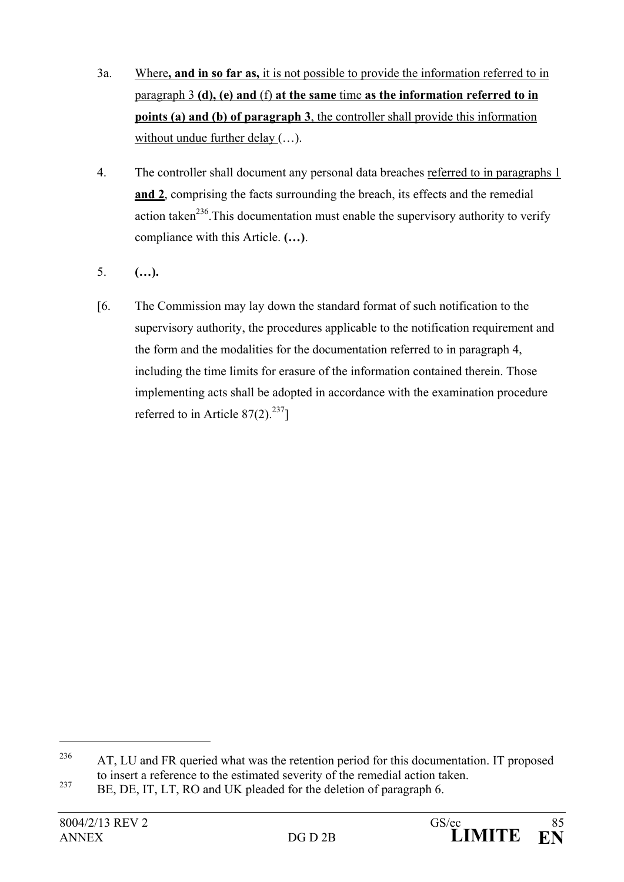- 3a. Where**, and in so far as,** it is not possible to provide the information referred to in paragraph 3 **(d), (e) and** (f) **at the same** time **as the information referred to in points (a) and (b) of paragraph 3**, the controller shall provide this information without undue further delay  $(\ldots)$ .
- 4. The controller shall document any personal data breaches referred to in paragraphs 1 **and 2**, comprising the facts surrounding the breach, its effects and the remedial action taken<sup>236</sup>. This documentation must enable the supervisory authority to verify compliance with this Article. **(…)**.
- 5. **(…).**
- [6. The Commission may lay down the standard format of such notification to the supervisory authority, the procedures applicable to the notification requirement and the form and the modalities for the documentation referred to in paragraph 4, including the time limits for erasure of the information contained therein. Those implementing acts shall be adopted in accordance with the examination procedure referred to in Article  $87(2).^{237}$ ]

<sup>&</sup>lt;sup>236</sup> AT, LU and FR queried what was the retention period for this documentation. IT proposed to insert a reference to the estimated severity of the remedial action taken.

<sup>&</sup>lt;sup>237</sup> BE, DE, IT, LT, RO and UK pleaded for the deletion of paragraph 6.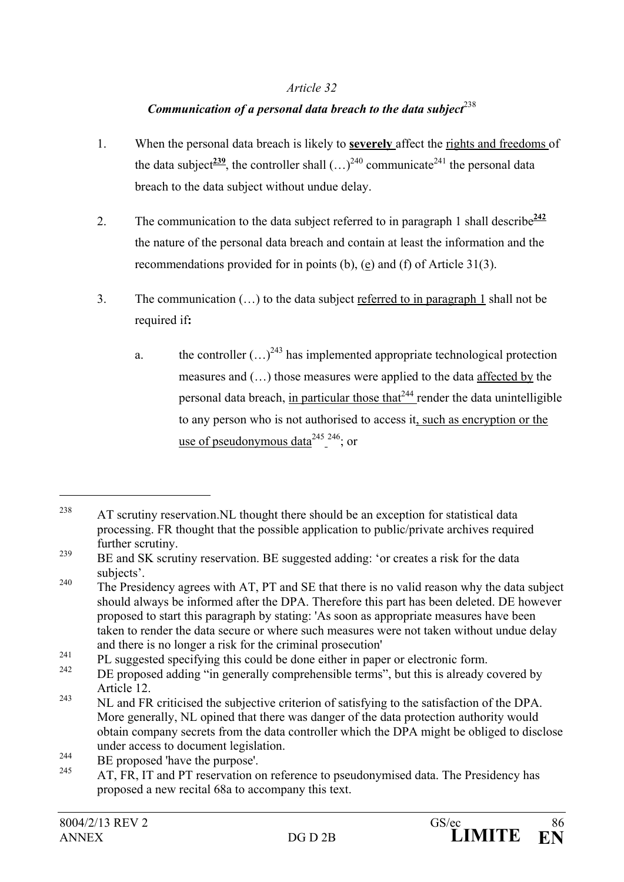#### *Article 32*

### *Communication of a personal data breach to the data subiect*<sup>238</sup>

- 1. When the personal data breach is likely to **severely** affect the rights and freedoms of the data subject<sup>239</sup>, the controller shall  $(...)^{240}$  communicate<sup>241</sup> the personal data breach to the data subject without undue delay.
- 2. The communication to the data subject referred to in paragraph 1 shall describe<sup>242</sup> the nature of the personal data breach and contain at least the information and the recommendations provided for in points (b), (e) and (f) of Article 31(3).
- 3. The communication (…) to the data subject referred to in paragraph 1 shall not be required if**:**
	- a. the controller  $(...)^{243}$  has implemented appropriate technological protection measures and (…) those measures were applied to the data affected by the personal data breach, in particular those that  $2^{44}$  render the data unintelligible to any person who is not authorised to access it, such as encryption or the use of pseudonymous data $^{245}$   $^{246}$ ; or

<sup>&</sup>lt;sup>238</sup> AT scrutiny reservation. NL thought there should be an exception for statistical data processing. FR thought that the possible application to public/private archives required further scrutiny.

<sup>&</sup>lt;sup>239</sup> BE and SK scrutiny reservation. BE suggested adding: 'or creates a risk for the data subjects'.

<sup>&</sup>lt;sup>240</sup> The Presidency agrees with AT, PT and SE that there is no valid reason why the data subject should always be informed after the DPA. Therefore this part has been deleted. DE however proposed to start this paragraph by stating: 'As soon as appropriate measures have been taken to render the data secure or where such measures were not taken without undue delay and there is no longer a risk for the criminal prosecution'

<sup>&</sup>lt;sup>241</sup> PL suggested specifying this could be done either in paper or electronic form.

DE proposed adding "in generally comprehensible terms", but this is already covered by Article 12.

<sup>&</sup>lt;sup>243</sup> NL and FR criticised the subjective criterion of satisfying to the satisfaction of the DPA. More generally, NL opined that there was danger of the data protection authority would obtain company secrets from the data controller which the DPA might be obliged to disclose under access to document legislation.

 $^{244}$  BE proposed 'have the purpose'.

AT, FR, IT and PT reservation on reference to pseudonymised data. The Presidency has proposed a new recital 68a to accompany this text.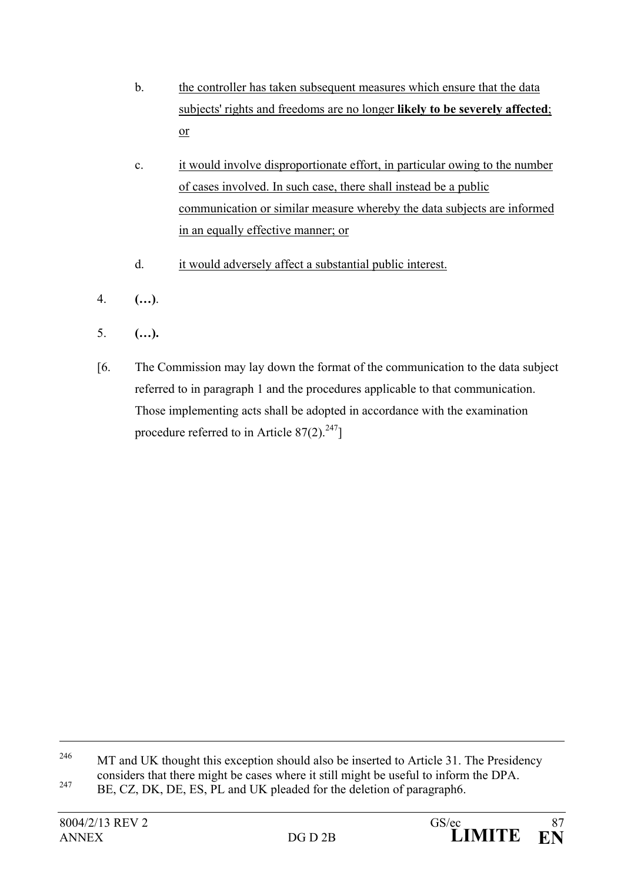- b. the controller has taken subsequent measures which ensure that the data subjects' rights and freedoms are no longer **likely to be severely affected**; or
- c. it would involve disproportionate effort, in particular owing to the number of cases involved. In such case, there shall instead be a public communication or similar measure whereby the data subjects are informed in an equally effective manner; or
- d. it would adversely affect a substantial public interest.
- 4. **(…)**.
- 5. **(…).**
- [6. The Commission may lay down the format of the communication to the data subject referred to in paragraph 1 and the procedures applicable to that communication. Those implementing acts shall be adopted in accordance with the examination procedure referred to in Article  $87(2).^{247}$ ]

<sup>&</sup>lt;sup>246</sup> MT and UK thought this exception should also be inserted to Article 31. The Presidency considers that there might be cases where it still might be useful to inform the DPA.

<sup>&</sup>lt;sup>247</sup> BE, CZ, DK, DE, ES, PL and UK pleaded for the deletion of paragraph6.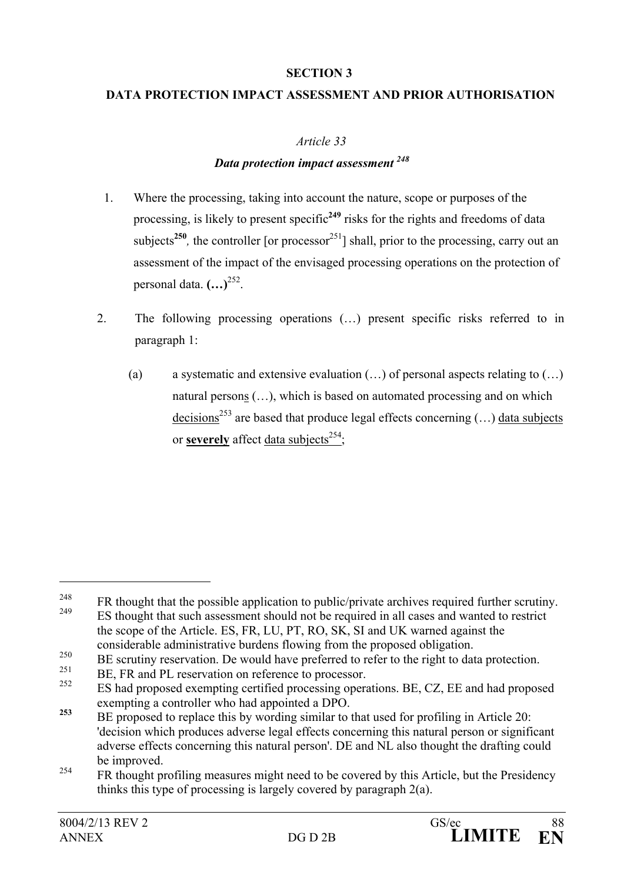#### **SECTION 3**

#### **DATA PROTECTION IMPACT ASSESSMENT AND PRIOR AUTHORISATION**

#### *Article 33*

### *Data protection impact assessment <sup>248</sup>*

- 1. Where the processing, taking into account the nature, scope or purposes of the processing, is likely to present specific**<sup>249</sup>** risks for the rights and freedoms of data subjects<sup>250</sup>, the controller [or processor<sup>251</sup>] shall, prior to the processing, carry out an assessment of the impact of the envisaged processing operations on the protection of personal data. **(…)**<sup>252</sup> .
- 2. The following processing operations (…) present specific risks referred to in paragraph 1:
	- (a) a systematic and extensive evaluation  $(...)$  of personal aspects relating to  $(...)$ natural persons (…), which is based on automated processing and on which decisions<sup>253</sup> are based that produce legal effects concerning  $(...)$  data subjects or **severely** affect data subjects<sup>254</sup>;

<sup>&</sup>lt;sup>248</sup> FR thought that the possible application to public/private archives required further scrutiny. ES thought that such assessment should not be required in all cases and wanted to restrict the scope of the Article. ES, FR, LU, PT, RO, SK, SI and UK warned against the considerable administrative burdens flowing from the proposed obligation.

<sup>&</sup>lt;sup>250</sup> BE scrutiny reservation. De would have preferred to refer to the right to data protection.

<sup>&</sup>lt;sup>251</sup> BE, FR and PL reservation on reference to processor.

ES had proposed exempting certified processing operations. BE, CZ, EE and had proposed exempting a controller who had appointed a DPO.

<sup>&</sup>lt;sup>253</sup>BE proposed to replace this by wording similar to that used for profiling in Article 20: 'decision which produces adverse legal effects concerning this natural person or significant adverse effects concerning this natural person'. DE and NL also thought the drafting could be improved.

 $254$  FR thought profiling measures might need to be covered by this Article, but the Presidency thinks this type of processing is largely covered by paragraph 2(a).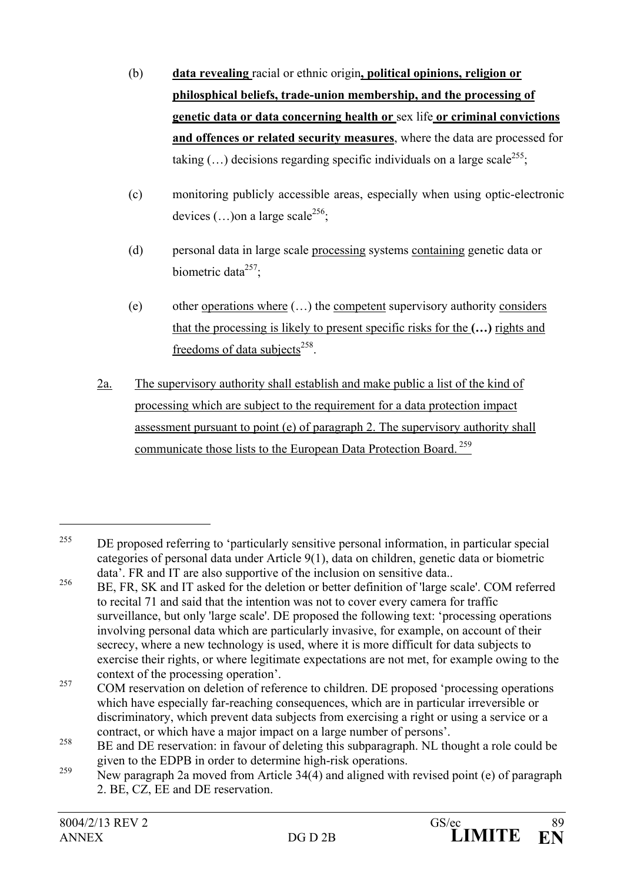- (b) **data revealing** racial or ethnic origin**, political opinions, religion or philosphical beliefs, trade-union membership, and the processing of genetic data or data concerning health or** sex life **or criminal convictions and offences or related security measures**, where the data are processed for taking  $(...)$  decisions regarding specific individuals on a large scale<sup>255</sup>;
- (c) monitoring publicly accessible areas, especially when using optic-electronic devices  $(...)$ on a large scale<sup>256</sup>;
- (d) personal data in large scale processing systems containing genetic data or biometric data $257$ :
- (e) other operations where (…) the competent supervisory authority considers that the processing is likely to present specific risks for the **(…)** rights and freedoms of data subjects<sup>258</sup>.
- 2a. The supervisory authority shall establish and make public a list of the kind of processing which are subject to the requirement for a data protection impact assessment pursuant to point (e) of paragraph 2. The supervisory authority shall communicate those lists to the European Data Protection Board.<sup>259</sup>

<sup>&</sup>lt;sup>255</sup> DE proposed referring to 'particularly sensitive personal information, in particular special categories of personal data under Article 9(1), data on children, genetic data or biometric data'. FR and IT are also supportive of the inclusion on sensitive data..

<sup>&</sup>lt;sup>256</sup> BE, FR, SK and IT asked for the deletion or better definition of 'large scale'. COM referred to recital 71 and said that the intention was not to cover every camera for traffic surveillance, but only 'large scale'. DE proposed the following text: 'processing operations involving personal data which are particularly invasive, for example, on account of their secrecy, where a new technology is used, where it is more difficult for data subjects to exercise their rights, or where legitimate expectations are not met, for example owing to the context of the processing operation'.

<sup>&</sup>lt;sup>257</sup> COM reservation on deletion of reference to children. DE proposed 'processing operations which have especially far-reaching consequences, which are in particular irreversible or discriminatory, which prevent data subjects from exercising a right or using a service or a contract, or which have a major impact on a large number of persons'.

<sup>&</sup>lt;sup>258</sup> BE and DE reservation: in favour of deleting this subparagraph. NL thought a role could be given to the EDPB in order to determine high-risk operations.

<sup>&</sup>lt;sup>259</sup> New paragraph 2a moved from Article 34(4) and aligned with revised point (e) of paragraph 2. BE, CZ, EE and DE reservation.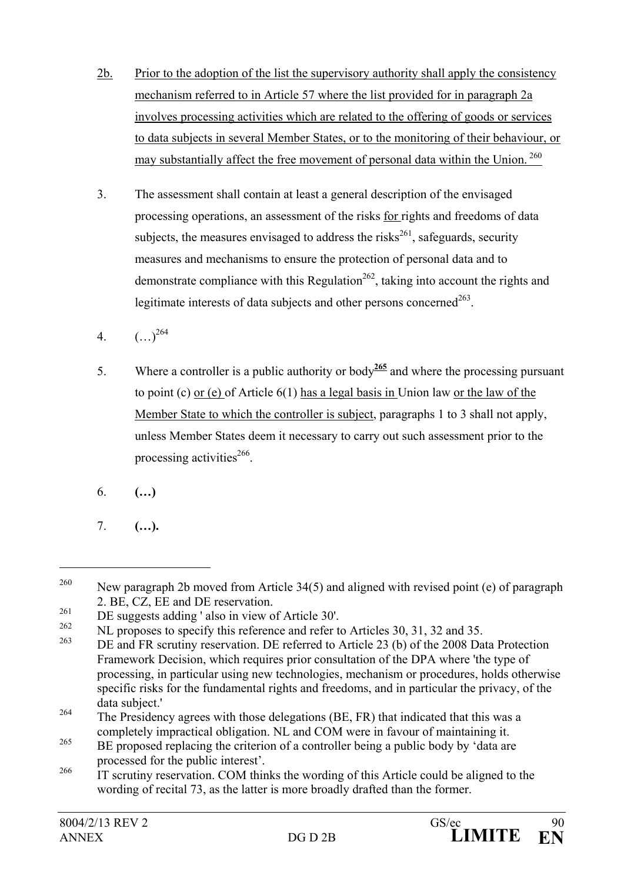- 2b. Prior to the adoption of the list the supervisory authority shall apply the consistency mechanism referred to in Article 57 where the list provided for in paragraph 2a involves processing activities which are related to the offering of goods or services to data subjects in several Member States, or to the monitoring of their behaviour, or may substantially affect the free movement of personal data within the Union.<sup>260</sup>
- 3. The assessment shall contain at least a general description of the envisaged processing operations, an assessment of the risks for rights and freedoms of data subjects, the measures envisaged to address the risks<sup>261</sup>, safeguards, security measures and mechanisms to ensure the protection of personal data and to demonstrate compliance with this Regulation<sup>262</sup>, taking into account the rights and legitimate interests of data subjects and other persons concerned<sup>263</sup>.
- 4.  $\left( \ldots \right)^{264}$
- 5. Where a controller is a public authority or body**<sup>265</sup>** and where the processing pursuant to point (c) or (e) of Article 6(1) has a legal basis in Union law or the law of the Member State to which the controller is subject, paragraphs 1 to 3 shall not apply, unless Member States deem it necessary to carry out such assessment prior to the processing activities<sup>266</sup>.
- 6. **(…)**
- 7. **(…).**

<sup>&</sup>lt;sup>260</sup> New paragraph 2b moved from Article 34(5) and aligned with revised point (e) of paragraph 2. BE, CZ, EE and DE reservation.

<sup>&</sup>lt;sup>261</sup> DE suggests adding ' also in view of Article 30'.

<sup>&</sup>lt;sup>262</sup> NL proposes to specify this reference and refer to Articles 30, 31, 32 and 35.

DE and FR scrutiny reservation. DE referred to Article 23 (b) of the 2008 Data Protection Framework Decision, which requires prior consultation of the DPA where 'the type of processing, in particular using new technologies, mechanism or procedures, holds otherwise specific risks for the fundamental rights and freedoms, and in particular the privacy, of the data subject.'

<sup>&</sup>lt;sup>264</sup> The Presidency agrees with those delegations (BE, FR) that indicated that this was a completely impractical obligation. NL and COM were in favour of maintaining it.

<sup>&</sup>lt;sup>265</sup> BE proposed replacing the criterion of a controller being a public body by 'data are processed for the public interest'.

<sup>&</sup>lt;sup>266</sup> IT scrutiny reservation. COM thinks the wording of this Article could be aligned to the wording of recital 73, as the latter is more broadly drafted than the former.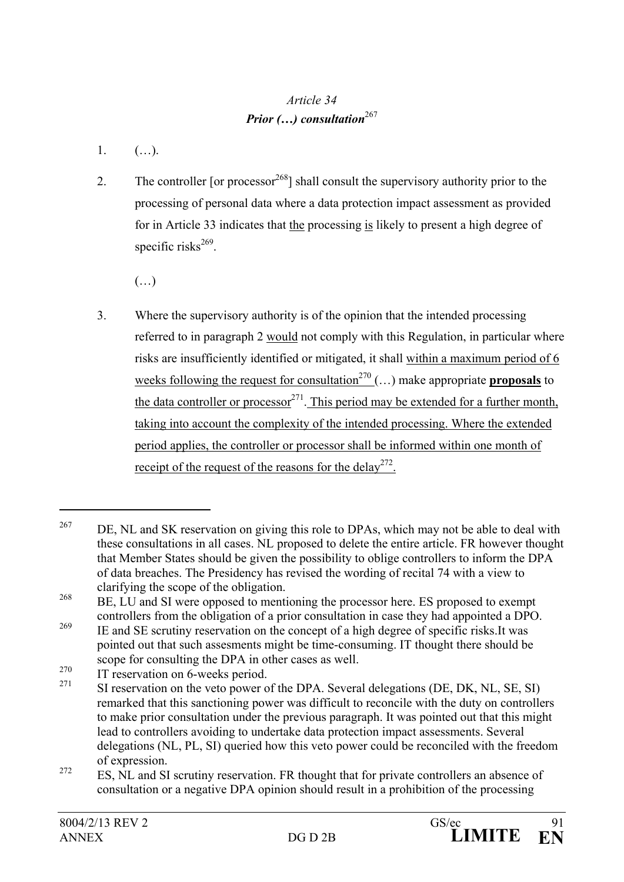## *Article 34 Prior (…) consultation*<sup>267</sup>

- $1.$   $(\ldots).$
- 2. The controller [or processor<sup>268</sup>] shall consult the supervisory authority prior to the processing of personal data where a data protection impact assessment as provided for in Article 33 indicates that the processing is likely to present a high degree of specific risks<sup>269</sup>.
	- $(\ldots)$
- 3. Where the supervisory authority is of the opinion that the intended processing referred to in paragraph 2 would not comply with this Regulation, in particular where risks are insufficiently identified or mitigated, it shall within a maximum period of 6 weeks following the request for consultation<sup>270</sup> (...) make appropriate **proposals** to the data controller or processor<sup>271</sup>. This period may be extended for a further month, taking into account the complexity of the intended processing. Where the extended period applies, the controller or processor shall be informed within one month of receipt of the request of the reasons for the delay<sup>272</sup>.

 $267$  DE, NL and SK reservation on giving this role to DPAs, which may not be able to deal with these consultations in all cases. NL proposed to delete the entire article. FR however thought that Member States should be given the possibility to oblige controllers to inform the DPA of data breaches. The Presidency has revised the wording of recital 74 with a view to clarifying the scope of the obligation.

<sup>&</sup>lt;sup>268</sup> BE, LU and SI were opposed to mentioning the processor here. ES proposed to exempt controllers from the obligation of a prior consultation in case they had appointed a DPO.

<sup>&</sup>lt;sup>269</sup> IE and SE scrutiny reservation on the concept of a high degree of specific risks.It was pointed out that such assesments might be time-consuming. IT thought there should be scope for consulting the DPA in other cases as well.

 $270$  IT reservation on 6-weeks period.<br>  $271$  IT reservation on the extension are not

<sup>271</sup> SI reservation on the veto power of the DPA. Several delegations (DE, DK, NL, SE, SI) remarked that this sanctioning power was difficult to reconcile with the duty on controllers to make prior consultation under the previous paragraph. It was pointed out that this might lead to controllers avoiding to undertake data protection impact assessments. Several delegations (NL, PL, SI) queried how this veto power could be reconciled with the freedom of expression.

<sup>&</sup>lt;sup>272</sup> ES, NL and SI scrutiny reservation. FR thought that for private controllers an absence of consultation or a negative DPA opinion should result in a prohibition of the processing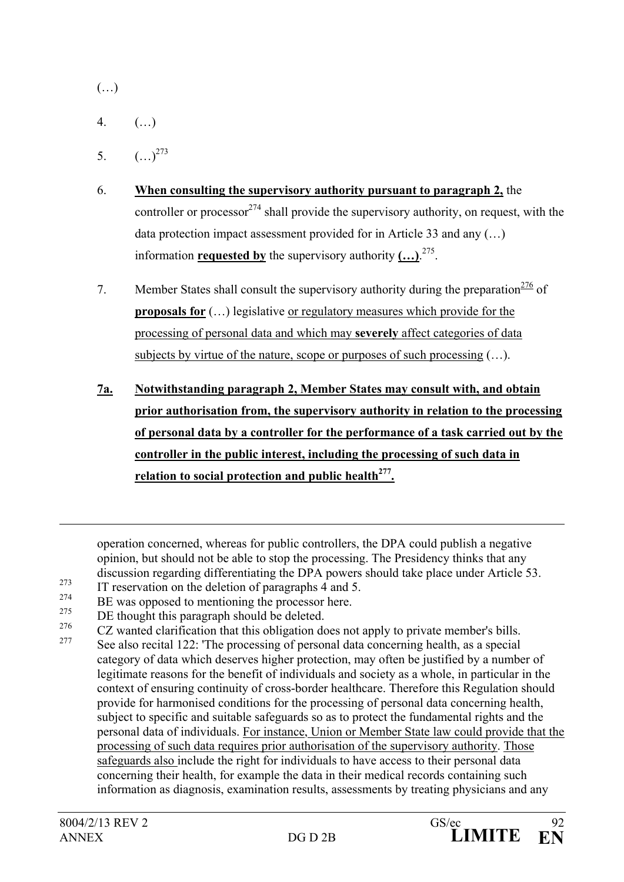(…)

- 4. (…)
- 5.  $\binom{1}{1}^{273}$
- 6. **When consulting the supervisory authority pursuant to paragraph 2,** the controller or processor $^{274}$  shall provide the supervisory authority, on request, with the data protection impact assessment provided for in Article 33 and any (…) information **requested by** the supervisory authority  $(...)^{275}$ .
- 7. Member States shall consult the supervisory authority during the preparation  $276$  of **proposals for**  $(...)$  legislative or regulatory measures which provide for the processing of personal data and which may **severely** affect categories of data subjects by virtue of the nature, scope or purposes of such processing (…).
- **7a. Notwithstanding paragraph 2, Member States may consult with, and obtain prior authorisation from, the supervisory authority in relation to the processing of personal data by a controller for the performance of a task carried out by the controller in the public interest, including the processing of such data in relation to social protection and public health<sup>277</sup> .**

operation concerned, whereas for public controllers, the DPA could publish a negative opinion, but should not be able to stop the processing. The Presidency thinks that any discussion regarding differentiating the DPA powers should take place under Article 53.

- <sup>273</sup> IT reservation on the deletion of paragraphs  $\frac{4}{1}$  and 5.
- $^{274}$  BE was opposed to mentioning the processor here.
- <sup>275</sup> DE thought this paragraph should be deleted.<br><sup>276</sup> CZ wonted algrification that this ablication de
- <sup>276</sup> CZ wanted clarification that this obligation does not apply to private member's bills.<br><sup>277</sup> See also majital 122. The magazine of aggregated data aggregating health as a smazial
- See also recital 122: 'The processing of personal data concerning health, as a special category of data which deserves higher protection, may often be justified by a number of legitimate reasons for the benefit of individuals and society as a whole, in particular in the context of ensuring continuity of cross-border healthcare. Therefore this Regulation should provide for harmonised conditions for the processing of personal data concerning health, subject to specific and suitable safeguards so as to protect the fundamental rights and the personal data of individuals. For instance, Union or Member State law could provide that the processing of such data requires prior authorisation of the supervisory authority. Those safeguards also include the right for individuals to have access to their personal data concerning their health, for example the data in their medical records containing such information as diagnosis, examination results, assessments by treating physicians and any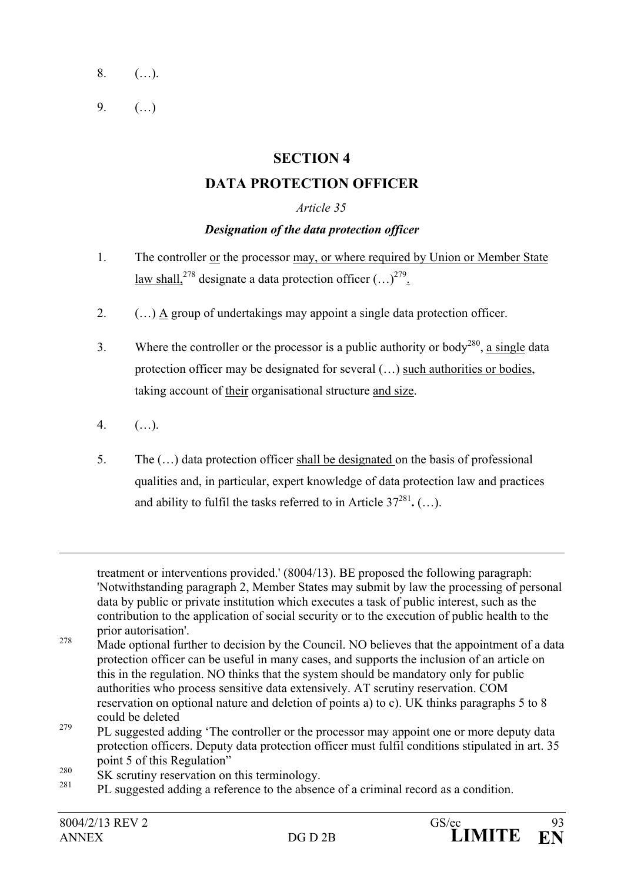8. (…).

9. (…)

## **SECTION 4**

## **DATA PROTECTION OFFICER**

#### *Article 35*

#### *Designation of the data protection officer*

- 1. The controller <u>or</u> the processor <u>may, or where required by Union or Member State</u>  $\underline{\text{law shall}}^{278}$  designate a data protection officer  $(\ldots)^{279}$ .
- 2. (…) A group of undertakings may appoint a single data protection officer.
- 3. Where the controller or the processor is a public authority or body<sup>280</sup>, a single data protection officer may be designated for several (…) such authorities or bodies, taking account of their organisational structure and size.
- $4.$   $($ ...).

 $\overline{a}$ 

5. The (…) data protection officer shall be designated on the basis of professional qualities and, in particular, expert knowledge of data protection law and practices and ability to fulfil the tasks referred to in Article  $37^{281}$ . (...).

treatment or interventions provided.' (8004/13). BE proposed the following paragraph: 'Notwithstanding paragraph 2, Member States may submit by law the processing of personal data by public or private institution which executes a task of public interest, such as the contribution to the application of social security or to the execution of public health to the prior autorisation'.

- <sup>278</sup> Made optional further to decision by the Council. NO believes that the appointment of a data protection officer can be useful in many cases, and supports the inclusion of an article on this in the regulation. NO thinks that the system should be mandatory only for public authorities who process sensitive data extensively. AT scrutiny reservation. COM reservation on optional nature and deletion of points a) to c). UK thinks paragraphs 5 to 8 could be deleted
- <sup>279</sup> PL suggested adding 'The controller or the processor may appoint one or more deputy data protection officers. Deputy data protection officer must fulfil conditions stipulated in art. 35 point 5 of this Regulation"
- $\frac{280}{281}$  SK scrutiny reservation on this terminology.
- PL suggested adding a reference to the absence of a criminal record as a condition.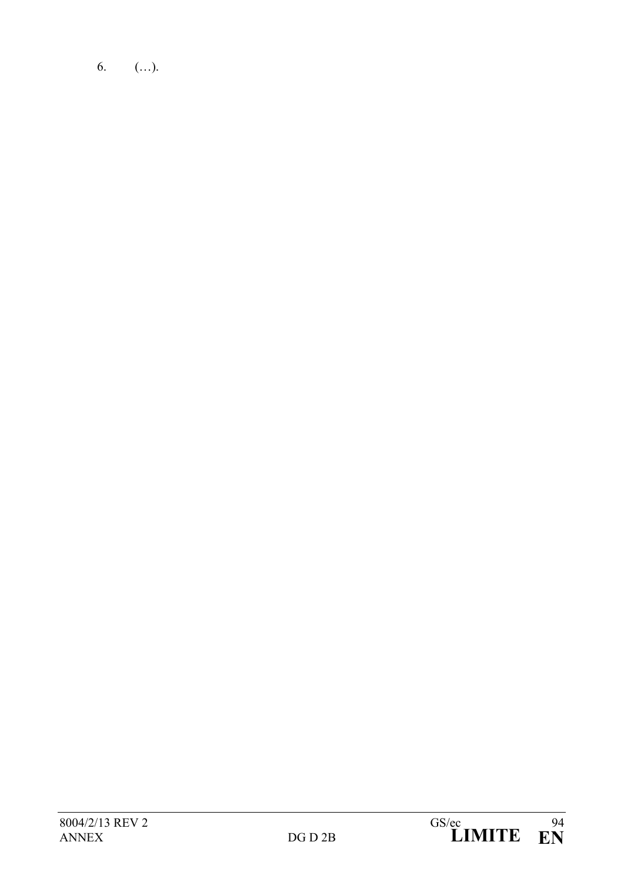6.  $(\ldots).$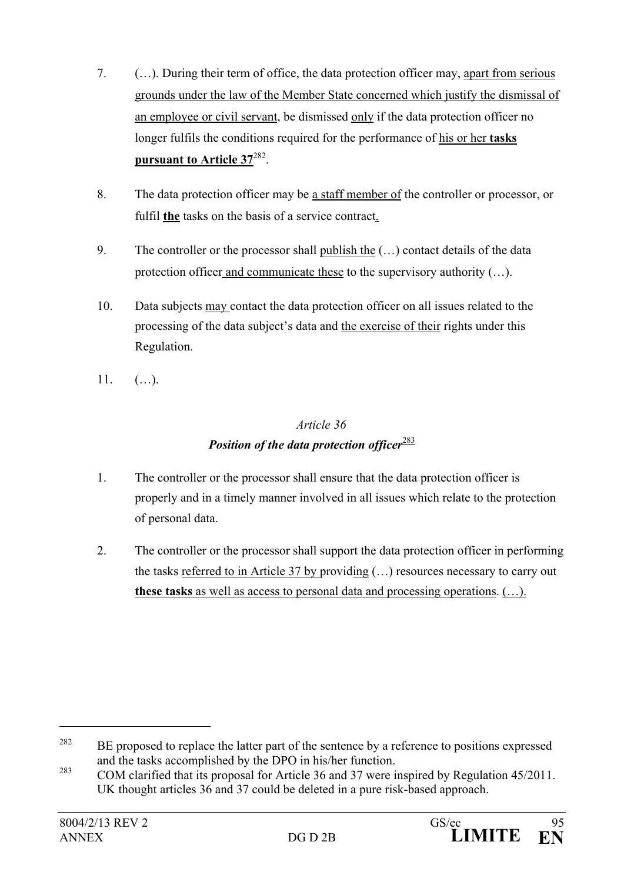- 7. (…). During their term of office, the data protection officer may, apart from serious grounds under the law of the Member State concerned which justify the dismissal of an employee or civil servant, be dismissed only if the data protection officer no longer fulfils the conditions required for the performance of his or her **tasks pursuant to Article 37<sup>282</sup>.**
- 8. The data protection officer may be a staff member of the controller or processor, or fulfil **the** tasks on the basis of a service contract.
- 9. The controller or the processor shall publish the (…) contact details of the data protection officer and communicate these to the supervisory authority (…).
- 10. Data subjects may contact the data protection officer on all issues related to the processing of the data subject's data and the exercise of their rights under this Regulation.
- $11.$   $($ ...).

# *Article 36 Position of the data protection officer*<sup>283</sup>

- 1. The controller or the processor shall ensure that the data protection officer is properly and in a timely manner involved in all issues which relate to the protection of personal data.
- 2. The controller or the processor shall support the data protection officer in performing the tasks referred to in Article 37 by providing (…) resources necessary to carry out **these tasks** as well as access to personal data and processing operations. (…).

<sup>&</sup>lt;sup>282</sup> BE proposed to replace the latter part of the sentence by a reference to positions expressed and the tasks accomplished by the DPO in his/her function.

<sup>&</sup>lt;sup>283</sup> COM clarified that its proposal for Article 36 and 37 were inspired by Regulation 45/2011. UK thought articles 36 and 37 could be deleted in a pure risk-based approach.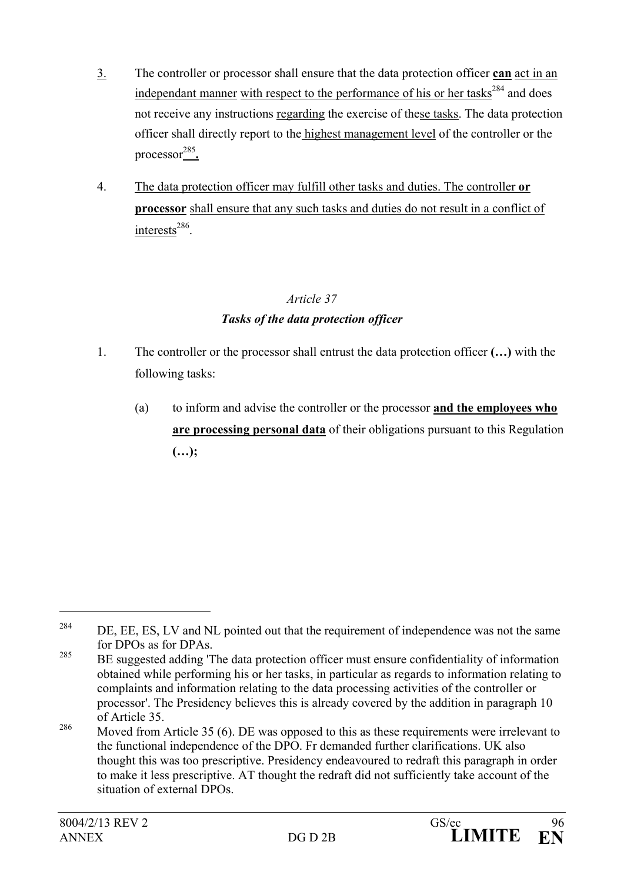- 3. The controller or processor shall ensure that the data protection officer **can** act in an independant manner with respect to the performance of his or her tasks<sup>284</sup> and does not receive any instructions regarding the exercise of these tasks. The data protection officer shall directly report to the highest management level of the controller or the processor<sup>285</sup>.
- 4. The data protection officer may fulfill other tasks and duties. The controller **or processor** shall ensure that any such tasks and duties do not result in a conflict of interests<sup>286</sup>.

### *Article 37*

## *Tasks of the data protection officer*

- 1. The controller or the processor shall entrust the data protection officer **(…)** with the following tasks:
	- (a) to inform and advise the controller or the processor **and the employees who are processing personal data** of their obligations pursuant to this Regulation **(…);**

 $284$  DE, EE, ES, LV and NL pointed out that the requirement of independence was not the same for DPOs as for DPAs.

<sup>&</sup>lt;sup>285</sup> BE suggested adding 'The data protection officer must ensure confidentiality of information obtained while performing his or her tasks, in particular as regards to information relating to complaints and information relating to the data processing activities of the controller or processor'. The Presidency believes this is already covered by the addition in paragraph 10 of Article 35.

<sup>&</sup>lt;sup>286</sup> Moved from Article 35 (6). DE was opposed to this as these requirements were irrelevant to the functional independence of the DPO. Fr demanded further clarifications. UK also thought this was too prescriptive. Presidency endeavoured to redraft this paragraph in order to make it less prescriptive. AT thought the redraft did not sufficiently take account of the situation of external DPOs.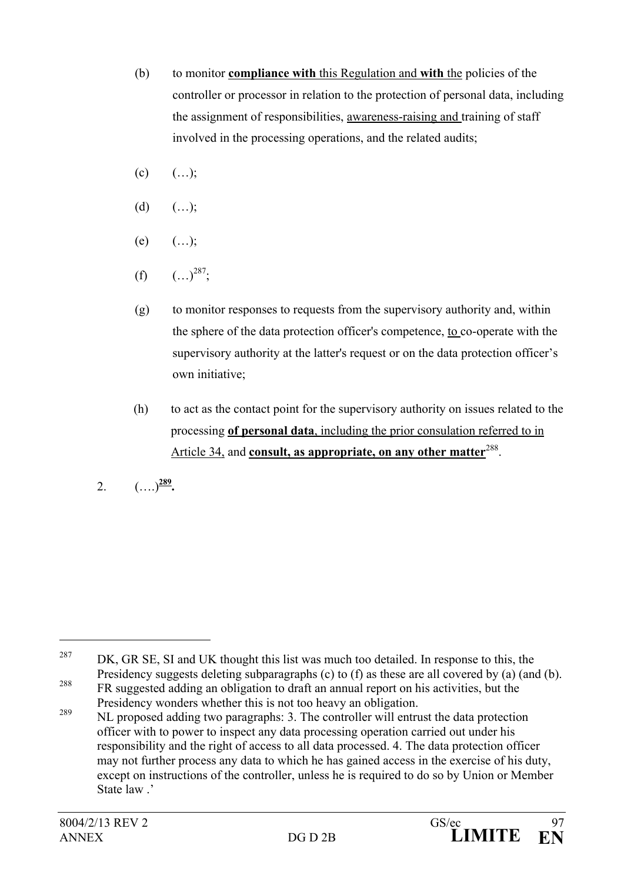- (b) to monitor **compliance with** this Regulation and **with** the policies of the controller or processor in relation to the protection of personal data, including the assignment of responsibilities, awareness-raising and training of staff involved in the processing operations, and the related audits;
- $(c)$   $(...):$
- (d)  $(...):$
- (e)  $(.).$
- (f)  $(\ldots)^{287}$ ;
- (g) to monitor responses to requests from the supervisory authority and, within the sphere of the data protection officer's competence, to co-operate with the supervisory authority at the latter's request or on the data protection officer's own initiative;
- (h) to act as the contact point for the supervisory authority on issues related to the processing **of personal data**, including the prior consulation referred to in Article 34, and **consult, as appropriate, on any other matter**<sup>288</sup>.
- 2.  $(\ldots)^{289}$

<sup>&</sup>lt;sup>287</sup> DK, GR SE, SI and UK thought this list was much too detailed. In response to this, the Presidency suggests deleting subparagraphs (c) to (f) as these are all covered by (a) (and (b). <sup>288</sup> FR suggested adding an obligation to draft an annual report on his activities, but the

Presidency wonders whether this is not too heavy an obligation.

<sup>&</sup>lt;sup>289</sup> NL proposed adding two paragraphs: 3. The controller will entrust the data protection officer with to power to inspect any data processing operation carried out under his responsibility and the right of access to all data processed. 4. The data protection officer may not further process any data to which he has gained access in the exercise of his duty, except on instructions of the controller, unless he is required to do so by Union or Member State law<sup>3</sup>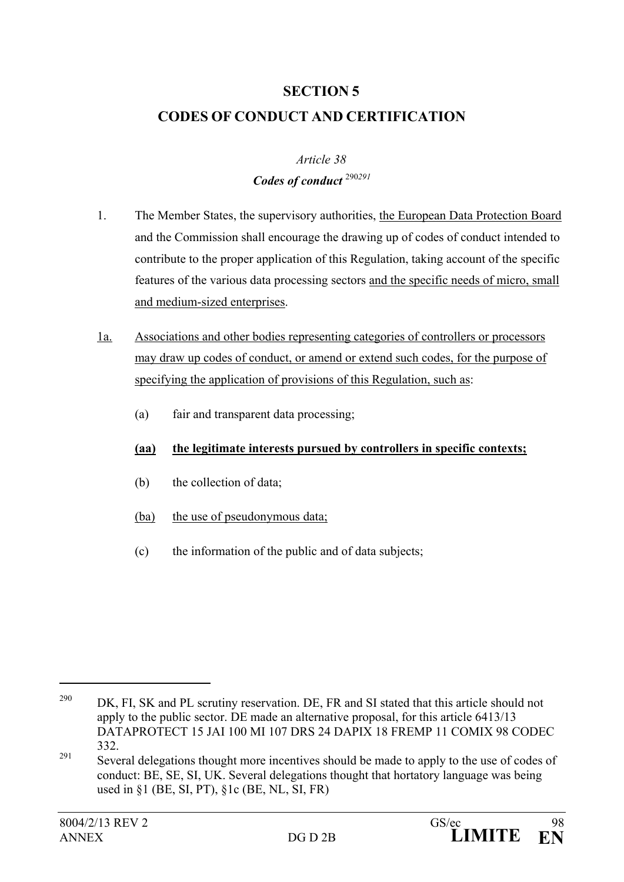# **SECTION 5**

## **CODES OF CONDUCT AND CERTIFICATION**

## *Article 38*

# *Codes of conduct* <sup>290</sup>*<sup>291</sup>*

- 1. The Member States, the supervisory authorities, the European Data Protection Board and the Commission shall encourage the drawing up of codes of conduct intended to contribute to the proper application of this Regulation, taking account of the specific features of the various data processing sectors and the specific needs of micro, small and medium-sized enterprises.
- 1a. Associations and other bodies representing categories of controllers or processors may draw up codes of conduct, or amend or extend such codes, for the purpose of specifying the application of provisions of this Regulation, such as:
	- (a) fair and transparent data processing;
	- **(aa) the legitimate interests pursued by controllers in specific contexts;**
	- (b) the collection of data;
	- (ba) the use of pseudonymous data;
	- (c) the information of the public and of data subjects;

<sup>&</sup>lt;sup>290</sup> DK, FI, SK and PL scrutiny reservation. DE, FR and SI stated that this article should not apply to the public sector. DE made an alternative proposal, for this article 6413/13 DATAPROTECT 15 JAI 100 MI 107 DRS 24 DAPIX 18 FREMP 11 COMIX 98 CODEC 332.

 $291$  Several delegations thought more incentives should be made to apply to the use of codes of conduct: BE, SE, SI, UK. Several delegations thought that hortatory language was being used in §1 (BE, SI, PT), §1c (BE, NL, SI, FR)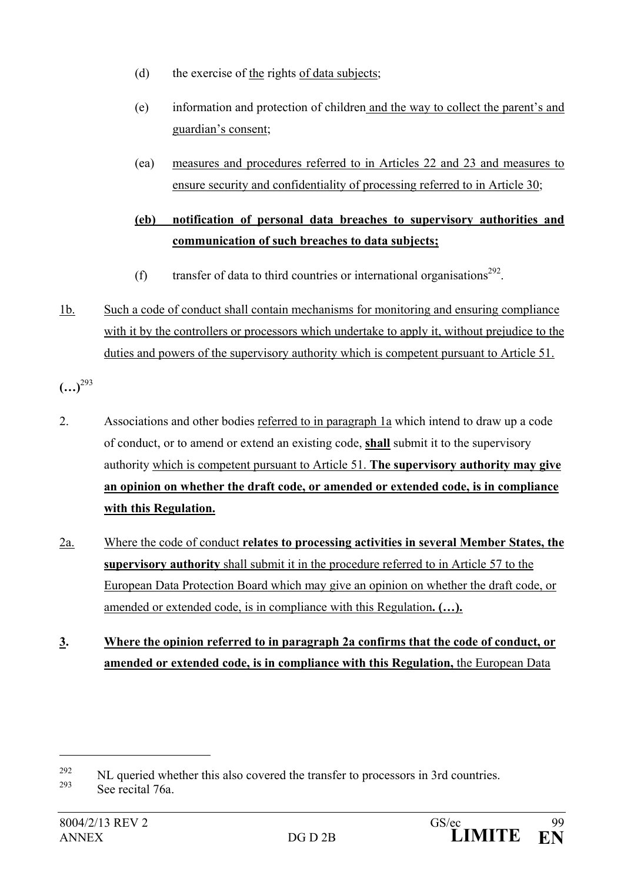- (d) the exercise of the rights of data subjects;
- (e) information and protection of children and the way to collect the parent's and guardian's consent;
- (ea) measures and procedures referred to in Articles 22 and 23 and measures to ensure security and confidentiality of processing referred to in Article 30;

# **(eb) notification of personal data breaches to supervisory authorities and communication of such breaches to data subjects;**

- (f) transfer of data to third countries or international organisations<sup>292</sup>.
- 1b. Such a code of conduct shall contain mechanisms for monitoring and ensuring compliance with it by the controllers or processors which undertake to apply it, without prejudice to the duties and powers of the supervisory authority which is competent pursuant to Article 51.

 $(...)^{293}$ 

- 2. Associations and other bodies referred to in paragraph 1a which intend to draw up a code of conduct, or to amend or extend an existing code, **shall** submit it to the supervisory authority which is competent pursuant to Article 51. **The supervisory authority may give an opinion on whether the draft code, or amended or extended code, is in compliance with this Regulation.**
- 2a. Where the code of conduct **relates to processing activities in several Member States, the supervisory authority** shall submit it in the procedure referred to in Article 57 to the European Data Protection Board which may give an opinion on whether the draft code, or amended or extended code, is in compliance with this Regulation**. (…).**
- **3. Where the opinion referred to in paragraph 2a confirms that the code of conduct, or amended or extended code, is in compliance with this Regulation,** the European Data

<sup>&</sup>lt;sup>292</sup> NL queried whether this also covered the transfer to processors in 3rd countries.<br><sup>293</sup> Separatel 76<sup>2</sup>

See recital 76a.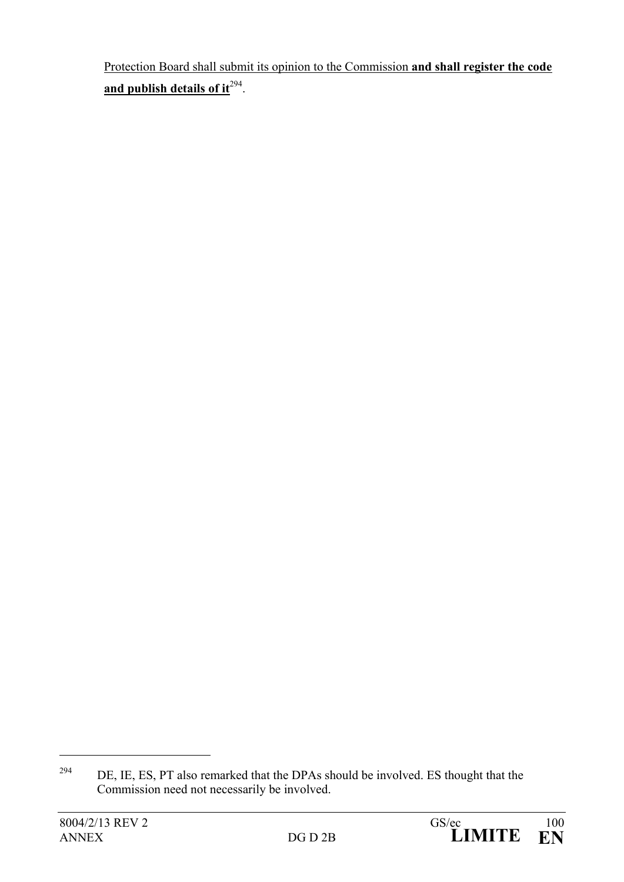Protection Board shall submit its opinion to the Commission **and shall register the code**  and publish details of it<sup>294</sup>.

 $294$  DE, IE, ES, PT also remarked that the DPAs should be involved. ES thought that the Commission need not necessarily be involved.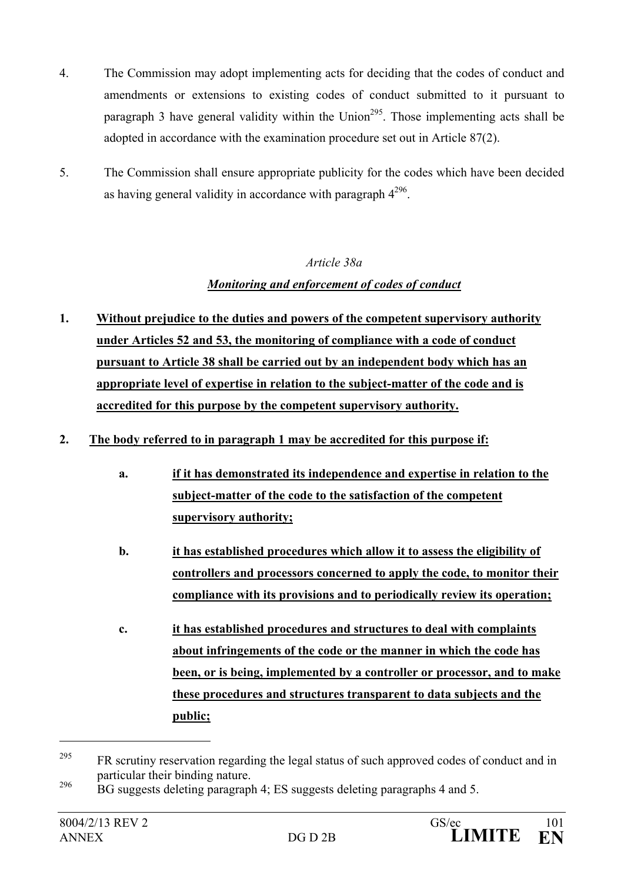- 4. The Commission may adopt implementing acts for deciding that the codes of conduct and amendments or extensions to existing codes of conduct submitted to it pursuant to paragraph 3 have general validity within the  $Union^{295}$ . Those implementing acts shall be adopted in accordance with the examination procedure set out in Article 87(2).
- 5. The Commission shall ensure appropriate publicity for the codes which have been decided as having general validity in accordance with paragraph  $4^{296}$ .

## *Article 38a Monitoring and enforcement of codes of conduct*

- **1. Without prejudice to the duties and powers of the competent supervisory authority under Articles 52 and 53, the monitoring of compliance with a code of conduct pursuant to Article 38 shall be carried out by an independent body which has an appropriate level of expertise in relation to the subject-matter of the code and is accredited for this purpose by the competent supervisory authority.**
- **2. The body referred to in paragraph 1 may be accredited for this purpose if:**
	- **a. if it has demonstrated its independence and expertise in relation to the subject-matter of the code to the satisfaction of the competent supervisory authority;**
	- **b. it has established procedures which allow it to assess the eligibility of controllers and processors concerned to apply the code, to monitor their compliance with its provisions and to periodically review its operation;**
	- **c. it has established procedures and structures to deal with complaints about infringements of the code or the manner in which the code has been, or is being, implemented by a controller or processor, and to make these procedures and structures transparent to data subjects and the public;**

<sup>&</sup>lt;sup>295</sup> FR scrutiny reservation regarding the legal status of such approved codes of conduct and in particular their binding nature.

<sup>&</sup>lt;sup>296</sup> BG suggests deleting paragraph 4; ES suggests deleting paragraphs 4 and 5.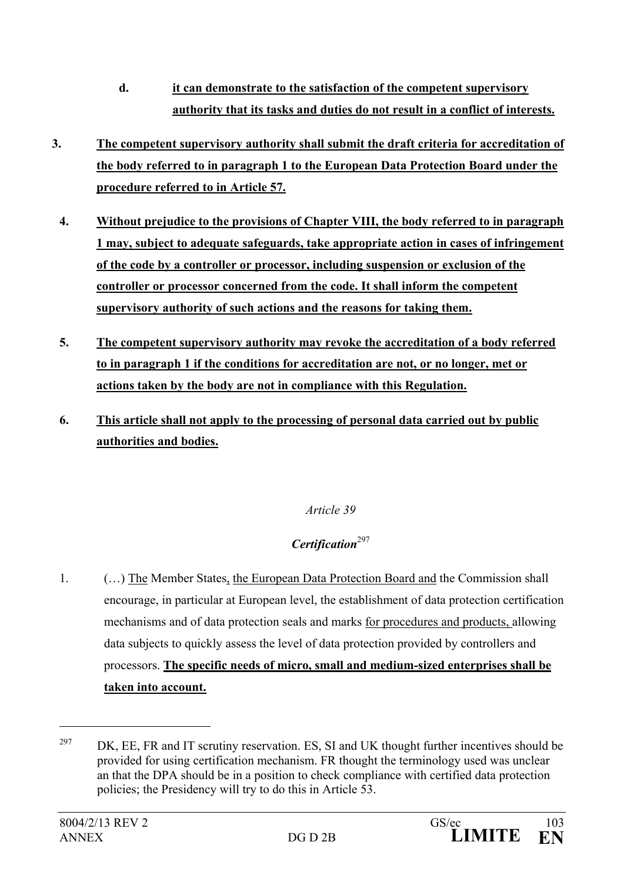- **d. it can demonstrate to the satisfaction of the competent supervisory authority that its tasks and duties do not result in a conflict of interests.**
- **3. The competent supervisory authority shall submit the draft criteria for accreditation of the body referred to in paragraph 1 to the European Data Protection Board under the procedure referred to in Article 57.** 
	- **4. Without prejudice to the provisions of Chapter VIII, the body referred to in paragraph 1 may, subject to adequate safeguards, take appropriate action in cases of infringement of the code by a controller or processor, including suspension or exclusion of the controller or processor concerned from the code. It shall inform the competent supervisory authority of such actions and the reasons for taking them.**
	- **5. The competent supervisory authority may revoke the accreditation of a body referred to in paragraph 1 if the conditions for accreditation are not, or no longer, met or actions taken by the body are not in compliance with this Regulation.**
	- **6. This article shall not apply to the processing of personal data carried out by public authorities and bodies.**

## *Article 39*

## *Certification*<sup>297</sup>

1. (…) The Member States, the European Data Protection Board and the Commission shall encourage, in particular at European level, the establishment of data protection certification mechanisms and of data protection seals and marks for procedures and products, allowing data subjects to quickly assess the level of data protection provided by controllers and processors. **The specific needs of micro, small and medium-sized enterprises shall be taken into account.**

<sup>&</sup>lt;sup>297</sup> DK, EE, FR and IT scrutiny reservation. ES, SI and UK thought further incentives should be provided for using certification mechanism. FR thought the terminology used was unclear an that the DPA should be in a position to check compliance with certified data protection policies; the Presidency will try to do this in Article 53.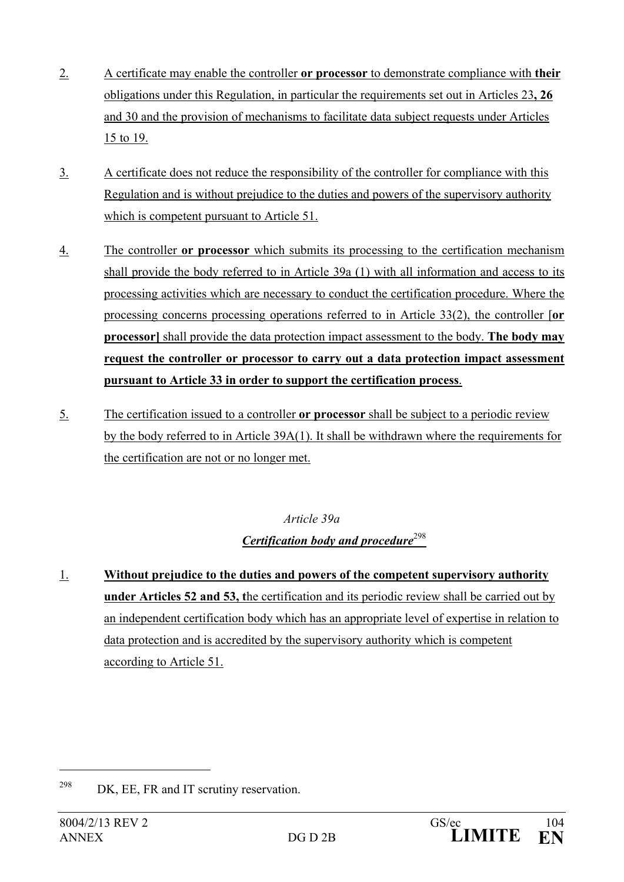- 2. A certificate may enable the controller **or processor** to demonstrate compliance with **their**  obligations under this Regulation, in particular the requirements set out in Articles 23**, 26** and 30 and the provision of mechanisms to facilitate data subject requests under Articles 15 to 19.
- 3. A certificate does not reduce the responsibility of the controller for compliance with this Regulation and is without prejudice to the duties and powers of the supervisory authority which is competent pursuant to Article 51.
- 4. The controller **or processor** which submits its processing to the certification mechanism shall provide the body referred to in Article 39a (1) with all information and access to its processing activities which are necessary to conduct the certification procedure. Where the processing concerns processing operations referred to in Article 33(2), the controller [**or processor]** shall provide the data protection impact assessment to the body. **The body may request the controller or processor to carry out a data protection impact assessment pursuant to Article 33 in order to support the certification process**.
- 5. The certification issued to a controller **or processor** shall be subject to a periodic review by the body referred to in Article 39A(1). It shall be withdrawn where the requirements for the certification are not or no longer met.

# *Article 39a Certification body and procedure*<sup>298</sup>

1. **Without prejudice to the duties and powers of the competent supervisory authority under Articles 52 and 53, t**he certification and its periodic review shall be carried out by an independent certification body which has an appropriate level of expertise in relation to data protection and is accredited by the supervisory authority which is competent according to Article 51.

 $298$  DK, EE, FR and IT scrutiny reservation.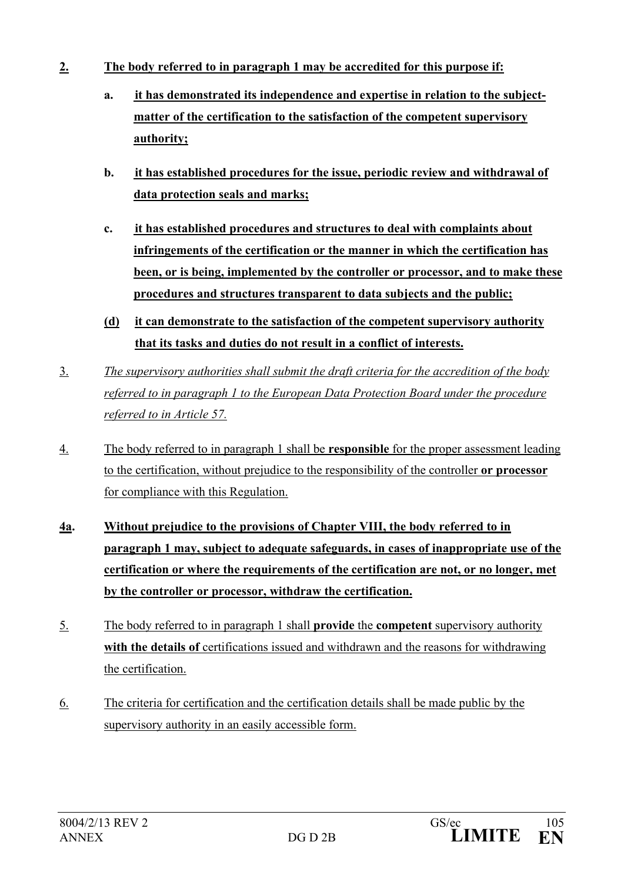- **2. The body referred to in paragraph 1 may be accredited for this purpose if:**
	- **a. it has demonstrated its independence and expertise in relation to the subjectmatter of the certification to the satisfaction of the competent supervisory authority;**
	- **b. it has established procedures for the issue, periodic review and withdrawal of data protection seals and marks;**
	- **c. it has established procedures and structures to deal with complaints about infringements of the certification or the manner in which the certification has been, or is being, implemented by the controller or processor, and to make these procedures and structures transparent to data subjects and the public;**
	- **(d) it can demonstrate to the satisfaction of the competent supervisory authority that its tasks and duties do not result in a conflict of interests.**
- 3. *The supervisory authorities shall submit the draft criteria for the accredition of the body referred to in paragraph 1 to the European Data Protection Board under the procedure referred to in Article 57.*
- 4. The body referred to in paragraph 1 shall be **responsible** for the proper assessment leading to the certification, without prejudice to the responsibility of the controller **or processor** for compliance with this Regulation.
- **4a. Without prejudice to the provisions of Chapter VIII, the body referred to in paragraph 1 may, subject to adequate safeguards, in cases of inappropriate use of the certification or where the requirements of the certification are not, or no longer, met by the controller or processor, withdraw the certification.**
- 5. The body referred to in paragraph 1 shall **provide** the **competent** supervisory authority **with the details of** certifications issued and withdrawn and the reasons for withdrawing the certification.
- 6. The criteria for certification and the certification details shall be made public by the supervisory authority in an easily accessible form.